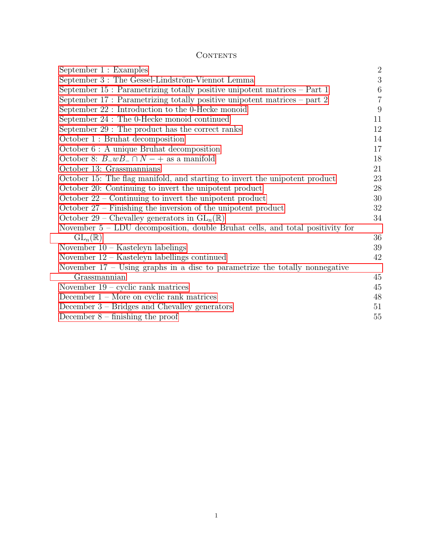# **CONTENTS**

| September 3 : The Gessel-Lindström-Viennot Lemma<br>September 15 : Parametrizing totally positive unipotent matrices $-$ Part 1<br>September 17 : Parametrizing totally positive unipotent matrices – part 2<br>September 22 : Introduction to the 0-Hecke monoid<br>September 24 : The 0-Hecke monoid continued<br>September 29 : The product has the correct ranks<br>October 1 : Bruhat decomposition<br>$October 6: A unique Bruhat decomposition$<br>October 8: $B_{\perp}wB_{\perp} \cap N$ – + as a manifold<br>October 13: Grassmannians<br>October 15: The flag manifold, and starting to invert the unipotent product<br>October 20: Continuing to invert the unipotent product<br>October $22$ – Continuing to invert the unipotent product<br>October $27$ – Finishing the inversion of the unipotent product<br>October 29 – Chevalley generators in $GL_n(\mathbb{R})$<br>November $5$ – LDU decomposition, double Bruhat cells, and total positivity for<br>$GL_n(\mathbb{R})$<br>November $10 -$ Kasteleyn labelings<br>November $12 -$ Kasteleyn labellings continued<br>November $17$ – Using graphs in a disc to parametrize the totally nonnegative<br>Grassmannian<br>November $19$ – cyclic rank matrices<br>December $1 -$ More on cyclic rank matrices | September 1 : Examples                          | $\overline{2}$   |
|--------------------------------------------------------------------------------------------------------------------------------------------------------------------------------------------------------------------------------------------------------------------------------------------------------------------------------------------------------------------------------------------------------------------------------------------------------------------------------------------------------------------------------------------------------------------------------------------------------------------------------------------------------------------------------------------------------------------------------------------------------------------------------------------------------------------------------------------------------------------------------------------------------------------------------------------------------------------------------------------------------------------------------------------------------------------------------------------------------------------------------------------------------------------------------------------------------------------------------------------------------------------------------|-------------------------------------------------|------------------|
|                                                                                                                                                                                                                                                                                                                                                                                                                                                                                                                                                                                                                                                                                                                                                                                                                                                                                                                                                                                                                                                                                                                                                                                                                                                                                |                                                 | 3                |
|                                                                                                                                                                                                                                                                                                                                                                                                                                                                                                                                                                                                                                                                                                                                                                                                                                                                                                                                                                                                                                                                                                                                                                                                                                                                                |                                                 | $\boldsymbol{6}$ |
|                                                                                                                                                                                                                                                                                                                                                                                                                                                                                                                                                                                                                                                                                                                                                                                                                                                                                                                                                                                                                                                                                                                                                                                                                                                                                |                                                 | $\overline{7}$   |
|                                                                                                                                                                                                                                                                                                                                                                                                                                                                                                                                                                                                                                                                                                                                                                                                                                                                                                                                                                                                                                                                                                                                                                                                                                                                                |                                                 | 9                |
|                                                                                                                                                                                                                                                                                                                                                                                                                                                                                                                                                                                                                                                                                                                                                                                                                                                                                                                                                                                                                                                                                                                                                                                                                                                                                |                                                 | 11               |
|                                                                                                                                                                                                                                                                                                                                                                                                                                                                                                                                                                                                                                                                                                                                                                                                                                                                                                                                                                                                                                                                                                                                                                                                                                                                                |                                                 | 12               |
|                                                                                                                                                                                                                                                                                                                                                                                                                                                                                                                                                                                                                                                                                                                                                                                                                                                                                                                                                                                                                                                                                                                                                                                                                                                                                |                                                 | 14               |
|                                                                                                                                                                                                                                                                                                                                                                                                                                                                                                                                                                                                                                                                                                                                                                                                                                                                                                                                                                                                                                                                                                                                                                                                                                                                                |                                                 | 17               |
|                                                                                                                                                                                                                                                                                                                                                                                                                                                                                                                                                                                                                                                                                                                                                                                                                                                                                                                                                                                                                                                                                                                                                                                                                                                                                |                                                 | 18               |
|                                                                                                                                                                                                                                                                                                                                                                                                                                                                                                                                                                                                                                                                                                                                                                                                                                                                                                                                                                                                                                                                                                                                                                                                                                                                                |                                                 | 21               |
|                                                                                                                                                                                                                                                                                                                                                                                                                                                                                                                                                                                                                                                                                                                                                                                                                                                                                                                                                                                                                                                                                                                                                                                                                                                                                |                                                 | 23               |
|                                                                                                                                                                                                                                                                                                                                                                                                                                                                                                                                                                                                                                                                                                                                                                                                                                                                                                                                                                                                                                                                                                                                                                                                                                                                                |                                                 | 28               |
|                                                                                                                                                                                                                                                                                                                                                                                                                                                                                                                                                                                                                                                                                                                                                                                                                                                                                                                                                                                                                                                                                                                                                                                                                                                                                |                                                 | 30               |
|                                                                                                                                                                                                                                                                                                                                                                                                                                                                                                                                                                                                                                                                                                                                                                                                                                                                                                                                                                                                                                                                                                                                                                                                                                                                                |                                                 | 32               |
|                                                                                                                                                                                                                                                                                                                                                                                                                                                                                                                                                                                                                                                                                                                                                                                                                                                                                                                                                                                                                                                                                                                                                                                                                                                                                |                                                 | 34               |
|                                                                                                                                                                                                                                                                                                                                                                                                                                                                                                                                                                                                                                                                                                                                                                                                                                                                                                                                                                                                                                                                                                                                                                                                                                                                                |                                                 |                  |
|                                                                                                                                                                                                                                                                                                                                                                                                                                                                                                                                                                                                                                                                                                                                                                                                                                                                                                                                                                                                                                                                                                                                                                                                                                                                                |                                                 | 36               |
|                                                                                                                                                                                                                                                                                                                                                                                                                                                                                                                                                                                                                                                                                                                                                                                                                                                                                                                                                                                                                                                                                                                                                                                                                                                                                |                                                 | 39               |
|                                                                                                                                                                                                                                                                                                                                                                                                                                                                                                                                                                                                                                                                                                                                                                                                                                                                                                                                                                                                                                                                                                                                                                                                                                                                                |                                                 | 42               |
|                                                                                                                                                                                                                                                                                                                                                                                                                                                                                                                                                                                                                                                                                                                                                                                                                                                                                                                                                                                                                                                                                                                                                                                                                                                                                |                                                 |                  |
|                                                                                                                                                                                                                                                                                                                                                                                                                                                                                                                                                                                                                                                                                                                                                                                                                                                                                                                                                                                                                                                                                                                                                                                                                                                                                |                                                 | 45               |
|                                                                                                                                                                                                                                                                                                                                                                                                                                                                                                                                                                                                                                                                                                                                                                                                                                                                                                                                                                                                                                                                                                                                                                                                                                                                                |                                                 | 45               |
|                                                                                                                                                                                                                                                                                                                                                                                                                                                                                                                                                                                                                                                                                                                                                                                                                                                                                                                                                                                                                                                                                                                                                                                                                                                                                |                                                 | 48               |
|                                                                                                                                                                                                                                                                                                                                                                                                                                                                                                                                                                                                                                                                                                                                                                                                                                                                                                                                                                                                                                                                                                                                                                                                                                                                                | December $3$ – Bridges and Chevalley generators | 51               |
| December $8$ – finishing the proof                                                                                                                                                                                                                                                                                                                                                                                                                                                                                                                                                                                                                                                                                                                                                                                                                                                                                                                                                                                                                                                                                                                                                                                                                                             |                                                 | 55               |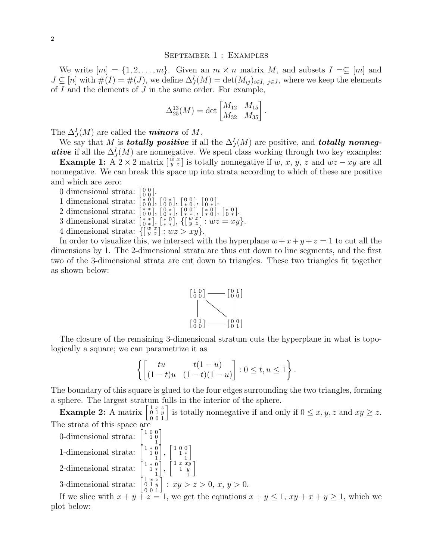#### <span id="page-1-0"></span>September 1 : Examples

We write  $[m] = \{1, 2, \ldots, m\}$ . Given an  $m \times n$  matrix M, and subsets  $I = \subseteq [m]$  and  $J \subseteq [n]$  with  $\#(I) = \#(J)$ , we define  $\Delta_J^I(M) = \det(M_{ij})_{i \in I, j \in J}$ , where we keep the elements of  $I$  and the elements of  $J$  in the same order. For example,

$$
\Delta_{25}^{13}(M) = \det \begin{bmatrix} M_{12} & M_{15} \\ M_{32} & M_{35} \end{bmatrix}.
$$

The  $\Delta_J^I(M)$  are called the **minors** of M.

We say that M is **totally positive** if all the  $\Delta_J^I(M)$  are positive, and **totally nonnegative** if all the  $\Delta_J^I(M)$  are nonnegative. We spent class working through two key examples:

**Example 1:** A 2 × 2 matrix  $\begin{bmatrix} w & x \\ y & z \end{bmatrix}$  is totally nonnegative if w, x, y, z and  $wz - xy$  are all nonnegative. We can break this space up into strata according to which of these are positive and which are zero:

0 dimensional strata:  $\begin{bmatrix} 0 & 0 \\ 0 & 0 \end{bmatrix}$ .

1 dimensional strata:  $\begin{bmatrix} * & 0 \\ 0 & 0 \end{bmatrix}$ ,  $\begin{bmatrix} 0 & * \\ 0 & 0 \end{bmatrix}$ ,  $\begin{bmatrix} 0 & 0 \\ 0 & * \end{bmatrix}$ ,  $\begin{bmatrix} 0 & 0 \\ 0 & * \end{bmatrix}$ .

2 dimensional strata:  $\begin{bmatrix} * & * \\ 0 & 0 \end{bmatrix}$ ,  $\begin{bmatrix} 0 & * \\ 0 & * \end{bmatrix}$ ,  $\begin{bmatrix} 0 & 0 \\ * & * \end{bmatrix}$ ,  $\begin{bmatrix} * & 0 \\ * & 0 \end{bmatrix}$ ,  $\begin{bmatrix} * & 0 \\ 0 & * \end{bmatrix}$ .

- 3 dimensional strata:  $\begin{bmatrix} * & * \\ 0 & * \end{bmatrix}$ ,  $\begin{bmatrix} * & 0 \\ * & * \end{bmatrix}$ ,  $\begin{bmatrix} {w \ x \\ y \ z \end{bmatrix}$ :  $wz = xy$ .
- 4 dimensional strata:  $\{ \begin{bmatrix} w & x \\ y & z \end{bmatrix} : wz > xy \}.$

In order to visualize this, we intersect with the hyperplane  $w + x + y + z = 1$  to cut all the dimensions by 1. The 2-dimensional strata are thus cut down to line segments, and the first two of the 3-dimensional strata are cut down to triangles. These two triangles fit together as shown below:



The closure of the remaining 3-dimensional stratum cuts the hyperplane in what is topologically a square; we can parametrize it as

$$
\left\{ \begin{bmatrix} tu & t(1-u) \\ (1-t)u & (1-t)(1-u) \end{bmatrix} : 0 \le t, u \le 1 \right\}.
$$

The boundary of this square is glued to the four edges surrounding the two triangles, forming a sphere. The largest stratum fulls in the interior of the sphere.

**Example 2:** A matrix  $\begin{bmatrix} 1 & x & z \\ 0 & 1 & y \\ 0 & 0 & 1 \end{bmatrix}$  is totally nonnegative if and only if  $0 \le x, y, z$  and  $xy \ge z$ . The strata of this space are

0-dimensional strata:  $\begin{bmatrix} 1 & 0 & 0 \\ 1 & 0 & 0 \\ 1 & 0 & 0 \end{bmatrix}$ 

1-dimensional strata:  $\begin{bmatrix} 1 & * & 0 \\ 1 & 0 & 0 \\ 1 & 0 & 0 \end{bmatrix}$ 

2-dimensional strata:  $\begin{bmatrix} 1 & * & 0 \\ & 1 & * & * \\ & & 1 & 1 \end{bmatrix}$ 

# 3-dimensional strata:  $\begin{bmatrix} 1 & x & z \\ 0 & 1 & y \\ 0 & 0 & 1 \end{bmatrix}$ :  $xy > z > 0$ ,  $x, y > 0$ . 1 x z

i

 $\Bigg], \, \Bigg[ \begin{smallmatrix} 1 & 0 & 0 \\ & 1 & * \\ & & 1 \end{smallmatrix}$ 

 $\bar{\begin{bmatrix} 1 & x & x\bar{y} \\ 1 & y \end{bmatrix}$ 1 y 1 i

i

If we slice with  $x + y + z = 1$ , we get the equations  $x + y \le 1$ ,  $xy + x + y \ge 1$ , which we plot below: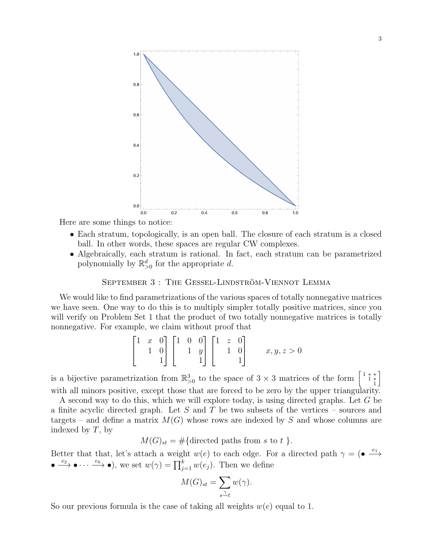

Here are some things to notice:

- Each stratum, topologically, is an open ball. The closure of each stratum is a closed ball. In other words, these spaces are regular CW complexes.
- Algebraically, each stratum is rational. In fact, each stratum can be parametrized polynomially by  $\mathbb{R}_{>0}^d$  for the appropriate d.

#### <span id="page-2-0"></span>SEPTEMBER 3 : THE GESSEL-LINDSTRÖM-VIENNOT LEMMA

We would like to find parametrizations of the various spaces of totally nonnegative matrices we have seen. One way to do this is to multiply simpler totally positive matrices, since you will verify on Problem Set 1 that the product of two totally nonnegative matrices is totally nonnegative. For example, we claim without proof that

$$
\begin{bmatrix} 1 & x & 0 \\ & 1 & 0 \\ & & 1 \end{bmatrix} \begin{bmatrix} 1 & 0 & 0 \\ & 1 & y \\ & & 1 \end{bmatrix} \begin{bmatrix} 1 & z & 0 \\ & 1 & 0 \\ & & 1 \end{bmatrix} \qquad x, y, z > 0
$$

is a bijective parametrization from  $\mathbb{R}^3_{>0}$  to the space of 3 × 3 matrices of the form  $\begin{bmatrix} 1 & * & * \\ 1 & * & * \\ 1 & 1 & * \end{bmatrix}$ i with all minors positive, except those that are forced to be zero by the upper triangularity.

A second way to do this, which we will explore today, is using directed graphs. Let G be a finite acyclic directed graph. Let  $S$  and  $T$  be two subsets of the vertices – sources and targets – and define a matrix  $M(G)$  whose rows are indexed by S and whose columns are indexed by  $T$ , by

$$
M(G)_{st} = \#\{\text{directed paths from } s \text{ to } t\}.
$$

Better that that, let's attach a weight  $w(e)$  to each edge. For a directed path  $\gamma = ($   $\bullet \stackrel{e_1}{\longrightarrow}$  $\bullet \xrightarrow{e_2} \bullet \cdots \xrightarrow{e_k} \bullet$ , we set  $w(\gamma) = \prod_{j=1}^k w(e_j)$ . Then we define

$$
M(G)_{st} = \sum_{s \stackrel{\gamma}{\sim} t} w(\gamma).
$$

So our previous formula is the case of taking all weights  $w(e)$  equal to 1.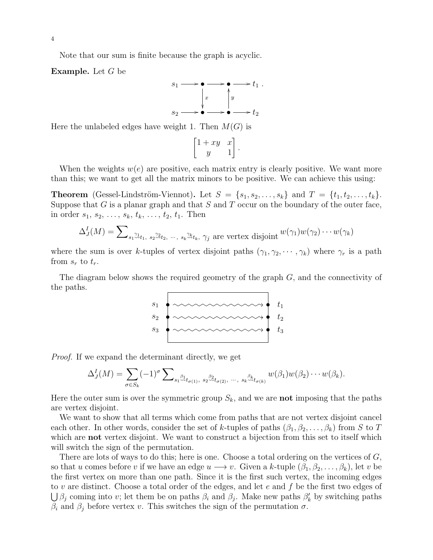Note that our sum is finite because the graph is acyclic.

Example. Let G be



Here the unlabeled edges have weight 1. Then  $M(G)$  is

$$
\begin{bmatrix} 1+xy & x \\ y & 1 \end{bmatrix}.
$$

When the weights  $w(e)$  are positive, each matrix entry is clearly positive. We want more than this; we want to get all the matrix minors to be positive. We can achieve this using:

**Theorem** (Gessel-Lindström-Viennot). Let  $S = \{s_1, s_2, \ldots, s_k\}$  and  $T = \{t_1, t_2, \ldots, t_k\}.$ Suppose that  $G$  is a planar graph and that  $S$  and  $T$  occur on the boundary of the outer face, in order  $s_1, s_2, \ldots, s_k, t_k, \ldots, t_2, t_1$ . Then

$$
\Delta_J^I(M) = \sum\nolimits_{s_1 \overset{\gamma_1}{\sim} t_1, s_2 \overset{\gamma_2}{\sim} t_2, \cdots, s_k \overset{\gamma_k}{\sim} t_k, \gamma_j \text{ are vertex disjoint } w(\gamma_1)w(\gamma_2) \cdots w(\gamma_k)
$$

where the sum is over k-tuples of vertex disjoint paths  $(\gamma_1, \gamma_2, \cdots, \gamma_k)$  where  $\gamma_r$  is a path from  $s_r$  to  $t_r$ .

The diagram below shows the required geometry of the graph G, and the connectivity of the paths.



Proof. If we expand the determinant directly, we get

$$
\Delta_J^I(M) = \sum_{\sigma \in S_k} (-1)^{\sigma} \sum\nolimits_{s_1 \stackrel{\beta_1}{\leadsto} t_{\sigma(1)}, s_2 \stackrel{\beta_2}{\leadsto} t_{\sigma(2)}, \dots, s_k \stackrel{\beta_k}{\leadsto} t_{\sigma(k)}} w(\beta_1) w(\beta_2) \cdots w(\beta_k).
$$

Here the outer sum is over the symmetric group  $S_k$ , and we are **not** imposing that the paths are vertex disjoint.

We want to show that all terms which come from paths that are not vertex disjoint cancel each other. In other words, consider the set of k-tuples of paths  $(\beta_1, \beta_2, \ldots, \beta_k)$  from S to T which are **not** vertex disjoint. We want to construct a bijection from this set to itself which will switch the sign of the permutation.

There are lots of ways to do this; here is one. Choose a total ordering on the vertices of  $G$ , so that u comes before v if we have an edge  $u \longrightarrow v$ . Given a k-tuple  $(\beta_1, \beta_2, \ldots, \beta_k)$ , let v be the first vertex on more than one path. Since it is the first such vertex, the incoming edges to v are distinct. Choose a total order of the edges, and let  $e$  and  $f$  be the first two edges of  $\bigcup \beta_j$  coming into v; let them be on paths  $\beta_i$  and  $\beta_j$ . Make new paths  $\beta'_k$  by switching paths  $\beta_i$  and  $\beta_j$  before vertex v. This switches the sign of the permutation  $\sigma$ .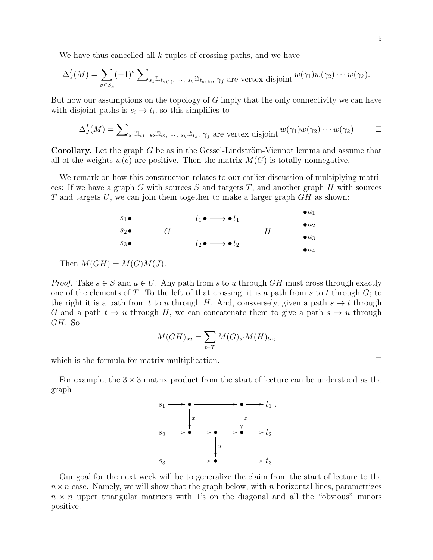We have thus cancelled all  $k$ -tuples of crossing paths, and we have

$$
\Delta_J^I(M) = \sum_{\sigma \in S_k} (-1)^\sigma \sum_{s_1 \stackrel{\gamma_1}{\leadsto} t_{\sigma(1)}, \dots, s_k \stackrel{\gamma_k}{\leadsto} t_{\sigma(k)}, \gamma_j \text{ are vertex disjoint } w(\gamma_1)w(\gamma_2)\cdots w(\gamma_k).
$$

But now our assumptions on the topology of  $G$  imply that the only connectivity we can have with disjoint paths is  $s_i \to t_i$ , so this simplifies to

$$
\Delta_J^I(M) = \sum\nolimits_{s_1 \stackrel{\gamma_1}{\sim} t_1, \ s_2 \stackrel{\gamma_2}{\sim} t_2, \ \cdots, \ s_k \stackrel{\gamma_k}{\sim} t_k, \ \gamma_j \text{ are vertex disjoint}} w(\gamma_1)w(\gamma_2)\cdots w(\gamma_k) \qquad \Box
$$

**Corollary.** Let the graph  $G$  be as in the Gessel-Lindström-Viennot lemma and assume that all of the weights  $w(e)$  are positive. Then the matrix  $M(G)$  is totally nonnegative.

We remark on how this construction relates to our earlier discussion of multiplying matrices: If we have a graph G with sources S and targets  $T$ , and another graph H with sources T and targets U, we can join them together to make a larger graph  $GH$  as shown:



Then  $M(GH) = M(G)M(J)$ .

*Proof.* Take  $s \in S$  and  $u \in U$ . Any path from s to u through GH must cross through exactly one of the elements of T. To the left of that crossing, it is a path from s to t through  $G$ ; to the right it is a path from t to u through H. And, consversely, given a path  $s \to t$  through G and a path  $t \to u$  through H, we can concatenate them to give a path  $s \to u$  through GH. So

$$
M(GH)_{su} = \sum_{t \in T} M(G)_{st} M(H)_{tu},
$$

which is the formula for matrix multiplication.  $\Box$ 

For example, the  $3 \times 3$  matrix product from the start of lecture can be understood as the graph



Our goal for the next week will be to generalize the claim from the start of lecture to the  $n \times n$  case. Namely, we will show that the graph below, with n horizontal lines, parametrizes  $n \times n$  upper triangular matrices with 1's on the diagonal and all the "obvious" minors positive.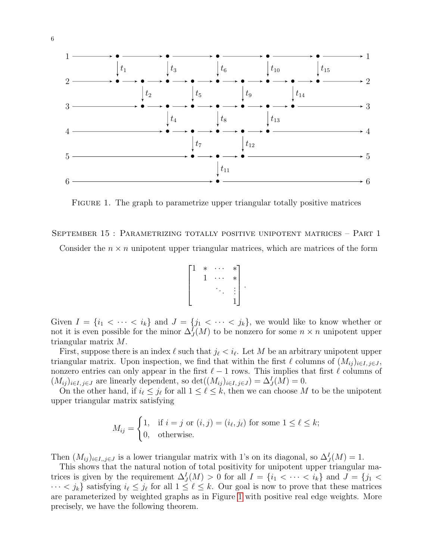

<span id="page-5-1"></span>FIGURE 1. The graph to parametrize upper triangular totally positive matrices

<span id="page-5-0"></span>September 15 : Parametrizing totally positive unipotent matrices – Part 1

Consider the  $n \times n$  unipotent upper triangular matrices, which are matrices of the form

$$
\begin{bmatrix} 1 & * & \cdots & * \\ & 1 & \cdots & * \\ & & \ddots & \vdots \\ & & & 1 \end{bmatrix}.
$$

Given  $I = \{i_1 < \cdots < i_k\}$  and  $J = \{j_1 < \cdots < j_k\}$ , we would like to know whether or not it is even possible for the minor  $\Delta_J^I(M)$  to be nonzero for some  $n \times n$  unipotent upper triangular matrix M.

First, suppose there is an index  $\ell$  such that  $j_{\ell} < i_{\ell}$ . Let M be an arbitrary unipotent upper triangular matrix. Upon inspection, we find that within the first  $\ell$  columns of  $(M_{ij})_{i\in I, i\in J}$ , nonzero entries can only appear in the first  $\ell - 1$  rows. This implies that first  $\ell$  columns of  $(M_{ij})_{i\in I, j\in J}$  are linearly dependent, so  $\det((M_{ij})_{i\in I, j\in J}) = \Delta^I_J(M) = 0$ .

On the other hand, if  $i_\ell \leq j_\ell$  for all  $1 \leq \ell \leq k$ , then we can choose M to be the unipotent upper triangular matrix satisfying

$$
M_{ij} = \begin{cases} 1, & \text{if } i = j \text{ or } (i, j) = (i_{\ell}, j_{\ell}) \text{ for some } 1 \le \ell \le k; \\ 0, & \text{otherwise.} \end{cases}
$$

Then  $(M_{ij})_{i\in I,j\in J}$  is a lower triangular matrix with 1's on its diagonal, so  $\Delta^I_J(M)=1$ .

This shows that the natural notion of total positivity for unipotent upper triangular matrices is given by the requirement  $\Delta_J^I(M) > 0$  for all  $I = \{i_1 < \cdots < i_k\}$  and  $J = \{j_1 <$  $\cdots < j_k$  satisfying  $i_\ell \leq j_\ell$  for all  $1 \leq \ell \leq k$ . Our goal is now to prove that these matrices are parameterized by weighted graphs as in Figure [1](#page-5-1) with positive real edge weights. More precisely, we have the following theorem.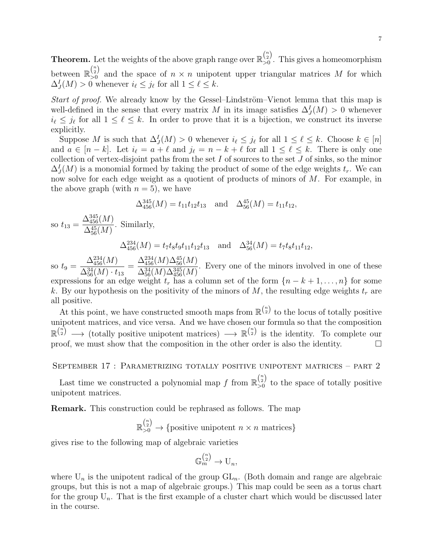**Theorem.** Let the weights of the above graph range over  $\mathbb{R}_{\geq 0}^{n \choose 2}$  $\frac{12}{20}$ . This gives a homeomorphism between  $\mathbb{R}_{>0}^{\binom{n}{2}}$  $\sum_{0}^{2}$  and the space of  $n \times n$  unipotent upper triangular matrices M for which  $\Delta_J^I(M) > 0$  whenever  $i_\ell \leq j_\ell$  for all  $1 \leq \ell \leq k$ .

Start of proof. We already know by the Gessel–Lindström–Vienot lemma that this map is well-defined in the sense that every matrix M in its image satisfies  $\Delta_J^I(M) > 0$  whenever  $i_{\ell} \leq j_{\ell}$  for all  $1 \leq \ell \leq k$ . In order to prove that it is a bijection, we construct its inverse explicitly.

Suppose M is such that  $\Delta_J^I(M) > 0$  whenever  $i_\ell \leq j_\ell$  for all  $1 \leq \ell \leq k$ . Choose  $k \in [n]$ and  $a \in [n-k]$ . Let  $i_{\ell} = a + \ell$  and  $j_{\ell} = n - k + \ell$  for all  $1 \leq \ell \leq k$ . There is only one collection of vertex-disjoint paths from the set  $I$  of sources to the set  $J$  of sinks, so the minor  $\Delta_J^I(M)$  is a monomial formed by taking the product of some of the edge weights  $t_r$ . We can now solve for each edge weight as a quotient of products of minors of M. For example, in the above graph (with  $n = 5$ ), we have

$$
\Delta_{456}^{345}(M) = t_{11}t_{12}t_{13} \text{ and } \Delta_{56}^{45}(M) = t_{11}t_{12},
$$

so  $t_{13} =$  $\Delta_{456}^{345}(M)$  $\Delta^{45}_{56}(M)$ . Similarly,

 $\Delta_{456}^{234}(M) = t_7t_8t_9t_{11}t_{12}t_{13}$  and  $\Delta_{56}^{34}(M) = t_7t_8t_{11}t_{12}$ ,

so  $t_9 =$  $\Delta^{234}_{456}(M)$  $\Delta^{34}_{56}(M) \cdot t_{13}$ =  $\Delta_{456}^{234}(M) \Delta_{56}^{45}(M)$  $\Delta^{34}_{56}(M) \Delta^{345}_{456}(M)$ . Every one of the minors involved in one of these expressions for an edge weight  $t_r$  has a column set of the form  $\{n-k+1,\ldots,n\}$  for some k. By our hypothesis on the positivity of the minors of M, the resulting edge weights  $t_r$  are all positive.

At this point, we have constructed smooth maps from  $\mathbb{R}^{n \choose 2}$  to the locus of totally positive unipotent matrices, and vice versa. And we have chosen our formula so that the composition  $\mathbb{R}^{n \choose 2} \longrightarrow$  (totally positive unipotent matrices)  $\longrightarrow \mathbb{R}^{n \choose 2}$  is the identity. To complete our proof, we must show that the composition in the other order is also the identity.  $\Box$ 

<span id="page-6-0"></span>September 17 : Parametrizing totally positive unipotent matrices – part 2

Last time we constructed a polynomial map f from  $\mathbb{R}_{\geq 0}^{n \choose 2}$  $\frac{12}{50}$  to the space of totally positive unipotent matrices.

Remark. This construction could be rephrased as follows. The map

 $\mathbb{R}_{>0}^{n \choose 2} \rightarrow$  {positive unipotent  $n \times n$  matrices}

gives rise to the following map of algebraic varieties

$$
\mathbb{G}_m^{n \choose 2} \to \mathrm{U}_n,
$$

where  $U_n$  is the unipotent radical of the group  $GL_n$ . (Both domain and range are algebraic groups, but this is not a map of algebraic groups.) This map could be seen as a torus chart for the group  $U_n$ . That is the first example of a cluster chart which would be discussed later in the course.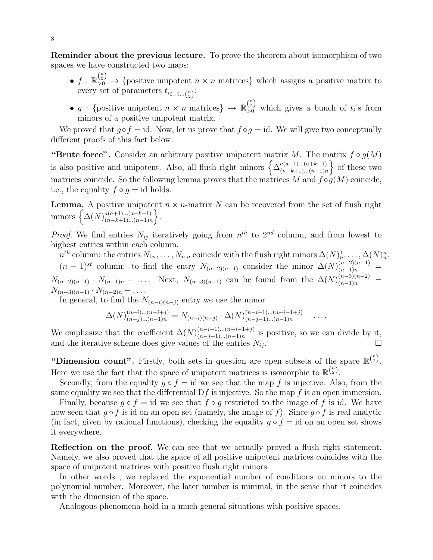Reminder about the previous lecture. To prove the theorem about isomorphism of two spaces we have constructed two maps:

- $f: \mathbb{R}_{>0}^{n \choose 2} \to$  {positive unipotent  $n \times n$  matrices} which assigns a positive matrix to every set of parameters  $t_{i_{i=1...{n \choose 2}}};$
- g: {positive unipotent  $n \times n$  matrices}  $\rightarrow \mathbb{R}_{\geq 0}^{n \choose 2}$  which gives a bunch of  $t_i$ 's from minors of a positive unipotent matrix.

We proved that  $g \circ f = id$ . Now, let us prove that  $f \circ g = id$ . We will give two conceptually different proofs of this fact below.

"Brute force". Consider an arbitrary positive unipotent matrix M. The matrix  $f \circ g(M)$ is also positive and unipotent. Also, all flush right minors  $\left\{ \Delta_{(n-k+1)...(n-k+1)}^{a(a+1)...(a+k-1)} \right\}$  $\binom{a(a+1)...(a+k-1)}{(n-k+1)...(n-1)n}$  of these two matrices coincide. So the following lemma proves that the matrices M and  $f \circ q(M)$  coincide, i.e., the equality  $f \circ q = id$  holds.

**Lemma.** A positive unipotent  $n \times n$ -matrix N can be recovered from the set of flush right minors  $\Big\{\Delta(N)_{(n-k+1)...(n+k-1)}^{a(a+1)...(a+k-1)}\Big\}$  $a(a+1)...(a+k-1)$ <br>  $(n-k+1)...(n-1)n$ .

*Proof.* We find entries  $N_{ij}$  iteratively going from  $n^{th}$  to  $2^{nd}$  column, and from lowest to highest entries within each column.

 $n^{th}$  column: the entries  $N_{1n}, \ldots, N_{n,n}$  coincide with the flush right minors  $\Delta(N)^{1}_{n}, \ldots, \Delta(N)^{n}_{n}$ .  $(n-1)^{st}$  column: to find the entry  $N_{(n-2)(n-1)}$  consider the minor  $\Delta(N)_{(n-1)n}^{(n-2)(n-1)}$  =  $N_{(n-2)(n-1)} \cdot N_{(n-1)n} - \ldots$  Next,  $N_{(n-3)(n-1)}$  can be found from the  $\Delta(N)_{(n-1)n}^{(n-3)(n-2)}$  =  $N_{(n-3)(n-1)} \cdot N_{(n-2)n} - \ldots$ 

In general, to find the  $N_{(n-i)(n-j)}$  entry we use the minor

$$
\Delta(N)_{(n-j)...(n-1)n}^{(n-i)...(n-i+j)} = N_{(n-i)(n-j)} \cdot \Delta(N)_{(n-j-1)...(n-1)n}^{(n-i-1)...(n-i-1+j)} - \dots
$$

We emphasize that the coefficient  $\Delta(N)_{(n-i-1)}^{(n-i-1)...(n-i-1+j)}$  $\frac{(n-i-1)...(n-i+1)}{(n-j-1)...(n-1)n}$  is positive, so we can divide by it, and the iterative scheme does give values of the entries  $N_{ij}$ .

"Dimension count". Firstly, both sets in question are open subsets of the space  $\mathbb{R}^{n \choose 2}$ . Here we use the fact that the space of unipotent matrices is isomorphic to  $\mathbb{R}^{n \choose 2}$ .

Secondly, from the equality  $g \circ f = id$  we see that the map f is injective. Also, from the same equality we see that the differential  $Df$  is injective. So the map f is an open immersion.

Finally, because  $g \circ f = id$  we see that  $f \circ g$  restricted to the image of f is id. We have now seen that  $q \circ f$  is id on an open set (namely, the image of f). Since  $q \circ f$  is real analytic (in fact, given by rational functions), checking the equality  $g \circ f = id$  on an open set shows it everywhere.

Reflection on the proof. We can see that we actually proved a flush right statement. Namely, we also proved that the space of all positive unipotent matrices coincides with the space of unipotent matrices with positive flush right minors.

In other words , we replaced the exponential number of conditions on minors to the polynomial number. Moreover, the later number is minimal, in the sense that it coincides with the dimension of the space.

Analogous phenomena hold in a much general situations with positive spaces.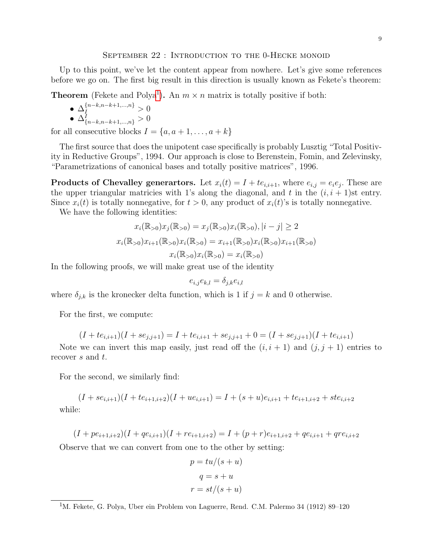#### <span id="page-8-0"></span>SEPTEMBER 22 : INTRODUCTION TO THE 0-HECKE MONOID

Up to this point, we've let the content appear from nowhere. Let's give some references before we go on. The first big result in this direction is usually known as Fekete's theorem:

**Theorem** (Fekete and Polya<sup>[1](#page-8-1)</sup>). An  $m \times n$  matrix is totally positive if both:

- $\bullet \: \Delta_I^{\{n-k,n-k+1,...,n\}} > 0$
- $\Delta^I_{\{n-k,n-k+1,\dots,n\}} > 0$

for all consecutive blocks  $I = \{a, a+1, \ldots, a+k\}$ 

The first source that does the unipotent case specifically is probably Lusztig "Total Positivity in Reductive Groups", 1994. Our approach is close to Berenstein, Fomin, and Zelevinsky, "Parametrizations of canonical bases and totally positive matrices", 1996.

**Products of Chevalley generartors.** Let  $x_i(t) = I + te_{i,i+1}$ , where  $e_{i,j} = e_i e_j$ . These are the upper triangular matricies with 1's along the diagonal, and t in the  $(i, i + 1)$ st entry. Since  $x_i(t)$  is totally nonnegative, for  $t > 0$ , any product of  $x_i(t)$ 's is totally nonnegative.

We have the following identities:

$$
x_i(\mathbb{R}_{>0})x_j(\mathbb{R}_{>0}) = x_j(\mathbb{R}_{>0})x_i(\mathbb{R}_{>0}), |i - j| \ge 2
$$
  

$$
x_i(\mathbb{R}_{>0})x_{i+1}(\mathbb{R}_{>0})x_i(\mathbb{R}_{>0}) = x_{i+1}(\mathbb{R}_{>0})x_i(\mathbb{R}_{>0})x_{i+1}(\mathbb{R}_{>0})
$$
  

$$
x_i(\mathbb{R}_{>0})x_i(\mathbb{R}_{>0}) = x_i(\mathbb{R}_{>0})
$$

In the following proofs, we will make great use of the identity

$$
e_{i,j}e_{k,l} = \delta_{j,k}e_{i,l}
$$

where  $\delta_{j,k}$  is the kronecker delta function, which is 1 if  $j = k$  and 0 otherwise.

For the first, we compute:

$$
(I + te_{i,i+1})(I + se_{j,j+1}) = I + te_{i,i+1} + se_{j,j+1} + 0 = (I + se_{j,j+1})(I + te_{i,i+1})
$$

Note we can invert this map easily, just read off the  $(i, i + 1)$  and  $(j, j + 1)$  entries to recover s and t.

For the second, we similarly find:

 $(I + se_{i,i+1})(I + te_{i+1,i+2})(I + ue_{i,i+1}) = I + (s+u)e_{i,i+1} + te_{i+1,i+2} + ste_{i,i+2}$ while:

$$
(I + pe_{i+1,i+2})(I + qe_{i,i+1})(I + re_{i+1,i+2}) = I + (p+r)e_{i+1,i+2} + qe_{i,i+1} + qre_{i,i+2}
$$

Observe that we can convert from one to the other by setting:

$$
p = tu/(s+u)
$$

$$
q = s+u
$$

$$
r = st/(s+u)
$$

<span id="page-8-1"></span><sup>1</sup>M. Fekete, G. Polya, Uber ein Problem von Laguerre, Rend. C.M. Palermo 34 (1912) 89–120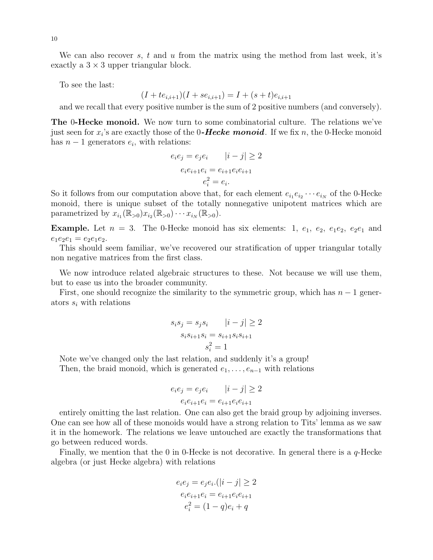We can also recover s, t and u from the matrix using the method from last week, it's exactly a  $3 \times 3$  upper triangular block.

To see the last:

$$
(I + te_{i,i+1})(I + se_{i,i+1}) = I + (s + t)e_{i,i+1}
$$

and we recall that every positive number is the sum of 2 positive numbers (and conversely).

**The 0-Hecke monoid.** We now turn to some combinatorial culture. The relations we've just seen for  $x_i$ 's are exactly those of the 0-Hecke monoid. If we fix n, the 0-Hecke monoid has  $n-1$  generators  $e_i$ , with relations:

$$
e_i e_j = e_j e_i \t |i - j| \ge 2
$$
  

$$
e_i e_{i+1} e_i = e_{i+1} e_i e_{i+1}
$$
  

$$
e_i^2 = e_i.
$$

So it follows from our computation above that, for each element  $e_{i_1}e_{i_2}\cdots e_{i_N}$  of the 0-Hecke monoid, there is unique subset of the totally nonnegative unipotent matrices which are parametrized by  $x_{i_1}(\mathbb{R}_{>0})x_{i_2}(\mathbb{R}_{>0})\cdots x_{i_N}(\mathbb{R}_{>0}).$ 

**Example.** Let  $n = 3$ . The 0-Hecke monoid has six elements: 1,  $e_1$ ,  $e_2$ ,  $e_1e_2$ ,  $e_2e_1$  and  $e_1e_2e_1 = e_2e_1e_2.$ 

This should seem familiar, we've recovered our stratification of upper triangular totally non negative matrices from the first class.

We now introduce related algebraic structures to these. Not because we will use them, but to ease us into the broader community.

First, one should recognize the similarity to the symmetric group, which has  $n-1$  generators  $s_i$  with relations

$$
s_i s_j = s_j s_i \t |i - j| \ge 2
$$
  

$$
s_i s_{i+1} s_i = s_{i+1} s_i s_{i+1}
$$
  

$$
s_i^2 = 1
$$

Note we've changed only the last relation, and suddenly it's a group! Then, the braid monoid, which is generated  $e_1, \ldots, e_{n-1}$  with relations

$$
e_i e_j = e_j e_i \t |i - j| \ge 2
$$
  

$$
e_i e_{i+1} e_i = e_{i+1} e_i e_{i+1}
$$

entirely omitting the last relation. One can also get the braid group by adjoining inverses. One can see how all of these monoids would have a strong relation to Tits' lemma as we saw it in the homework. The relations we leave untouched are exactly the transformations that go between reduced words.

Finally, we mention that the 0 in 0-Hecke is not decorative. In general there is a q-Hecke algebra (or just Hecke algebra) with relations

$$
e_i e_j = e_j e_i. (|i - j| \ge 2
$$

$$
e_i e_{i+1} e_i = e_{i+1} e_i e_{i+1}
$$

$$
e_i^2 = (1 - q) e_i + q
$$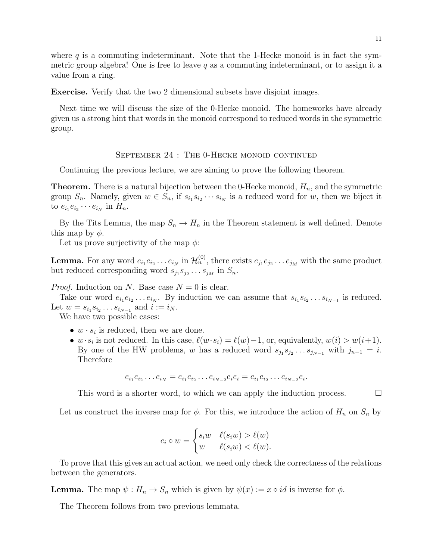where  $q$  is a commuting indeterminant. Note that the 1-Hecke monoid is in fact the symmetric group algebra! One is free to leave q as a commuting indeterminant, or to assign it a value from a ring.

Exercise. Verify that the two 2 dimensional subsets have disjoint images.

Next time we will discuss the size of the 0-Hecke monoid. The homeworks have already given us a strong hint that words in the monoid correspond to reduced words in the symmetric group.

### <span id="page-10-0"></span>September 24 : The 0-Hecke monoid continued

Continuing the previous lecture, we are aiming to prove the following theorem.

**Theorem.** There is a natural bijection between the 0-Hecke monoid,  $H_n$ , and the symmetric group  $S_n$ . Namely, given  $w \in S_n$ , if  $s_{i_1} s_{i_2} \cdots s_{i_N}$  is a reduced word for w, then we biject it to  $e_{i_1}e_{i_2}\cdots e_{i_N}$  in  $H_n$ .

By the Tits Lemma, the map  $S_n \to H_n$  in the Theorem statement is well defined. Denote this map by  $\phi$ .

Let us prove surjectivity of the map  $\phi$ :

**Lemma.** For any word  $e_{i_1}e_{i_2}\ldots e_{i_N}$  in  $\mathcal{H}_n^{(0)}$ , there exists  $e_{j_1}e_{j_2}\ldots e_{j_M}$  with the same product but reduced corresponding word  $s_{j_1} s_{j_2} \dots s_{j_M}$  in  $S_n$ .

*Proof.* Induction on N. Base case  $N = 0$  is clear.

Take our word  $e_{i_1}e_{i_2}\ldots e_{i_N}$ . By induction we can assume that  $s_{i_1}s_{i_2}\ldots s_{i_{N-1}}$  is reduced. Let  $w = s_{i_1} s_{i_2} \dots s_{i_{N-1}}$  and  $i := i_N$ .

We have two possible cases:

- $w \cdot s_i$  is reduced, then we are done.
- $w \cdot s_i$  is not reduced. In this case,  $\ell(w \cdot s_i) = \ell(w)-1$ , or, equivalently,  $w(i) > w(i+1)$ . By one of the HW problems, w has a reduced word  $s_{j_1} s_{j_2} \dots s_{j_{N-1}}$  with  $j_{n-1} = i$ . Therefore

$$
e_{i_1}e_{i_2}\dots e_{i_N}=e_{i_1}e_{i_2}\dots e_{i_{N-2}}e_ie_i=e_{i_1}e_{i_2}\dots e_{i_{N-2}}e_i.
$$

This word is a shorter word, to which we can apply the induction process.  $\Box$ 

Let us construct the inverse map for  $\phi$ . For this, we introduce the action of  $H_n$  on  $S_n$  by

$$
e_i \circ w = \begin{cases} s_i w & \ell(s_i w) > \ell(w) \\ w & \ell(s_i w) < \ell(w). \end{cases}
$$

To prove that this gives an actual action, we need only check the correctness of the relations between the generators.

**Lemma.** The map  $\psi : H_n \to S_n$  which is given by  $\psi(x) := x \circ id$  is inverse for  $\phi$ .

The Theorem follows from two previous lemmata.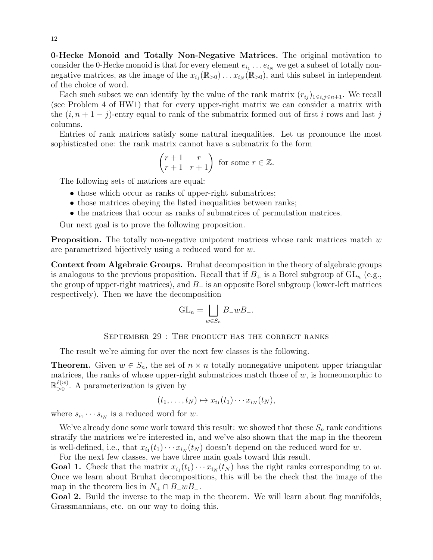0-Hecke Monoid and Totally Non-Negative Matrices. The original motivation to consider the 0-Hecke monoid is that for every element  $e_{i_1} \dots e_{i_N}$  we get a subset of totally nonnegative matrices, as the image of the  $x_{i_1}(\mathbb{R}_{>0})\dots x_{i_N}(\mathbb{R}_{>0})$ , and this subset in independent of the choice of word.

Each such subset we can identify by the value of the rank matrix  $(r_{ij})_{1\leq i,j\leq n+1}$ . We recall (see Problem 4 of HW1) that for every upper-right matrix we can consider a matrix with the  $(i, n+1-j)$ -entry equal to rank of the submatrix formed out of first i rows and last j columns.

Entries of rank matrices satisfy some natural inequalities. Let us pronounce the most sophisticated one: the rank matrix cannot have a submatrix fo the form

$$
\begin{pmatrix} r+1 & r \\ r+1 & r+1 \end{pmatrix}
$$
 for some  $r \in \mathbb{Z}$ .

The following sets of matrices are equal:

- those which occur as ranks of upper-right submatrices;
- those matrices obeying the listed inequalities between ranks;
- the matrices that occur as ranks of submatrices of permutation matrices.

Our next goal is to prove the following proposition.

**Proposition.** The totally non-negative unipotent matrices whose rank matrices match  $w$ are parametrized bijectively using a reduced word for w.

Context from Algebraic Groups. Bruhat decomposition in the theory of algebraic groups is analogous to the previous proposition. Recall that if  $B_+$  is a Borel subgroup of  $GL_n$  (e.g., the group of upper-right matrices), and  $B_-\$  is an opposite Borel subgroup (lower-left matrices respectively). Then we have the decomposition

$$
GL_n = \bigsqcup_{w \in S_n} B_{-}wB_{-}.
$$

<span id="page-11-0"></span>SEPTEMBER 29 : THE PRODUCT HAS THE CORRECT RANKS

The result we're aiming for over the next few classes is the following.

**Theorem.** Given  $w \in S_n$ , the set of  $n \times n$  totally nonnegative unipotent upper triangular matrices, the ranks of whose upper-right submatrices match those of  $w$ , is homeomorphic to  $\mathbb{R}^{\ell(w)}$  $_{>0}^{\ell(w)}$ . A parameterization is given by

$$
(t_1,\ldots,t_N)\mapsto x_{i_1}(t_1)\cdots x_{i_N}(t_N),
$$

where  $s_{i_1} \cdots s_{i_N}$  is a reduced word for w.

We've already done some work toward this result: we showed that these  $S_n$  rank conditions stratify the matrices we're interested in, and we've also shown that the map in the theorem is well-defined, i.e., that  $x_{i_1}(t_1)\cdots x_{i_N}(t_N)$  doesn't depend on the reduced word for w.

For the next few classes, we have three main goals toward this result.

**Goal 1.** Check that the matrix  $x_{i_1}(t_1)\cdots x_{i_N}(t_N)$  has the right ranks corresponding to w. Once we learn about Bruhat decompositions, this will be the check that the image of the map in the theorem lies in  $N_+ \cap B_-wB_-$ .

Goal 2. Build the inverse to the map in the theorem. We will learn about flag manifolds, Grassmannians, etc. on our way to doing this.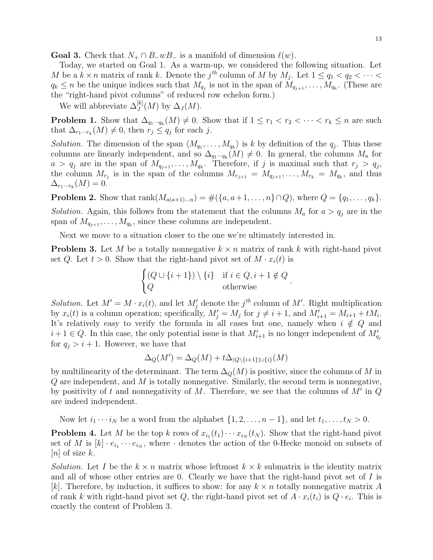**Goal 3.** Check that  $N_+ \cap B_-wB_-$  is a manifold of dimension  $\ell(w)$ .

Today, we started on Goal 1. As a warm-up, we considered the following situation. Let M be a  $k \times n$  matrix of rank k. Denote the  $j^{th}$  column of M by  $M_j$ . Let  $1 \le q_1 < q_2 < \cdots <$  $q_k \leq n$  be the unique indices such that  $M_{q_j}$  is not in the span of  $M_{q_{j+1}}, \ldots, M_{q_k}$ . (These are the "right-hand pivot columns" of reduced row echelon form.)

We will abbreviate  $\Delta_J^{[k]}(M)$  by  $\Delta_J(M)$ .

**Problem 1.** Show that  $\Delta_{q_1\cdots q_k}(M) \neq 0$ . Show that if  $1 \leq r_1 < r_2 < \cdots < r_k \leq n$  are such that  $\Delta_{r_1\cdots r_k}(M) \neq 0$ , then  $r_j \leq q_j$  for each j.

Solution. The dimension of the span  $\langle M_{q_1}, \ldots, M_{q_k} \rangle$  is k by definition of the  $q_j$ . Thus these columns are linearly independent, and so  $\Delta_{q_1\cdots q_k}(M) \neq 0$ . In general, the columns  $M_a$  for  $a > q_j$  are in the span of  $M_{q_{j+1}}, \ldots, M_{q_k}$ . Therefore, if j is maximal such that  $r_j > q_j$ , the column  $M_{r_j}$  is in the span of the columns  $M_{r_{j+1}} = M_{q_{j+1}}, \ldots, M_{r_k} = M_{q_k}$ , and thus  $\Delta_{r_1\cdots r_k}(M)=0.$ 

**Problem 2.** Show that  $\text{rank}(M_{a(a+1)...n}) = \#(\{a, a+1, ..., n\} \cap Q)$ , where  $Q = \{q_1, ..., q_k\}.$ Solution. Again, this follows from the statement that the columns  $M_a$  for  $a > q_i$  are in the span of  $M_{q_{j+1}}, \ldots, M_{q_k}$ , since these columns are independent.

Next we move to a situation closer to the one we're ultimately interested in.

**Problem 3.** Let M be a totally nonnegative  $k \times n$  matrix of rank k with right-hand pivot set Q. Let  $t > 0$ . Show that the right-hand pivot set of  $M \cdot x_i(t)$  is

$$
\begin{cases} (Q \cup \{i+1\}) \setminus \{i\} & \text{if } i \in Q, i+1 \notin Q \\ Q & \text{otherwise} \end{cases}
$$

.

Solution. Let  $M' = M \cdot x_i(t)$ , and let  $M'_j$  denote the j<sup>th</sup> column of M'. Right multiplication by  $x_i(t)$  is a column operation; specifically,  $M'_j = M_j$  for  $j \neq i + 1$ , and  $M'_{i+1} = M_{i+1} + tM_i$ . It's relatively easy to verify the formula in all cases but one, namely when  $i \notin Q$  and  $i+1 \in Q$ . In this case, the only potential issue is that  $M'_{i+1}$  is no longer independent of  $M'_{q_j}$ for  $q_i > i + 1$ . However, we have that

$$
\Delta_Q(M') = \Delta_Q(M) + t\Delta_{(Q \setminus \{i+1\}) \cup \{i\}}(M)
$$

by multilinearity of the determinant. The term  $\Delta_{\mathcal{Q}}(M)$  is positive, since the columns of M in  $Q$  are independent, and  $M$  is totally nonnegative. Similarly, the second term is nonnegative, by positivity of t and nonnegativity of M. Therefore, we see that the columns of  $M'$  in  $Q$ are indeed independent.

Now let  $i_1 \cdots i_N$  be a word from the alphabet  $\{1, 2, \ldots, n-1\}$ , and let  $t_1, \ldots, t_N > 0$ .

**Problem 4.** Let M be the top k rows of  $x_{i_1}(t_1)\cdots x_{i_N}(t_N)$ . Show that the right-hand pivot set of M is  $[k] \cdot e_{i_1} \cdots e_{i_N}$ , where  $\cdot$  denotes the action of the 0-Hecke monoid on subsets of [*n*] of size  $k$ .

Solution. Let I be the  $k \times n$  matrix whose leftmost  $k \times k$  submatrix is the identity matrix and all of whose other entries are 0. Clearly we have that the right-hand pivot set of  $I$  is [k]. Therefore, by induction, it suffices to show: for any  $k \times n$  totally nonnegative matrix A of rank k with right-hand pivot set Q, the right-hand pivot set of  $A \cdot x_i(t_i)$  is  $Q \cdot e_i$ . This is exactly the content of Problem 3.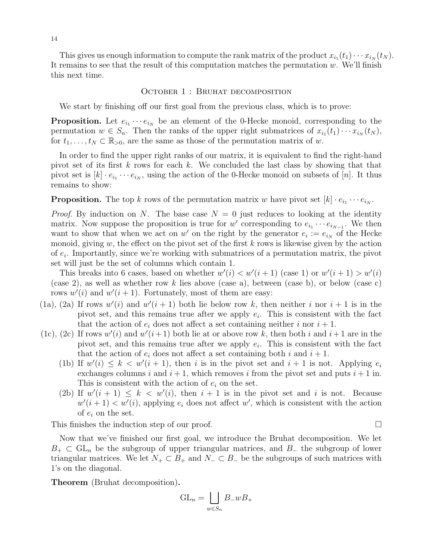This gives us enough information to compute the rank matrix of the product  $x_{i_1}(t_1)\cdots x_{i_N}(t_N)$ . It remains to see that the result of this computation matches the permutation  $w$ . We'll finish this next time.

### <span id="page-13-0"></span>OCTOBER 1 : BRUHAT DECOMPOSITION

We start by finishing off our first goal from the previous class, which is to prove:

**Proposition.** Let  $e_{i_1} \cdots e_{i_N}$  be an element of the 0-Hecke monoid, corresponding to the permutation  $w \in S_n$ . Then the ranks of the upper right submatrices of  $x_{i_1}(t_1) \cdots x_{i_N}(t_N)$ , for  $t_1, \ldots, t_N \subset \mathbb{R}_{>0}$ , are the same as those of the permutation matrix of w.

In order to find the upper right ranks of our matrix, it is equivalent to find the right-hand pivot set of its first k rows for each k. We concluded the last class by showing that that pivot set is  $[k] \cdot e_{i_1} \cdots e_{i_N}$ , using the action of the 0-Hecke monoid on subsets of  $[n]$ . It thus remains to show:

**Proposition.** The top k rows of the permutation matrix w have pivot set  $[k] \cdot e_{i_1} \cdots e_{i_N}$ .

*Proof.* By induction on N. The base case  $N = 0$  just reduces to looking at the identity matrix. Now suppose the proposition is true for w' corresponding to  $e_{i_1} \cdots e_{i_{N-1}}$ . We then want to show that when we act on w' on the right by the generator  $e_i := e_{i_N}$  of the Hecke monoid, giving  $w$ , the effect on the pivot set of the first  $k$  rows is likewise given by the action of  $e_i$ . Importantly, since we're working with submatrices of a permutation matrix, the pivot set will just be the set of columns which contain 1.

This breaks into 6 cases, based on whether  $w'(i) < w'(i+1)$  (case 1) or  $w'(i+1) > w'(i)$ (case 2), as well as whether row k lies above (case a), between (case b), or below (case c) rows  $w'(i)$  and  $w'(i + 1)$ . Fortunately, most of them are easy:

- (1a), (2a) If rows  $w'(i)$  and  $w'(i + 1)$  both lie below row k, then neither i nor  $i + 1$  is in the pivot set, and this remains true after we apply  $e_i$ . This is consistent with the fact that the action of  $e_i$  does not affect a set containing neither i nor  $i + 1$ .
- (1c), (2c) If rows  $w'(i)$  and  $w'(i+1)$  both lie at or above row k, then both i and  $i+1$  are in the pivot set, and this remains true after we apply  $e_i$ . This is consistent with the fact that the action of  $e_i$  does not affect a set containing both i and  $i + 1$ .
	- (1b) If  $w'(i) \leq k < w'(i + 1)$ , then i is in the pivot set and  $i + 1$  is not. Applying  $e_i$ exchanges columns i and  $i + 1$ , which removes i from the pivot set and puts  $i + 1$  in. This is consistent with the action of  $e_i$  on the set.
	- (2b) If  $w'(i + 1) \leq k < w'(i)$ , then  $i + 1$  is in the pivot set and i is not. Because  $w'(i+1) < w'(i)$ , applying  $e_i$  does not affect w', which is consistent with the action of  $e_i$  on the set.

This finishes the induction step of our proof.

Now that we've finished our first goal, we introduce the Bruhat decomposition. We let  $B_+ \subset GL_n$  be the subgroup of upper triangular matrices, and  $B_-$  the subgroup of lower triangular matrices. We let  $N_+ \subset B_+$  and  $N_- \subset B_-$  be the subgroups of such matrices with 1's on the diagonal.

Theorem (Bruhat decomposition).

$$
\mathrm{GL}_n = \bigsqcup_{w \in S_n} B_- w B_+
$$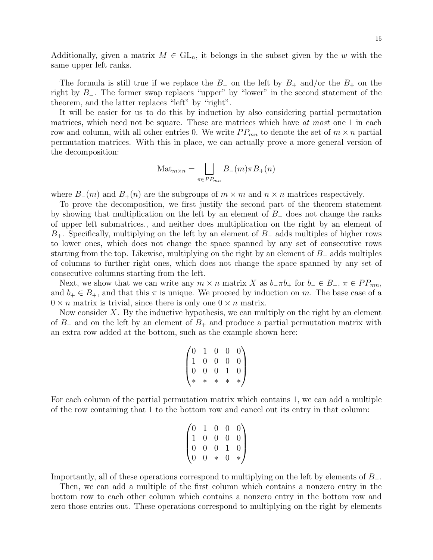Additionally, given a matrix  $M \in GL_n$ , it belongs in the subset given by the w with the same upper left ranks.

The formula is still true if we replace the  $B_-\,$  on the left by  $B_+\,$  and/or the  $B_+\,$  on the right by B−. The former swap replaces "upper" by "lower" in the second statement of the theorem, and the latter replaces "left" by "right".

It will be easier for us to do this by induction by also considering partial permutation matrices, which need not be square. These are matrices which have at most one 1 in each row and column, with all other entries 0. We write  $PP_{mn}$  to denote the set of  $m \times n$  partial permutation matrices. With this in place, we can actually prove a more general version of the decomposition:

$$
Mat_{m \times n} = \bigsqcup_{\pi \in PP_{mn}} B_{-}(m) \pi B_{+}(n)
$$

where  $B_-(m)$  and  $B_+(n)$  are the subgroups of  $m \times m$  and  $n \times n$  matrices respectively.

To prove the decomposition, we first justify the second part of the theorem statement by showing that multiplication on the left by an element of B<sup>−</sup> does not change the ranks of upper left submatrices., and neither does multiplication on the right by an element of B+. Specifically, multiplying on the left by an element of B<sup>−</sup> adds multiples of higher rows to lower ones, which does not change the space spanned by any set of consecutive rows starting from the top. Likewise, multiplying on the right by an element of  $B_+$  adds multiples of columns to further right ones, which does not change the space spanned by any set of consecutive columns starting from the left.

Next, we show that we can write any  $m \times n$  matrix X as  $b_-\pi b_+$  for  $b_-\in B_-, \pi \in PP_{mn}$ , and  $b_+ \in B_+$ , and that this  $\pi$  is unique. We proceed by induction on m. The base case of a  $0 \times n$  matrix is trivial, since there is only one  $0 \times n$  matrix.

Now consider  $X$ . By the inductive hypothesis, we can multiply on the right by an element of B<sub>−</sub> and on the left by an element of  $B_+$  and produce a partial permutation matrix with an extra row added at the bottom, such as the example shown here:

$$
\begin{pmatrix}\n0 & 1 & 0 & 0 & 0 \\
1 & 0 & 0 & 0 & 0 \\
0 & 0 & 0 & 1 & 0 \\
\ast & \ast & \ast & \ast & \ast\n\end{pmatrix}
$$

For each column of the partial permutation matrix which contains 1, we can add a multiple of the row containing that 1 to the bottom row and cancel out its entry in that column:

$$
\begin{pmatrix}\n0 & 1 & 0 & 0 & 0 \\
1 & 0 & 0 & 0 & 0 \\
0 & 0 & 0 & 1 & 0 \\
0 & 0 & * & 0 & * \n\end{pmatrix}
$$

Importantly, all of these operations correspond to multiplying on the left by elements of B−.

Then, we can add a multiple of the first column which contains a nonzero entry in the bottom row to each other column which contains a nonzero entry in the bottom row and zero those entries out. These operations correspond to multiplying on the right by elements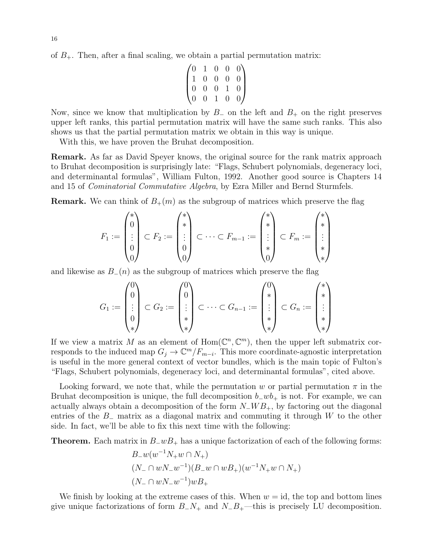of  $B_{+}$ . Then, after a final scaling, we obtain a partial permutation matrix:

$$
\begin{pmatrix}\n0 & 1 & 0 & 0 & 0 \\
1 & 0 & 0 & 0 & 0 \\
0 & 0 & 0 & 1 & 0 \\
0 & 0 & 1 & 0 & 0\n\end{pmatrix}
$$

Now, since we know that multiplication by  $B_-\,$  on the left and  $B_+\,$  on the right preserves upper left ranks, this partial permutation matrix will have the same such ranks. This also shows us that the partial permutation matrix we obtain in this way is unique.

With this, we have proven the Bruhat decomposition.

Remark. As far as David Speyer knows, the original source for the rank matrix approach to Bruhat decomposition is surprisingly late: "Flags, Schubert polynomials, degeneracy loci, and determinantal formulas", William Fulton, 1992. Another good source is Chapters 14 and 15 of Cominatorial Commutative Algebra, by Ezra Miller and Bernd Sturmfels.

**Remark.** We can think of  $B_+(m)$  as the subgroup of matrices which preserve the flag

$$
F_1 := \begin{pmatrix} * \\ 0 \\ \vdots \\ 0 \\ 0 \end{pmatrix} \subset F_2 := \begin{pmatrix} * \\ * \\ \vdots \\ 0 \\ 0 \end{pmatrix} \subset \cdots \subset F_{m-1} := \begin{pmatrix} * \\ * \\ \vdots \\ * \\ 0 \end{pmatrix} \subset F_m := \begin{pmatrix} * \\ * \\ \vdots \\ * \\ * \end{pmatrix}
$$

and likewise as  $B_-(n)$  as the subgroup of matrices which preserve the flag

$$
G_1 := \begin{pmatrix} 0 \\ 0 \\ \vdots \\ 0 \\ * \end{pmatrix} \subset G_2 := \begin{pmatrix} 0 \\ 0 \\ \vdots \\ * \\ * \end{pmatrix} \subset \cdots \subset G_{n-1} := \begin{pmatrix} 0 \\ * \\ \vdots \\ * \\ * \end{pmatrix} \subset G_n := \begin{pmatrix} * \\ * \\ \vdots \\ * \\ * \end{pmatrix}
$$

If we view a matrix M as an element of  $Hom(\mathbb{C}^n,\mathbb{C}^m)$ , then the upper left submatrix corresponds to the induced map  $G_j \to \mathbb{C}^m/F_{m-i}$ . This more coordinate-agnostic interpretation is useful in the more general context of vector bundles, which is the main topic of Fulton's "Flags, Schubert polynomials, degeneracy loci, and determinantal formulas", cited above.

Looking forward, we note that, while the permutation w or partial permutation  $\pi$  in the Bruhat decomposition is unique, the full decomposition  $b_+wb_+$  is not. For example, we can actually always obtain a decomposition of the form  $N_-WB_+$ , by factoring out the diagonal entries of the  $B_-\,$  matrix as a diagonal matrix and commuting it through W to the other side. In fact, we'll be able to fix this next time with the following:

**Theorem.** Each matrix in  $B_{w}B_{+}$  has a unique factorization of each of the following forms:

$$
B_{-}w(w^{-1}N_{+}w \cap N_{+})
$$
  

$$
(N_{-} \cap wN_{-}w^{-1})(B_{-}w \cap wB_{+})(w^{-1}N_{+}w \cap N_{+})
$$
  

$$
(N_{-} \cap wN_{-}w^{-1})wB_{+}
$$

We finish by looking at the extreme cases of this. When  $w = id$ , the top and bottom lines give unique factorizations of form  $B_N_+$  and  $N_B_+$ —this is precisely LU decomposition.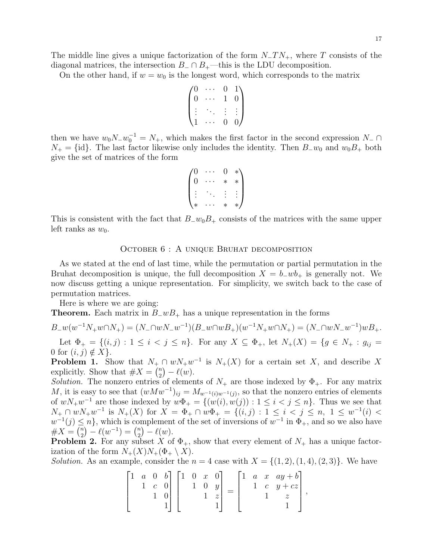The middle line gives a unique factorization of the form  $N_T N_+$ , where T consists of the diagonal matrices, the intersection  $B_-\cap B_+$ —this is the LDU decomposition.

On the other hand, if  $w = w_0$  is the longest word, which corresponds to the matrix

$$
\begin{pmatrix}\n0 & \cdots & 0 & 1 \\
0 & \cdots & 1 & 0 \\
\vdots & \ddots & \vdots & \vdots \\
1 & \cdots & 0 & 0\n\end{pmatrix}
$$

then we have  $w_0 N_- w_0^{-1} = N_+$ , which makes the first factor in the second expression  $N_- \cap$  $N_{+} = \{\text{id}\}.$  The last factor likewise only includes the identity. Then  $B_{-}w_0$  and  $w_0B_{+}$  both give the set of matrices of the form

$$
\begin{pmatrix} 0 & \cdots & 0 & * \\ 0 & \cdots & * & * \\ \vdots & \ddots & \vdots & \vdots \\ * & \cdots & * & * \end{pmatrix}
$$

This is consistent with the fact that  $B_{-}w_{0}B_{+}$  consists of the matrices with the same upper left ranks as  $w_0$ .

## <span id="page-16-0"></span>October 6 : A unique Bruhat decomposition

As we stated at the end of last time, while the permutation or partial permutation in the Bruhat decomposition is unique, the full decomposition  $X = b_+ w b_+$  is generally not. We now discuss getting a unique representation. For simplicity, we switch back to the case of permutation matrices.

Here is where we are going:

**Theorem.** Each matrix in  $B_{-}wB_{+}$  has a unique representation in the forms

 $B_{-}w(w^{-1}N_{+}w\cap N_{+})=(N_{-}\cap wN_{-}w^{-1})(B_{-}w\cap wB_{+})(w^{-1}N_{+}w\cap N_{+})=(N_{-}\cap wN_{-}w^{-1})wB_{+}.$ Let  $\Phi_+ = \{(i, j) : 1 \le i < j \le n\}$ . For any  $X \subseteq \Phi_+$ , let  $N_+(X) = \{g \in N_+ : g_{ij} =$ 

0 for  $(i, j) \notin X$ . **Problem 1.** Show that  $N_+ \cap wN_+w^{-1}$  is  $N_+(X)$  for a certain set X, and describe X explicitly. Show that  $\#X = \binom{n}{2}$  $\binom{n}{2} - \ell(w).$ 

Solution. The nonzero entries of elements of  $N_+$  are those indexed by  $\Phi_+$ . For any matrix M, it is easy to see that  $(wMw^{-1})_{ij} = M_{w^{-1}(i)w^{-1}(j)}$ , so that the nonzero entries of elements of  $wN_+w^{-1}$  are those indexed by  $w\Phi_+ = \{(w(i), w(j)) : 1 \leq i < j \leq n\}$ . Thus we see that  $N_+$  ∩  $wN_+w^{-1}$  is  $N_+(X)$  for  $X = \Phi_+ \cap w\Phi_+ = \{(i,j) : 1 \le i < j \le n, 1 \le w^{-1}(i)$  $w^{-1}(j) \leq n$ , which is complement of the set of inversions of  $w^{-1}$  in  $\Phi_{+}$ , and so we also have  $\#X = \binom{n}{2}$  $\binom{n}{2} - \ell(w^{-1}) = \binom{n}{2}$  $\binom{n}{2} - \ell(w).$ 

**Problem 2.** For any subset X of  $\Phi_+$ , show that every element of  $N_+$  has a unique factorization of the form  $N_{+}(X)N_{+}(\Phi_{+}\setminus X)$ .

Solution. As an example, consider the  $n = 4$  case with  $X = \{(1, 2), (1, 4), (2, 3)\}\.$  We have

$$
\begin{bmatrix} 1 & a & 0 & b \\ & 1 & c & 0 \\ & & 1 & 0 \\ & & & 1 \end{bmatrix} \begin{bmatrix} 1 & 0 & x & 0 \\ & 1 & 0 & y \\ & & 1 & z \\ & & & 1 \end{bmatrix} = \begin{bmatrix} 1 & a & x & ay+b \\ & 1 & c & y+cz \\ & & 1 & z \\ & & & 1 \end{bmatrix},
$$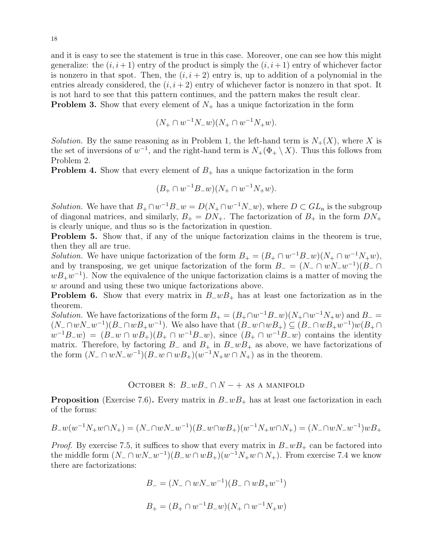and it is easy to see the statement is true in this case. Moreover, one can see how this might generalize: the  $(i, i+1)$  entry of the product is simply the  $(i, i+1)$  entry of whichever factor is nonzero in that spot. Then, the  $(i, i + 2)$  entry is, up to addition of a polynomial in the entries already considered, the  $(i, i + 2)$  entry of whichever factor is nonzero in that spot. It is not hard to see that this pattern continues, and the pattern makes the result clear. **Problem 3.** Show that every element of  $N_{+}$  has a unique factorization in the form

$$
(N_+ \cap w^{-1}N_-w)(N_+ \cap w^{-1}N_+w).
$$

Solution. By the same reasoning as in Problem 1, the left-hand term is  $N_{+}(X)$ , where X is the set of inversions of  $w^{-1}$ , and the right-hand term is  $N_+(\Phi_+ \setminus X)$ . Thus this follows from Problem 2.

**Problem 4.** Show that every element of  $B_+$  has a unique factorization in the form

$$
(B_+ \cap w^{-1}B_- w)(N_+ \cap w^{-1}N_+ w).
$$

*Solution*. We have that  $B_+ \cap w^{-1}B_-w = D(N_+ \cap w^{-1}N_-w)$ , where  $D \subset GL_n$  is the subgroup of diagonal matrices, and similarly,  $B_+ = DN_+$ . The factorization of  $B_+$  in the form  $DN_+$ is clearly unique, and thus so is the factorization in question.

Problem 5. Show that, if any of the unique factorization claims in the theorem is true, then they all are true.

*Solution*. We have unique factorization of the form  $B_+ = (B_+ \cap w^{-1}B_- w)(N_+ \cap w^{-1}N_+ w)$ , and by transposing, we get unique factorization of the form  $B_- = (N_- \cap wN_-w^{-1})(B_- \cap w)$  $wB_+w^{-1}$ ). Now the equivalence of the unique factorization claims is a matter of moving the w around and using these two unique factorizations above.

**Problem 6.** Show that every matrix in  $B_{w}B_{+}$  has at least one factorization as in the theorem.

Solution. We have factorizations of the form  $B_+ = (B_+ \cap w^{-1} B_- w)(N_+ \cap w^{-1} N_+ w)$  and  $B_- =$  $(N_-\cap wN_-w^{-1})(B_-\cap wB_+w^{-1})$ . We also have that  $(B_-w\cap wB_+)\subseteq (B_-\cap wB_+w^{-1})w(B_+\cap wB_+)$  $w^{-1}B_{-}w = (B_{-}w \cap wB_{+})(B_{+} \cap w^{-1}B_{-}w)$ , since  $(B_{+} \cap w^{-1}B_{-}w)$  contains the identity matrix. Therefore, by factoring  $B_-\$  and  $B_+\$  in  $B_-\omega B_+\$  as above, we have factorizations of the form  $(N_-\cap wN_-w^{-1})(B_-w\cap wB_+)(w^{-1}N_+w\cap N_+)$  as in the theorem.

# <span id="page-17-0"></span>OCTOBER 8:  $B_{-}wB_{-} \cap N$  – + as a manifold

**Proposition** (Exercise 7.6). Every matrix in  $B_wB_+$  has at least one factorization in each of the forms:

$$
B_{-}w(w^{-1}N_{+}w\cap N_{+})=(N_{-}\cap wN_{-}w^{-1})(B_{-}w\cap wB_{+})(w^{-1}N_{+}w\cap N_{+})=(N_{-}\cap wN_{-}w^{-1})wB_{+}
$$

*Proof.* By exercise 7.5, it suffices to show that every matrix in  $B_{-}wB_{+}$  can be factored into the middle form  $(N_-\cap wN_-w^{-1})(B_-w\cap wB_+)(w^{-1}N_+w\cap N_+)$ . From exercise 7.4 we know there are factorizations:

$$
B_{-} = (N_{-} \cap wN_{-}w^{-1})(B_{-} \cap wB_{+}w^{-1})
$$
  

$$
B_{+} = (B_{+} \cap w^{-1}B_{-}w)(N_{+} \cap w^{-1}N_{+}w)
$$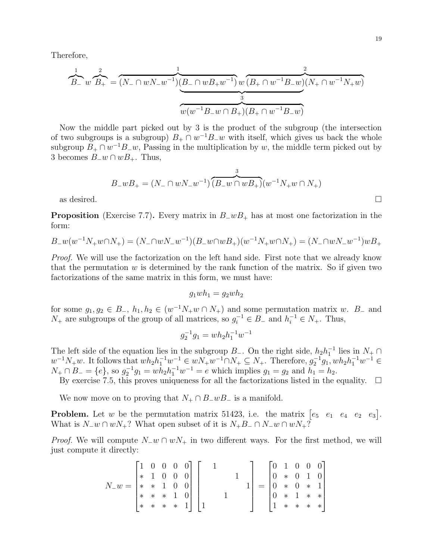Therefore,

$$
B_{-} w B_{+} = (N_{-} \cap w N_{-} w^{-1})(B_{-} \cap w B_{+} w^{-1}) w (B_{+} \cap w^{-1} B_{-} w)(N_{+} \cap w^{-1} N_{+} w)
$$
  

$$
w (w^{-1} B_{-} w \cap B_{+})(B_{+} \cap w^{-1} B_{-} w)
$$

Now the middle part picked out by 3 is the product of the subgroup (the intersection of two subgroups is a subgroup)  $B_+ \cap w^{-1}B_-w$  with itself, which gives us back the whole subgroup  $B_+ \cap w^{-1}B_-w$ , Passing in the multiplication by w, the middle term picked out by 3 becomes  $B_$ w∩  $wB_+$ . Thus,

$$
B_{-}wB_{+} = (N_{-} \cap wN_{-}w^{-1})\overbrace{(B_{-}w \cap wB_{+})}^{3}(w^{-1}N_{+}w \cap N_{+})
$$
 as desired.

**Proposition** (Exercise 7.7). Every matrix in  $B_{-}wB_{+}$  has at most one factorization in the form:

$$
B_{-}w(w^{-1}N_{+}w\cap N_{+}) = (N_{-}\cap wN_{-}w^{-1})(B_{-}w\cap wB_{+})(w^{-1}N_{+}w\cap N_{+}) = (N_{-}\cap wN_{-}w^{-1})wB_{+}
$$

Proof. We will use the factorization on the left hand side. First note that we already know that the permutation  $w$  is determined by the rank function of the matrix. So if given two factorizations of the same matrix in this form, we must have:

$$
g_1 w h_1 = g_2 w h_2
$$

for some  $g_1, g_2 \in B_-, h_1, h_2 \in (w^{-1}N_+w \cap N_+)$  and some permutation matrix w.  $B_-$  and  $N_+$  are subgroups of the group of all matrices, so  $g_i^{-1} \in B_-$  and  $h_i^{-1} \in N_+$ . Thus,

$$
g_2^{-1}g_1 = wh_2h_1^{-1}w^{-1}
$$

The left side of the equation lies in the subgroup  $B_$ . On the right side,  $h_2h_1^{-1}$  lies in  $N_+ \cap$  $w^{-1}N_+w$ . It follows that  $wh_2h_1^{-1}w^{-1} \in wN_+w^{-1} \cap N_+ \subseteq N_+$ . Therefore,  $g_2^{-1}g_1, wh_2h_1^{-1}w^{-1} \in$  $N_+ \cap B_- = \{e\}$ , so  $g_2^{-1}g_1 = wh_2h_1^{-1}w^{-1} = e$  which implies  $g_1 = g_2$  and  $h_1 = h_2$ .

By exercise 7.5, this proves uniqueness for all the factorizations listed in the equality.  $\Box$ 

We now move on to proving that  $N_+ \cap B_-wB_-$  is a manifold.

**Problem.** Let w be the permutation matrix 51423, i.e. the matrix  $\begin{bmatrix} e_5 & e_1 & e_4 & e_2 & e_3 \end{bmatrix}$ . What is  $N_{-}w \cap wN_{+}$ ? What open subset of it is  $N_{+}B_{-} \cap N_{-}w \cap wN_{+}$ ?

*Proof.* We will compute  $N_{-}w \cap wN_{+}$  in two different ways. For the first method, we will just compute it directly:

$$
N_{-}w = \begin{bmatrix} 1 & 0 & 0 & 0 & 0 \\ * & 1 & 0 & 0 & 0 \\ * & * & 1 & 0 & 0 \\ * & * & * & 1 & 0 \\ * & * & * & * & 1 \end{bmatrix} \begin{bmatrix} 1 \\ 1 \\ 1 \\ 1 \end{bmatrix} = \begin{bmatrix} 0 & 1 & 0 & 0 & 0 \\ 0 & * & 0 & 1 & 0 \\ 0 & * & 0 & * & 1 \\ 0 & * & 1 & * & * \\ 1 & * & * & * & * \end{bmatrix}
$$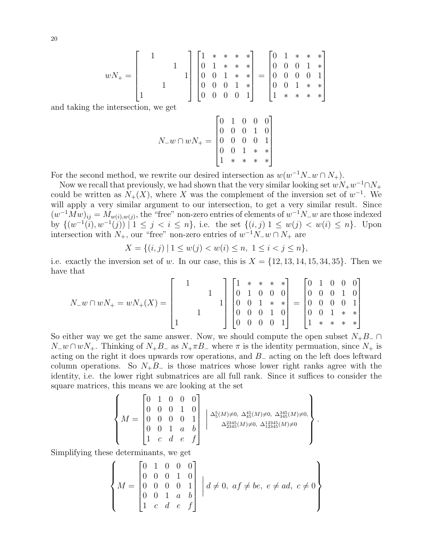$$
wN_+ = \begin{bmatrix} 1 & 1 & 1 \\ & & 1 & 1 \\ & & & 1 & 1 \\ 1 & & & & 1 \end{bmatrix} \begin{bmatrix} 1 & * & * & * & * \\ 0 & 1 & * & * & * \\ 0 & 0 & 1 & * & * \\ 0 & 0 & 0 & 1 & * \\ 0 & 0 & 0 & 0 & 1 \end{bmatrix} = \begin{bmatrix} 0 & 1 & * & * & * \\ 0 & 0 & 0 & 1 & * \\ 0 & 0 & 0 & 0 & 1 \\ 0 & 0 & 1 & * & * \\ 1 & * & * & * & * \end{bmatrix}
$$

1

 $\mathbf{I}$  $\vert$  $\overline{1}$  $\overline{1}$  $\overline{1}$ 

.

and taking the intersection, we get

$$
N_{-}w \cap wN_{+} = \begin{bmatrix} 0 & 1 & 0 & 0 & 0 \\ 0 & 0 & 0 & 1 & 0 \\ 0 & 0 & 0 & 0 & 1 \\ 0 & 0 & 1 & * & * \\ 1 & * & * & * & * \end{bmatrix}
$$

For the second method, we rewrite our desired intersection as  $w(w^{-1}N_{-}w \cap N_{+})$ .

Now we recall that previously, we had shown that the very similar looking set  $wN_+w^{-1} \cap N_+$ could be written as  $N_{+}(X)$ , where X was the complement of the inversion set of  $w^{-1}$ . We will apply a very similar argument to our intersection, to get a very similar result. Since  $(w^{-1}Mw)_{ij} = M_{w(i),w(j)}$ , the "free" non-zero entries of elements of  $w^{-1}N_{-}w$  are those indexed by  $\{(w^{-1}(i), w^{-1}(j)) | 1 \leq j \leq i \leq n\}$ , i.e. the set  $\{(i, j) | 1 \leq w(j) \leq w(i) \leq n\}$ . Upon intersection with  $N_+$ , our "free" non-zero entries of  $w^{-1}N_-w \cap N_+$  are

$$
X = \{(i, j) \mid 1 \le w(j) < w(i) \le n, \ 1 \le i < j \le n\},\
$$

i.e. exactly the inversion set of w. In our case, this is  $X = \{12, 13, 14, 15, 34, 35\}$ . Then we have that

$$
N_{-}w \cap wN_{+} = wN_{+}(X) = \begin{bmatrix} 1 & 1 & 1 \\ 1 & 1 & 1 \\ 1 & 1 & 1 \\ 1 & 1 & 1 \\ 1 & 1 & 1 \end{bmatrix} \begin{bmatrix} 1 & * & * & * & * \\ 0 & 1 & 0 & 0 & 0 \\ 0 & 0 & 1 & * & * \\ 0 & 0 & 0 & 1 & 0 \\ 0 & 0 & 0 & 0 & 1 \\ 0 & 0 & 0 & 0 & 1 \end{bmatrix} = \begin{bmatrix} 0 & 1 & 0 & 0 & 0 \\ 0 & 0 & 0 & 1 & 0 \\ 0 & 0 & 0 & 0 & 1 \\ 0 & 0 & 1 & * & * \\ 1 & * & * & * & * \end{bmatrix}
$$

So either way we get the same answer. Now, we should compute the open subset  $N_+B_-\cap$  $N_{-}w \cap wN_{+}$ . Thinking of  $N_{+}B_{-}$  as  $N_{+}\pi B_{-}$  where  $\pi$  is the identity permuation, since  $N_{+}$  is acting on the right it does upwards row operations, and B<sup>−</sup> acting on the left does leftward column operations. So  $N_{+}B_{-}$  is those matrices whose lower right ranks agree with the identity, i.e. the lower right submatrices are all full rank. Since it suffices to consider the square matrices, this means we are looking at the set

$$
\left\{ M = \begin{bmatrix} 0 & 1 & 0 & 0 & 0 \\ 0 & 0 & 0 & 1 & 0 \\ 0 & 0 & 0 & 0 & 1 \\ 0 & 0 & 1 & a & b \\ 1 & c & d & e & f \end{bmatrix} \middle| \begin{array}{c} \Delta_5^5(M) \neq 0, \ \Delta_{45}^{45}(M) \neq 0, \ \Delta_{345}^{345}(M) \neq 0, \\ \Delta_{2345}^{2345}(M) \neq 0, \ \Delta_{12345}^{12345}(M) \neq 0 \end{array} \right\}
$$

Simplifying these determinants, we get

$$
\begin{Bmatrix}\n0 & 1 & 0 & 0 & 0 \\
0 & 0 & 0 & 1 & 0 \\
0 & 0 & 0 & 0 & 1 \\
0 & 0 & 1 & a & b \\
1 & c & d & e & f\n\end{Bmatrix}\n\begin{bmatrix}\nd \neq 0, \ af \neq be, \ e \neq ad, \ c \neq 0 \\
d \neq 0, \ af \neq be\n\end{bmatrix}
$$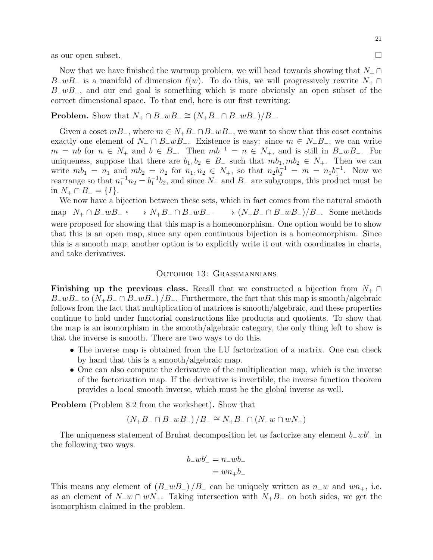as our open subset.

Now that we have finished the warmup problem, we will head towards showing that  $N_+ \cap$ B\_wB\_ is a manifold of dimension  $\ell(w)$ . To do this, we will progressively rewrite  $N_+ \cap$  $B_{\perp}wB_{\perp}$ , and our end goal is something which is more obviously an open subset of the correct dimensional space. To that end, here is our first rewriting:

**Problem.** Show that  $N_+ \cap B_- w B_- \cong (N_+ B_- \cap B_- w B_-)/B_-$ .

Given a coset  $mB_$ , where  $m \in N_+B_-\cap B_-wB_-$ , we want to show that this coset contains exactly one element of  $N_+ \cap B_-wB_-$ . Existence is easy: since  $m \in N_+B_-$ , we can write  $m = nb$  for  $n \in N_+$  and  $b \in B_-.$  Then  $mb^{-1} = n \in N_+$ , and is still in  $B_-\omega B_-$ . For uniqueness, suppose that there are  $b_1, b_2 \in B_-\$  such that  $mb_1, mb_2 \in N_+$ . Then we can write  $mb_1 = n_1$  and  $mb_2 = n_2$  for  $n_1, n_2 \in N_+$ , so that  $n_2b_2^{-1} = m = n_1b_1^{-1}$ . Now we rearrange so that  $n_1^{-1}n_2 = b_1^{-1}b_2$ , and since  $N_+$  and  $B_-$  are subgroups, this product must be in  $N_+ \cap B_ = {I}.$ 

We now have a bijection between these sets, which in fact comes from the natural smooth map  $N_+ \cap B_-wB_- \longrightarrow N_+B_- \cap B_-wB_- \longrightarrow (N_+B_- \cap B_-wB_-)/B_-$ . Some methods were proposed for showing that this map is a homeomorphism. One option would be to show that this is an open map, since any open continuous bijection is a homeomorphism. Since this is a smooth map, another option is to explicitly write it out with coordinates in charts, and take derivatives.

## <span id="page-20-0"></span>October 13: Grassmannians

Finishing up the previous class. Recall that we constructed a bijection from  $N_+ \cap$  $B_{-}wB_{-}$  to  $(N_{+}B_{-} \cap B_{-}wB_{-})/B_{-}$ . Furthermore, the fact that this map is smooth/algebraic follows from the fact that multiplication of matrices is smooth/algebraic, and these properties continue to hold under functorial constructions like products and quotients. To show that the map is an isomorphism in the smooth/algebraic category, the only thing left to show is that the inverse is smooth. There are two ways to do this.

- The inverse map is obtained from the LU factorization of a matrix. One can check by hand that this is a smooth/algebraic map.
- One can also compute the derivative of the multiplication map, which is the inverse of the factorization map. If the derivative is invertible, the inverse function theorem provides a local smooth inverse, which must be the global inverse as well.

Problem (Problem 8.2 from the worksheet). Show that

$$
(N_{+}B_{-} \cap B_{-}wB_{-})/B_{-} \cong N_{+}B_{-} \cap (N_{-}w \cap wN_{+})
$$

The uniqueness statement of Bruhat decomposition let us factorize any element  $b_{-}wb'_{-}$  in the following two ways.

$$
b_{-}wb'_{-} = n_{-}wb_{-}
$$

$$
= wn_{+}b_{-}
$$

This means any element of  $(B_{-}wB_{-})/B_{-}$  can be uniquely written as  $n_{-}w$  and  $wn_{+}$ , i.e. as an element of  $N_{-}w \cap wN_{+}$ . Taking intersection with  $N_{+}B_{-}$  on both sides, we get the isomorphism claimed in the problem.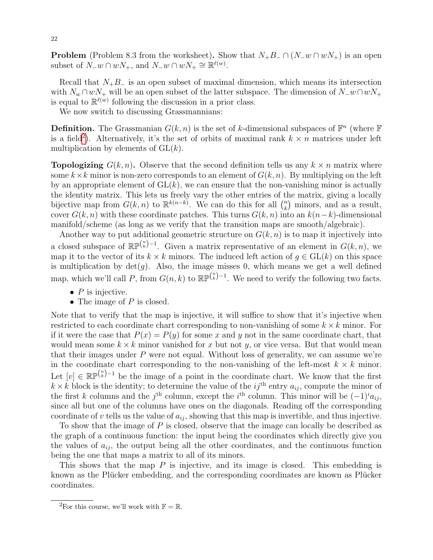**Problem** (Problem 8.3 from the worksheet). Show that  $N_+B_-\cap (N_-w\cap wN_+)$  is an open subset of  $\hat{N}_-w \cap wN_+$ , and  $N_-w \cap wN_+ \cong \mathbb{R}^{\ell(w)}$ .

Recall that  $N_{+}B_{-}$  is an open subset of maximal dimension, which means its intersection with  $N_w \cap wN_+$  will be an open subset of the latter subspace. The dimension of  $N_w \cap wN_+$ is equal to  $\mathbb{R}^{\ell(w)}$  following the discussion in a prior class.

We now switch to discussing Grassmannians:

**Definition.** The Grassmanian  $G(k, n)$  is the set of k-dimensional subspaces of  $\mathbb{F}^n$  (where  $\mathbb{F}$ ) is a field<sup>[2](#page-21-0)</sup>). Alternatively, it's the set of orbits of maximal rank  $k \times n$  matrices under left multiplication by elements of  $GL(k)$ .

**Topologizing**  $G(k, n)$ . Observe that the second definition tells us any  $k \times n$  matrix where some  $k \times k$  minor is non-zero corresponds to an element of  $G(k, n)$ . By multiplying on the left by an appropriate element of  $GL(k)$ , we can ensure that the non-vanishing minor is actually the identity matrix. This lets us freely vary the other entries of the matrix, giving a locally bijective map from  $G(k, n)$  to  $\mathbb{R}^{k(n-k)}$ . We can do this for all  $\binom{n}{k}$  $\binom{n}{k}$  minors, and as a result, cover  $G(k, n)$  with these coordinate patches. This turns  $G(k, n)$  into an  $k(n-k)$ -dimensional manifold/scheme (as long as we verify that the transition maps are smooth/algebraic).

Another way to put additional geometric structure on  $G(k, n)$  is to map it injectively into a closed subspace of  $\mathbb{RP}^{n \choose k-1}$ . Given a matrix representative of an element in  $G(k,n)$ , we map it to the vector of its  $k \times k$  minors. The induced left action of  $g \in GL(k)$  on this space is multiplication by  $det(q)$ . Also, the image misses 0, which means we get a well defined map, which we'll call P, from  $G(n, k)$  to  $\mathbb{RP}^{n \choose k-1}$ . We need to verify the following two facts.

- $\bullet$  P is injective.
- The image of  $P$  is closed.

Note that to verify that the map is injective, it will suffice to show that it's injective when restricted to each coordinate chart corresponding to non-vanishing of some  $k \times k$  minor. For if it were the case that  $P(x) = P(y)$  for some x and y not in the same coordinate chart, that would mean some  $k \times k$  minor vanished for x but not y, or vice versa. But that would mean that their images under  $P$  were not equal. Without loss of generality, we can assume we're in the coordinate chart corresponding to the non-vanishing of the left-most  $k \times k$  minor. Let  $[v] \in \mathbb{RP}^{(n-1)}$  be the image of a point in the coordinate chart. We know that the first  $k \times k$  block is the identity; to determine the value of the  $ij^{\text{th}}$  entry  $a_{ij}$ , compute the minor of the first k columns and the j<sup>th</sup> column, except the i<sup>th</sup> column. This minor will be  $(-1)^{i}a_{ij}$ , since all but one of the columns have ones on the diagonals. Reading off the corresponding coordinate of v tells us the value of  $a_{ij}$ , showing that this map is invertible, and thus injective.

To show that the image of P is closed, observe that the image can locally be described as the graph of a continuous function: the input being the coordinates which directly give you the values of  $a_{ij}$ , the output being all the other coordinates, and the continuous function being the one that maps a matrix to all of its minors.

This shows that the map  $P$  is injective, and its image is closed. This embedding is known as the Plücker embedding, and the corresponding coordinates are known as Plücker coordinates.

<span id="page-21-0"></span><sup>&</sup>lt;sup>2</sup>For this course, we'll work with  $\mathbb{F} = \mathbb{R}$ .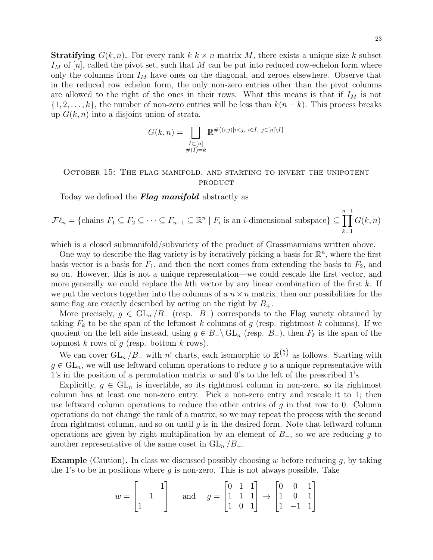**Stratifying**  $G(k, n)$ . For every rank  $k \times n$  matrix M, there exists a unique size k subset  $I_M$  of  $[n]$ , called the pivot set, such that M can be put into reduced row-echelon form where only the columns from  $I_M$  have ones on the diagonal, and zeroes elsewhere. Observe that in the reduced row echelon form, the only non-zero entries other than the pivot columns are allowed to the right of the ones in their rows. What this means is that if  $I_M$  is not  $\{1, 2, \ldots, k\}$ , the number of non-zero entries will be less than  $k(n - k)$ . This process breaks up  $G(k, n)$  into a disjoint union of strata.

$$
G(k,n) = \bigsqcup_{\substack{I \subset [n] \\ \#(I) = k}} \mathbb{R}^{\# \{(i,j)|i < j, \ i \in I, \ j \in [n] \setminus I\}}
$$

# <span id="page-22-0"></span>October 15: The flag manifold, and starting to invert the unipotent **PRODUCT**

Today we defined the **Flag manifold** abstractly as

$$
\mathcal{F}\ell_n = \{\text{chains } F_1 \subseteq F_2 \subseteq \cdots \subseteq F_{n-1} \subseteq \mathbb{R}^n \mid F_i \text{ is an } i\text{-dimensional subspace}\} \subseteq \prod_{k=1}^{n-1} G(k,n)
$$

which is a closed submanifold/subvariety of the product of Grassmannians written above.

One way to describe the flag variety is by iteratively picking a basis for  $\mathbb{R}^n$ , where the first basis vector is a basis for  $F_1$ , and then the next comes from extending the basis to  $F_2$ , and so on. However, this is not a unique representation—we could rescale the first vector, and more generally we could replace the kth vector by any linear combination of the first  $k$ . If we put the vectors together into the columns of a  $n \times n$  matrix, then our possibilities for the same flag are exactly described by acting on the right by  $B_{+}$ .

More precisely,  $g \in GL_n/B_+$  (resp.  $B_-$ ) corresponds to the Flag variety obtained by taking  $F_k$  to be the span of the leftmost k columns of g (resp. rightmost k columns). If we quotient on the left side instead, using  $g \in B_+ \backslash \mathrm{GL}_n$  (resp.  $B_-$ ), then  $F_k$  is the span of the topmost  $k$  rows of  $g$  (resp. bottom  $k$  rows).

We can cover  $GL_n/B_-$  with n! charts, each isomorphic to  $\mathbb{R}^{n \choose 2}$  as follows. Starting with  $g \in GL_n$ , we will use leftward column operations to reduce g to a unique representative with 1's in the position of a permutation matrix  $w$  and 0's to the left of the prescribed 1's.

Explicitly,  $q \in GL_n$  is invertible, so its rightmost column in non-zero, so its rightmost column has at least one non-zero entry. Pick a non-zero entry and rescale it to 1; then use leftward column operations to reduce the other entries of  $g$  in that row to 0. Column operations do not change the rank of a matrix, so we may repeat the process with the second from rightmost column, and so on until  $q$  is in the desired form. Note that leftward column operations are given by right multiplication by an element of  $B_$ , so we are reducing g to another representative of the same coset in  $GL_n/B_-.$ 

**Example** (Caution). In class we discussed possibly choosing w before reducing q, by taking the 1's to be in positions where  $g$  is non-zero. This is not always possible. Take

$$
w = \begin{bmatrix} 1 \\ 1 \end{bmatrix} \quad \text{and} \quad g = \begin{bmatrix} 0 & 1 & 1 \\ 1 & 1 & 1 \\ 1 & 0 & 1 \end{bmatrix} \rightarrow \begin{bmatrix} 0 & 0 & 1 \\ 1 & 0 & 1 \\ 1 & -1 & 1 \end{bmatrix}
$$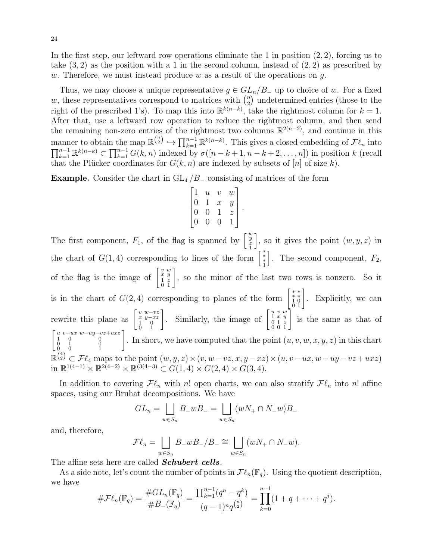In the first step, our leftward row operations eliminate the 1 in position  $(2, 2)$ , forcing us to take  $(3, 2)$  as the position with a 1 in the second column, instead of  $(2, 2)$  as prescribed by w. Therefore, we must instead produce w as a result of the operations on  $q$ .

Thus, we may choose a unique representative  $g \in GL_n/B_+$  up to choice of w. For a fixed w, these representatives correspond to matrices with  $\binom{n}{2}$  $n_2$ ) undetermined entries (those to the right of the prescribed 1's). To map this into  $\mathbb{R}^{k(n-k)}$ , take the rightmost column for  $k = 1$ . After that, use a leftward row operation to reduce the rightmost column, and then send the remaining non-zero entries of the rightmost two columns  $\mathbb{R}^{2(n-2)}$ , and continue in this manner to obtain the map  $\mathbb{R}^{n \choose 2} \hookrightarrow \prod_{k=1}^{n-1} \mathbb{R}^{k(n-k)}$ . This gives a closed embedding of  $\mathcal{F}\ell_n$  into  $\prod_{k=1}^{n-1} \mathbb{R}^{k(n-k)} \subset \prod_{k=1}^{n-1} G(k,n)$  indexed by  $\sigma([n-k+1,n-k+2,\ldots,n])$  in position k (recall that the Plücker coordinates for  $G(k, n)$  are indexed by subsets of [n] of size k).

**Example.** Consider the chart in  $GL_4/B_$  consisting of matrices of the form

$$
\begin{bmatrix} 1 & u & v & w \\ 0 & 1 & x & y \\ 0 & 0 & 1 & z \\ 0 & 0 & 0 & 1 \end{bmatrix}
$$

.

The first component,  $F_1$ , of the flag is spanned by  $\begin{bmatrix} w \\ \frac{y}{2} \end{bmatrix}$ , so it gives the point  $(w, y, z)$  in the chart of  $G(1,4)$  corresponding to lines of the form  $\begin{bmatrix} * & * \\ * & * \\ 1 & * \end{bmatrix}$ . The second component,  $F_2$ , of the flag is the image of  $\begin{bmatrix} v & w \\ x & y \\ 1 & z \end{bmatrix}$  $\left[\begin{array}{c} v\ w\ x\ y\ 1\ z\ 0\ 1\ \end{array}\right].$ , so the minor of the last two rows is nonzero. So it is in the chart of  $G(2,4)$  corresponding to planes of the form  $\begin{bmatrix} * & * \\ 1 & 0 \\ 0 & 1 \end{bmatrix}$ . Explicitly, we can rewrite this plane as  $\begin{bmatrix} v & w-vz \\ x & y-xz \\ 1 & 0 \end{bmatrix}$  $\begin{bmatrix} v & w-vz \\ x & y-xz \\ 0 & 1 \end{bmatrix}$ . Similarly, the image of  $\begin{bmatrix} u & v & w \\ 1 & x & y \\ 0 & 1 & z \\ 0 & 0 & 1 \end{bmatrix}$  $\left[\begin{smallmatrix} u&v&w\ 1&x&y\ 0&1&z\ 0&0&1 \end{smallmatrix}\right].$ is the same as that of  $\int_{1}^{u} \int_{0}^{v-ux} w-uy-vz+uxz$  $\left[ \begin{array}{ccc} u&v-ux&w-uy-vz+uxz\ 1&0&0\ 0&1&0\ 0&0&1 \end{array} \right].$ . In short, we have computed that the point  $(u, v, w, x, y, z)$  in this chart  $\mathbb{R}^{4 \choose 2} \subset \mathcal{F}\ell_4$  maps to the point  $(w, y, z) \times (v, w - vz, x, y - xz) \times (u, v - ux, w - uy - vz + uxz)$ 4 in  $\mathbb{R}^{1(4-1)} \times \mathbb{R}^{2(4-2)} \times \mathbb{R}^{(3(4-3)} \subset G(1,4) \times G(2,4) \times G(3,4).$ 

In addition to covering  $\mathcal{F}\ell_n$  with n! open charts, we can also stratify  $\mathcal{F}\ell_n$  into n! affine spaces, using our Bruhat decompositions. We have

$$
GL_n = \bigsqcup_{w \in S_n} B_{-}wB_{-} = \bigsqcup_{w \in S_n} (wN_+ \cap N_-w)B_{-}
$$

and, therefore,

$$
\mathcal{F}\ell_n = \bigsqcup_{w \in S_n} B_{-}wB_{-}/B_{-} \cong \bigsqcup_{w \in S_n} (wN_+ \cap N_-w).
$$

The affine sets here are called **Schubert cells**.

As a side note, let's count the number of points in  $\mathcal{F}\ell_n(\mathbb{F}_q)$ . Using the quotient description, we have

$$
\#\mathcal{F}\ell_n(\mathbb{F}_q) = \frac{\#GL_n(\mathbb{F}_q)}{\#B_-(\mathbb{F}_q)} = \frac{\prod_{k=1}^{n-1}(q^n - q^k)}{(q-1)^n q^{\binom{n}{2}}} = \prod_{k=0}^{n-1} (1 + q + \dots + q^j).
$$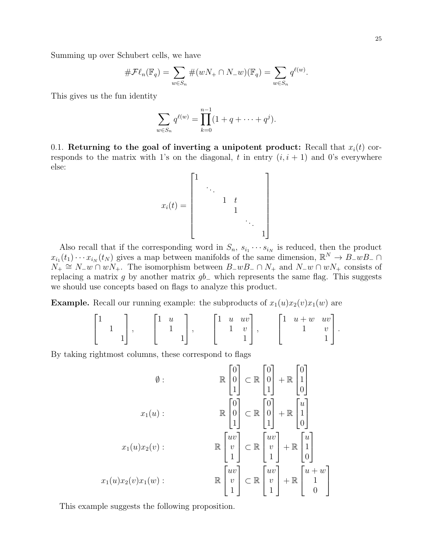Summing up over Schubert cells, we have

$$
\# \mathcal{F}\ell_n(\mathbb{F}_q) = \sum_{w \in S_n} \#(wN_+ \cap N_-w)(\mathbb{F}_q) = \sum_{w \in S_n} q^{\ell(w)}.
$$

This gives us the fun identity

$$
\sum_{w \in S_n} q^{\ell(w)} = \prod_{k=0}^{n-1} (1 + q + \dots + q^j).
$$

0.1. Returning to the goal of inverting a unipotent product: Recall that  $x_i(t)$  corresponds to the matrix with 1's on the diagonal, t in entry  $(i, i + 1)$  and 0's everywhere else:

$$
x_i(t) = \begin{bmatrix} 1 & & & & & \\ & \ddots & & & & \\ & & 1 & t & & \\ & & & 1 & & \\ & & & & \ddots & \\ & & & & & 1 \end{bmatrix}
$$

Also recall that if the corresponding word in  $S_n$ ,  $s_{i_1} \cdots s_{i_N}$  is reduced, then the product  $x_{i_1}(t_1)\cdots x_{i_N}(t_N)$  gives a map between manifolds of the same dimension,  $\mathbb{R}^N \to B_w B_w$  $N_+ \cong N_-w \cap wN_+$ . The isomorphism between  $B_-wB_- \cap N_+$  and  $N_-w \cap wN_+$  consists of replacing a matrix g by another matrix  $gb$ <sub>−</sub> which represents the same flag. This suggests we should use concepts based on flags to analyze this product.

**Example.** Recall our running example: the subproducts of  $x_1(u)x_2(v)x_1(w)$  are

$$
\begin{bmatrix} 1 \\ 1 \\ 1 \end{bmatrix}, \qquad \begin{bmatrix} 1 & u \\ & 1 \\ & & 1 \end{bmatrix}, \qquad \begin{bmatrix} 1 & u & uv \\ & 1 & v \\ & & 1 \end{bmatrix}, \qquad \begin{bmatrix} 1 & u+w & uv \\ & 1 & v \\ & & & 1 \end{bmatrix}.
$$

By taking rightmost columns, these correspond to flags

$$
\emptyset: \mathbb{R} \begin{bmatrix} 0 \\ 0 \\ 1 \end{bmatrix} \subset \mathbb{R} \begin{bmatrix} 0 \\ 0 \\ 1 \end{bmatrix} + \mathbb{R} \begin{bmatrix} 0 \\ 1 \\ 0 \end{bmatrix}
$$

$$
x_1(u): \mathbb{R} \begin{bmatrix} 0 \\ 0 \\ 1 \end{bmatrix} \subset \mathbb{R} \begin{bmatrix} 0 \\ 0 \\ 1 \end{bmatrix} + \mathbb{R} \begin{bmatrix} u \\ 1 \\ 0 \end{bmatrix}
$$

$$
x_1(u)x_2(v): \mathbb{R} \begin{bmatrix} uv \\ v \\ 1 \end{bmatrix} \subset \mathbb{R} \begin{bmatrix} uv \\ v \\ 1 \end{bmatrix} + \mathbb{R} \begin{bmatrix} u \\ 1 \\ 0 \end{bmatrix}
$$

$$
x_1(u)x_2(v)x_1(w): \mathbb{R} \begin{bmatrix} uv \\ v \\ 1 \end{bmatrix} \subset \mathbb{R} \begin{bmatrix} uv \\ v \\ 1 \end{bmatrix} + \mathbb{R} \begin{bmatrix} u + w \\ 1 \\ 0 \end{bmatrix}
$$

This example suggests the following proposition.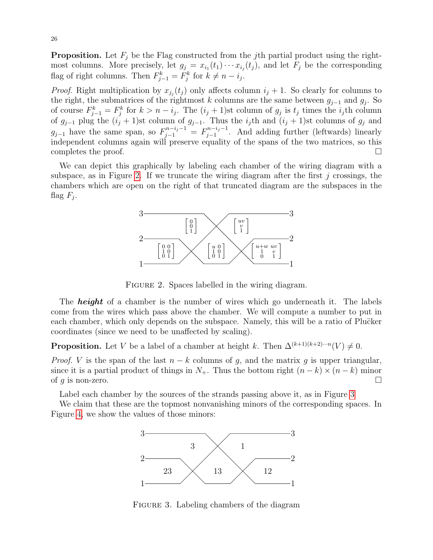**Proposition.** Let  $F_j$  be the Flag constructed from the j<sup>th</sup> partial product using the rightmost columns. More precisely, let  $g_j = x_{i_1}(t_1) \cdots x_{i_j}(t_j)$ , and let  $F_j$  be the corresponding flag of right columns. Then  $F_{j-1}^k = F_j^k$  for  $k \neq n - i_j$ .

*Proof.* Right multiplication by  $x_{j_i}(t_j)$  only affects column  $i_j + 1$ . So clearly for columns to the right, the submatrices of the rightmost k columns are the same between  $g_{j-1}$  and  $g_j$ . So of course  $F_{j-1}^k = F_j^k$  for  $k > n - i_j$ . The  $(i_j + 1)$ st column of  $g_j$  is  $t_j$  times the  $i_j$ th column of  $g_{j-1}$  plug the  $(i_j + 1)$ st column of  $g_{j-1}$ . Thus the  $i_j$ th and  $(i_j + 1)$ st columns of  $g_j$  and  $g_{j-1}$  have the same span, so  $F_{j-1}^{n-i_j-1} = F_{j-1}^{n-i_j-1}$  $j_{j-1}^{n-i_j-1}$ . And adding further (leftwards) linearly independent columns again will preserve equality of the spans of the two matrices, so this completes the proof.  $\Box$ 

We can depict this graphically by labeling each chamber of the wiring diagram with a subspace, as in Figure [2.](#page-25-0) If we truncate the wiring diagram after the first  $j$  crossings, the chambers which are open on the right of that truncated diagram are the subspaces in the flag  $F_j$ .



<span id="page-25-0"></span>FIGURE 2. Spaces labelled in the wiring diagram.

The **height** of a chamber is the number of wires which go underneath it. The labels come from the wires which pass above the chamber. We will compute a number to put in each chamber, which only depends on the subspace. Namely, this will be a ratio of Plucker coordinates (since we need to be unaffected by scaling).

**Proposition.** Let V be a label of a chamber at height k. Then  $\Delta^{(k+1)(k+2)\cdots n}(V) \neq 0$ .

*Proof.* V is the span of the last  $n - k$  columns of g, and the matrix g is upper triangular, since it is a partial product of things in  $N_+$ . Thus the bottom right  $(n-k) \times (n-k)$  minor of g is non-zero.  $\Box$ 

Label each chamber by the sources of the strands passing above it, as in Figure [3](#page-25-1)

We claim that these are the topmost nonvanishing minors of the corresponding spaces. In Figure [4,](#page-26-0) we show the values of those minors:



<span id="page-25-1"></span>FIGURE 3. Labeling chambers of the diagram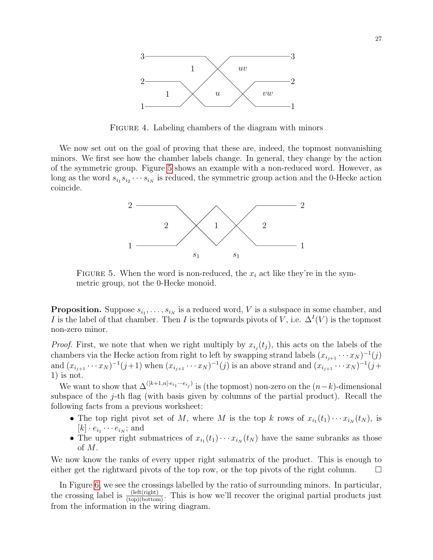

<span id="page-26-0"></span>FIGURE 4. Labeling chambers of the diagram with minors

We now set out on the goal of proving that these are, indeed, the topmost nonvanishing minors. We first see how the chamber labels change. In general, they change by the action of the symmetric group. Figure [5](#page-26-1) shows an example with a non-reduced word. However, as long as the word  $s_{i_1} s_{i_2} \cdots s_{i_N}$  is reduced, the symmetric group action and the 0-Hecke action coincide.



<span id="page-26-1"></span>FIGURE 5. When the word is non-reduced, the  $x_i$  act like they're in the symmetric group, not the 0-Hecke monoid.

**Proposition.** Suppose  $s_{i_1}, \ldots, s_{i_N}$  is a reduced word, V is a subspace in some chamber, and I is the label of that chamber. Then I is the topwards pivots of V, i.e.  $\Delta^I(V)$  is the topmost non-zero minor.

*Proof.* First, we note that when we right multiply by  $x_{i_j}(t_j)$ , this acts on the labels of the chambers via the Hecke action from right to left by swapping strand labels  $(x_{i_{j+1}} \cdots x_N)^{-1}(j)$ and  $(x_{i_{j+1}} \cdots x_N)^{-1}(j+1)$  when  $(x_{i_{j+1}} \cdots x_N)^{-1}(j)$  is an above strand and  $(x_{i_{j+1}} \cdots x_N)^{-1}(j+1)$ 1) is not.

We want to show that  $\Delta^{([k+1,n] \cdot e_{i_1} \cdots e_{i_j})}$  is (the topmost) non-zero on the  $(n-k)$ -dimensional subspace of the j-th flag (with basis given by columns of the partial product). Recall the following facts from a previous worksheet:

- The top right pivot set of M, where M is the top k rows of  $x_{i_1}(t_1)\cdots x_{i_N}(t_N)$ , is  $[k] \cdot e_{i_1} \cdots e_{i_N};$  and
- The upper right submatrices of  $x_{i_1}(t_1)\cdots x_{i_N}(t_N)$  have the same subranks as those of M.

We now know the ranks of every upper right submatrix of the product. This is enough to either get the rightward pivots of the top row, or the top pivots of the right column.  $\square$ 

In Figure [6,](#page-27-1) we see the crossings labelled by the ratio of surrounding minors. In particular, the crossing label is  $\frac{(\text{left}(right))}{(\text{top})(\text{bottom})}$ . This is how we'll recover the original partial products just from the information in the wiring diagram.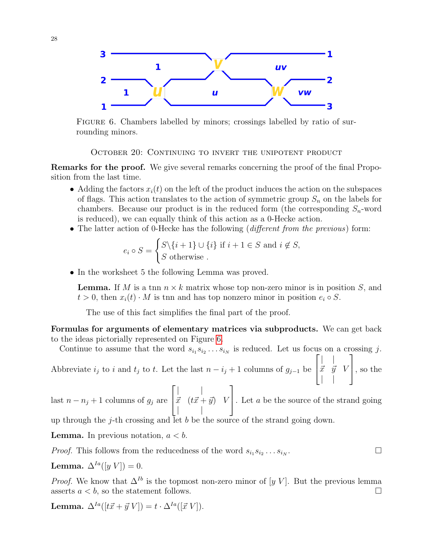

<span id="page-27-1"></span>FIGURE 6. Chambers labelled by minors; crossings labelled by ratio of surrounding minors.

<span id="page-27-0"></span>October 20: Continuing to invert the unipotent product

Remarks for the proof. We give several remarks concerning the proof of the final Proposition from the last time.

- Adding the factors  $x_i(t)$  on the left of the product induces the action on the subspaces of flags. This action translates to the action of symmetric group  $S_n$  on the labels for chambers. Because our product is in the reduced form (the corresponding  $S_n$ -word is reduced), we can equally think of this action as a 0-Hecke action.
- The latter action of 0-Hecke has the following (different from the previous) form:

$$
e_i \circ S = \begin{cases} S \setminus \{i+1\} \cup \{i\} \text{ if } i+1 \in S \text{ and } i \notin S, \\ S \text{ otherwise.} \end{cases}
$$

• In the worksheet 5 the following Lemma was proved.

**Lemma.** If M is a tnn  $n \times k$  matrix whose top non-zero minor is in position S, and  $t > 0$ , then  $x_i(t) \cdot M$  is then and has top nonzero minor in position  $e_i \circ S$ .

The use of this fact simplifies the final part of the proof.

Formulas for arguments of elementary matrices via subproducts. We can get back to the ideas pictorially represented on Figure [6.](#page-27-1)

Continue to assume that the word  $s_{i_1} s_{i_2} \ldots s_{i_N}$  is reduced. Let us focus on a crossing j. Abbreviate  $i_j$  to i and  $t_j$  to i. Let the last  $n - i_j + 1$  columns of  $g_{j-1}$  be  $\sqrt{ }$  $\overline{\phantom{a}}$ | |  $\vec{x}$   $\vec{y}$   $V$ | | 1 , so the  $\sqrt{ }$  $\| \cdot \|$ 1

last  $n - n_j + 1$  columns of  $g_j$  are  $\overline{\phantom{a}}$  $\vec{x}$   $(t\vec{x} + \vec{y})$  V  $\| \cdot \|$ . Let  $a$  be the source of the strand going

up through the j-th crossing and let b be the source of the strand going down.

**Lemma.** In previous notation,  $a < b$ .

*Proof.* This follows from the reducedness of the word 
$$
s_{i_1} s_{i_2} \ldots s_{i_N}
$$
.

**Lemma.** 
$$
\Delta^{Ia}([y \ V]) = 0.
$$

*Proof.* We know that  $\Delta^{Ib}$  is the topmost non-zero minor of [y V]. But the previous lemma asserts  $a < b$ , so the statement follows.

Lemma.  $\Delta^{Ia}([t\vec{x} + \vec{y} V]) = t \cdot \Delta^{Ia}([\vec{x} V]).$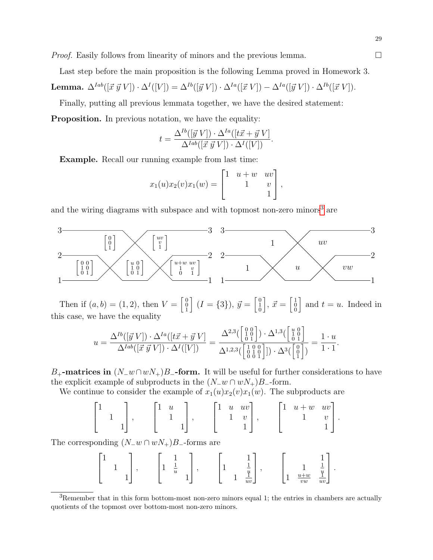*Proof.* Easily follows from linearity of minors and the previous lemma.  $\Box$ 

Last step before the main proposition is the following Lemma proved in Homework 3.

Lemma.  $\Delta^{Iab}([\vec{x} \ \vec{y} \ V]) \cdot \Delta^I([V]) = \Delta^{Ib}([\vec{y} \ V]) \cdot \Delta^{Ia}([\vec{x} \ V]) - \Delta^{Ia}([\vec{y} \ V]) \cdot \Delta^{Ib}([\vec{x} \ V]).$ 

Finally, putting all previous lemmata together, we have the desired statement:

**Proposition.** In previous notation, we have the equality:

$$
t = \frac{\Delta^{Ib}([\vec{y} \ V]) \cdot \Delta^{Ia}([\vec{t}\ \vec{x} + \vec{y} \ V]}{\Delta^{Iab}([\vec{x} \ \vec{y} \ V]) \cdot \Delta^{I}([V])}.
$$

Example. Recall our running example from last time:

$$
x_1(u)x_2(v)x_1(w) = \begin{bmatrix} 1 & u+w & uv \\ & 1 & v \\ & & 1 \end{bmatrix},
$$

and the wiring diagrams with subspace and with topmost non-zero minors<sup>[3](#page-28-0)</sup> are



Then if  $(a, b) = (1, 2)$ , then  $V = \begin{bmatrix} 0 \\ 0 \\ 1 \end{bmatrix}$  $\left[ (I = \{3\}), \vec{y} = \begin{bmatrix} 0 \\ 1 \\ 0 \end{bmatrix} \right]$  $\Big],~\vec{x} = \Bigl[ \begin{smallmatrix} 1 \ 0 \ 0 \end{smallmatrix} \Bigr]$ and  $t = u$ . Indeed in this case, we have the equality

$$
u = \frac{\Delta^{Ib}([\vec{y} \ V]) \cdot \Delta^{Ia}([t\vec{x} + \vec{y} \ V]}{\Delta^{Iab}([\vec{x} \ \vec{y} \ V]) \cdot \Delta^{I}([V])} = \frac{\Delta^{2,3}(\begin{bmatrix} 0 & 0 \\ 1 & 0 \\ 0 & 1 \end{bmatrix}) \cdot \Delta^{1,3}(\begin{bmatrix} u & 0 \\ 1 & 0 \\ 0 & 1 \end{bmatrix})}{\Delta^{1,2,3}(\begin{bmatrix} 1 & 0 & 0 \\ 0 & 1 & 0 \\ 0 & 0 & 1 \end{bmatrix}) \cdot \Delta^{3}(\begin{bmatrix} u & 0 \\ 0 & 1 \\ 1 \end{bmatrix})} = \frac{1 \cdot u}{1 \cdot 1}.
$$

B<sub>+</sub>-matrices in  $(N_{-}w\cap wN_{+})B_{-}$ -form. It will be useful for further considerations to have the explicit example of subproducts in the  $(N_{-}w \cap wN_{+})B_{-}$ -form.

We continue to consider the example of  $x_1(u)x_2(v)x_1(w)$ . The subproducts are

$$
\begin{bmatrix} 1 \\ 1 \\ 1 \end{bmatrix}, \qquad \begin{bmatrix} 1 & u \\ & 1 \\ & & 1 \end{bmatrix}, \qquad \begin{bmatrix} 1 & u & uv \\ & 1 & v \\ & & 1 \end{bmatrix}, \qquad \begin{bmatrix} 1 & u+w & uv \\ & 1 & v \\ & & 1 \end{bmatrix}.
$$

The corresponding  $(N_{-}w \cap wN_{+})B_{-}$ -forms are

|  | -<br>$\boldsymbol{u}$ | ⋍<br>$\boldsymbol{u}$<br>ᅩ<br>$uv \perp$ | ⋍<br>$\boldsymbol{u}$<br>$u+w$<br>ᅩ<br><b>.</b><br>vw<br>$uv \perp$ |
|--|-----------------------|------------------------------------------|---------------------------------------------------------------------|
|--|-----------------------|------------------------------------------|---------------------------------------------------------------------|

<span id="page-28-0"></span> ${}^{3}$ Remember that in this form bottom-most non-zero minors equal 1; the entries in chambers are actually quotients of the topmost over bottom-most non-zero minors.

29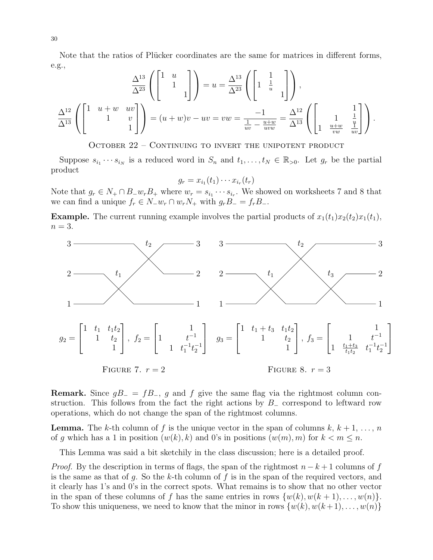Note that the ratios of Plücker coordinates are the same for matrices in different forms, e.g.,

$$
\frac{\Delta^{13}}{\Delta^{23}} \left( \begin{bmatrix} 1 & u & & \\ & 1 & & \\ & & & 1 \end{bmatrix} \right) = u = \frac{\Delta^{13}}{\Delta^{23}} \left( \begin{bmatrix} 1 & 1 & & \\ 1 & \frac{1}{u} & & \\ & & 1 \end{bmatrix} \right),
$$

$$
\frac{\Delta^{12}}{\Delta^{13}} \left( \begin{bmatrix} 1 & u + w & uv \\ & 1 & v \\ & & & 1 \end{bmatrix} \right) = (u + w)v - uv = vw = \frac{-1}{\frac{1}{uv} - \frac{u + w}{uvw}} = \frac{\Delta^{12}}{\Delta^{13}} \left( \begin{bmatrix} 1 & 1 & \frac{1}{u} \\ 1 & \frac{u + w}{vw} & \frac{u}{uv} \end{bmatrix} \right).
$$

<span id="page-29-0"></span>October 22 – Continuing to invert the unipotent product

Suppose  $s_{i_1}\cdots s_{i_N}$  is a reduced word in  $S_n$  and  $t_1,\ldots,t_N\in\mathbb{R}_{>0}$ . Let  $g_r$  be the partial product

 $g_r = x_{i_1}(t_1) \cdots x_{i_r}(t_r)$ 

Note that  $g_r \in N_+ \cap B_- w_r B_+$  where  $w_r = s_{i_1} \cdots s_{i_r}$ . We showed on worksheets 7 and 8 that we can find a unique  $f_r \in N_-w_r \cap w_rN_+$  with  $g_rB_- = f_rB_-$ .

**Example.** The current running example involves the partial products of  $x_1(t_1)x_2(t_2)x_1(t_1)$ ,  $n=3$ .



**Remark.** Since  $gB = fB_$ , g and f give the same flag via the rightmost column construction. This follows from the fact the right actions by  $B_$  correspond to leftward row operations, which do not change the span of the rightmost columns.

**Lemma.** The k-th column of f is the unique vector in the span of columns  $k, k+1, \ldots, n$ of g which has a 1 in position  $(w(k), k)$  and 0's in positions  $(w(m), m)$  for  $k < m \leq n$ .

This Lemma was said a bit sketchily in the class discussion; here is a detailed proof.

*Proof.* By the description in terms of flags, the span of the rightmost  $n - k + 1$  columns of f is the same as that of g. So the k-th column of f is in the span of the required vectors, and it clearly has 1's and 0's in the correct spots. What remains is to show that no other vector in the span of these columns of f has the same entries in rows  $\{w(k), w(k+1), \ldots, w(n)\}.$ To show this uniqueness, we need to know that the minor in rows  $\{w(k), w(k+1), \ldots, w(n)\}$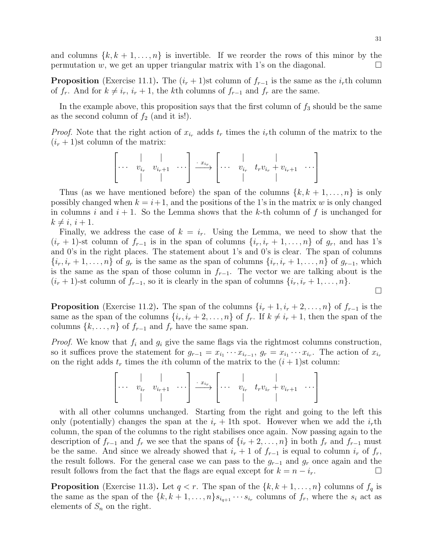and columns  $\{k, k+1, \ldots, n\}$  is invertible. If we reorder the rows of this minor by the permutation w, we get an upper triangular matrix with 1's on the diagonal.  $\Box$ 

**Proposition** (Exercise 11.1). The  $(i_r + 1)$ st column of  $f_{r-1}$  is the same as the  $i_r$ th column of  $f_r$ . And for  $k \neq i_r$ ,  $i_r + 1$ , the kth columns of  $f_{r-1}$  and  $f_r$  are the same.

In the example above, this proposition says that the first column of  $f_3$  should be the same as the second column of  $f_2$  (and it is!).

*Proof.* Note that the right action of  $x_{i_r}$  adds  $t_r$  times the  $i_r$ th column of the matrix to the  $(i_r + 1)$ st column of the matrix:

$$
\left[\begin{array}{ccc} \vert & \vert & \vert \\ \cdots & v_{i_r} & v_{i_r+1} & \cdots \end{array}\right] \xrightarrow{\cdot x_{i_r}} \left[\begin{array}{ccc} \vert & \vert & \vert \\ \cdots & v_{i_r} & t_r v_{i_r} + v_{i_r+1} & \cdots \end{array}\right]
$$

Thus (as we have mentioned before) the span of the columns  $\{k, k+1, \ldots, n\}$  is only possibly changed when  $k = i+1$ , and the positions of the 1's in the matrix w is only changed in columns i and  $i + 1$ . So the Lemma shows that the k-th column of f is unchanged for  $k \neq i, i + 1.$ 

Finally, we address the case of  $k = i_r$ . Using the Lemma, we need to show that the  $(i_r + 1)$ -st column of  $f_{r-1}$  is in the span of columns  $\{i_r, i_r + 1, \ldots, n\}$  of  $g_r$ , and has 1's and 0's in the right places. The statement about 1's and 0's is clear. The span of columns  $\{i_r, i_r + 1, \ldots, n\}$  of  $g_r$  is the same as the span of columns  $\{i_r, i_r + 1, \ldots, n\}$  of  $g_{r-1}$ , which is the same as the span of those column in  $f_{r-1}$ . The vector we are talking about is the  $(i_r + 1)$ -st column of  $f_{r-1}$ , so it is clearly in the span of columns  $\{i_r, i_r + 1, \ldots, n\}$ .

$$
\Box
$$

**Proposition** (Exercise 11.2). The span of the columns  $\{i_r + 1, i_r + 2, \ldots, n\}$  of  $f_{r-1}$  is the same as the span of the columns  $\{i_r, i_r + 2, \ldots, n\}$  of  $f_r$ . If  $k \neq i_r + 1$ , then the span of the columns  $\{k, \ldots, n\}$  of  $f_{r-1}$  and  $f_r$  have the same span.

*Proof.* We know that  $f_i$  and  $g_i$  give the same flags via the rightmost columns construction, so it suffices prove the statement for  $g_{r-1} = x_{i_1} \cdots x_{i_{r-1}}$ ,  $g_r = x_{i_1} \cdots x_{i_r}$ . The action of  $x_{i_r}$ on the right adds  $t_r$  times the *i*th column of the matrix to the  $(i + 1)$ st column:

$$
\left[\begin{array}{ccc} \vert & \vert & \vert \\ \cdots & v_{i_r} & v_{i_r+1} & \cdots \end{array}\right] \xrightarrow{\cdot x_{i_r}} \left[\begin{array}{ccc} \vert & \vert & \vert \\ \cdots & v_{i_r} & t_r v_{i_r} + v_{i_r+1} & \cdots \end{array}\right]
$$

with all other columns unchanged. Starting from the right and going to the left this only (potentially) changes the span at the  $i_r + 1$ th spot. However when we add the  $i_r$ th column, the span of the columns to the right stabilises once again. Now passing again to the description of  $f_{r-1}$  and  $f_r$  we see that the spans of  $\{i_r + 2, \ldots, n\}$  in both  $f_r$  and  $f_{r-1}$  must be the same. And since we already showed that  $i_r + 1$  of  $f_{r-1}$  is equal to column  $i_r$  of  $f_r$ , the result follows. For the general case we can pass to the  $g_{r-1}$  and  $g_r$  once again and the result follows from the fact that the flags are equal except for  $k = n - i_r$ .

**Proposition** (Exercise 11.3). Let  $q < r$ . The span of the  $\{k, k+1, \ldots, n\}$  columns of  $f_q$  is the same as the span of the  $\{k, k+1, \ldots, n\} s_{i_{q+1}} \cdots s_{i_r}$  columns of  $f_r$ , where the  $s_i$  act as elements of  $S_n$  on the right.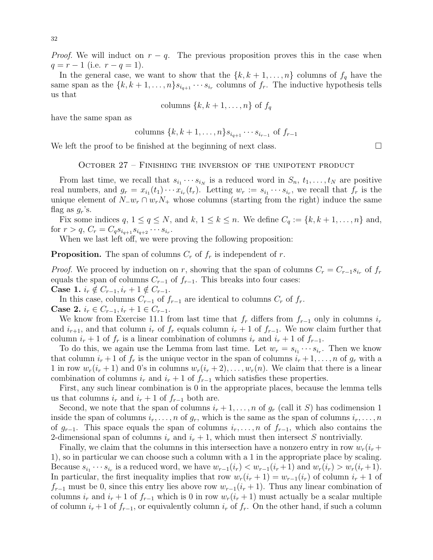*Proof.* We will induct on  $r - q$ . The previous proposition proves this in the case when  $q = r - 1$  (i.e.  $r - q = 1$ ).

In the general case, we want to show that the  $\{k, k+1, \ldots, n\}$  columns of  $f_q$  have the same span as the  $\{k, k+1, \ldots, n\} s_{i_{q+1}} \cdots s_{i_r}$  columns of  $f_r$ . The inductive hypothesis tells us that

columns 
$$
\{k, k+1, \ldots, n\}
$$
 of  $f_q$ 

have the same span as

columns 
$$
\{k, k+1, \ldots, n\} s_{i_{q+1}} \cdots s_{i_{r-1}}
$$
 of  $f_{r-1}$ 

We left the proof to be finished at the beginning of next class.  $\square$ 

<span id="page-31-0"></span>October 27 – Finishing the inversion of the unipotent product

From last time, we recall that  $s_{i_1} \cdots s_{i_N}$  is a reduced word in  $S_n$ ,  $t_1, \ldots, t_N$  are positive real numbers, and  $g_r = x_{i_1}(t_1) \cdots x_{i_r}(t_r)$ . Letting  $w_r := s_{i_1} \cdots s_{i_r}$ , we recall that  $f_r$  is the unique element of  $N_{-}w_{r} \cap w_{r}N_{+}$  whose columns (starting from the right) induce the same flag as  $g_r$ 's.

Fix some indices  $q, 1 \leq q \leq N$ , and  $k, 1 \leq k \leq n$ . We define  $C_q := \{k, k+1, \ldots, n\}$  and, for  $r > q$ ,  $C_r = C_q s_{i_{q+1}} s_{i_{q+2}} \cdots s_{i_r}$ .

When we last left off, we were proving the following proposition:

**Proposition.** The span of columns  $C_r$  of  $f_r$  is independent of r.

*Proof.* We proceed by induction on r, showing that the span of columns  $C_r = C_{r-1}s_{i_r}$  of  $f_r$ equals the span of columns  $C_{r-1}$  of  $f_{r-1}$ . This breaks into four cases: Case 1.  $i_r \notin C_{r-1}, i_r + 1 \notin C_{r-1}$ .

In this case, columns  $C_{r-1}$  of  $f_{r-1}$  are identical to columns  $C_r$  of  $f_r$ . Case 2.  $i_r \in C_{r-1}, i_r + 1 \in C_{r-1}$ .

We know from Exercise 11.1 from last time that  $f_r$  differs from  $f_{r-1}$  only in columns  $i_r$ and  $i_{r+1}$ , and that column  $i_r$  of  $f_r$  equals column  $i_r + 1$  of  $f_{r-1}$ . We now claim further that column  $i_r + 1$  of  $f_r$  is a linear combination of columns  $i_r$  and  $i_r + 1$  of  $f_{r-1}$ .

To do this, we again use the Lemma from last time. Let  $w_r = s_{i_1} \cdots s_{i_r}$ . Then we know that column  $i_r + 1$  of  $f_r$  is the unique vector in the span of columns  $i_r + 1, \ldots, n$  of  $g_r$  with a 1 in row  $w_r(i_r + 1)$  and 0's in columns  $w_r(i_r + 2), \ldots, w_r(n)$ . We claim that there is a linear combination of columns  $i_r$  and  $i_r + 1$  of  $f_{r-1}$  which satisfies these properties.

First, any such linear combination is 0 in the appropriate places, because the lemma tells us that columns  $i_r$  and  $i_r + 1$  of  $f_{r-1}$  both are.

Second, we note that the span of columns  $i_r + 1, \ldots, n$  of  $g_r$  (call it S) has codimension 1 inside the span of columns  $i_r, \ldots, n$  of  $g_r$ , which is the same as the span of columns  $i_r, \ldots, n$ of  $g_{r-1}$ . This space equals the span of columns  $i_r, \ldots, n$  of  $f_{r-1}$ , which also contains the 2-dimensional span of columns  $i_r$  and  $i_r + 1$ , which must then intersect S nontrivially.

Finally, we claim that the columns in this intersection have a nonzero entry in row  $w_r(i_r +$ 1), so in particular we can choose such a column with a 1 in the appropriate place by scaling. Because  $s_{i_1}\cdots s_{i_r}$  is a reduced word, we have  $w_{r-1}(i_r) < w_{r-1}(i_r+1)$  and  $w_r(i_r) > w_r(i_r+1)$ . In particular, the first inequality implies that row  $w_r(i_r + 1) = w_{r-1}(i_r)$  of column  $i_r + 1$  of  $f_{r-1}$  must be 0, since this entry lies above row  $w_{r-1}(i_r + 1)$ . Thus any linear combination of columns  $i_r$  and  $i_r + 1$  of  $f_{r-1}$  which is 0 in row  $w_r(i_r + 1)$  must actually be a scalar multiple of column  $i_r + 1$  of  $f_{r-1}$ , or equivalently column  $i_r$  of  $f_r$ . On the other hand, if such a column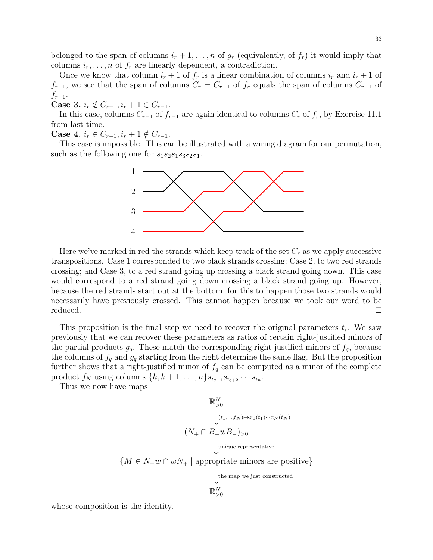belonged to the span of columns  $i_r + 1, \ldots, n$  of  $g_r$  (equivalently, of  $f_r$ ) it would imply that columns  $i_r, \ldots, n$  of  $f_r$  are linearly dependent, a contradiction.

Once we know that column  $i_r + 1$  of  $f_r$  is a linear combination of columns  $i_r$  and  $i_r + 1$  of  $f_{r-1}$ , we see that the span of columns  $C_r = C_{r-1}$  of  $f_r$  equals the span of columns  $C_{r-1}$  of  $f_{r-1}$ .

Case 3.  $i_r \notin C_{r-1}, i_r + 1 \in C_{r-1}$ .

In this case, columns  $C_{r-1}$  of  $f_{r-1}$  are again identical to columns  $C_r$  of  $f_r$ , by Exercise 11.1 from last time.

Case 4.  $i_r \in C_{r-1}, i_r + 1 \notin C_{r-1}$ .

This case is impossible. This can be illustrated with a wiring diagram for our permutation, such as the following one for  $s_1s_2s_1s_3s_2s_1$ .



Here we've marked in red the strands which keep track of the set  $C_r$  as we apply successive transpositions. Case 1 corresponded to two black strands crossing; Case 2, to two red strands crossing; and Case 3, to a red strand going up crossing a black strand going down. This case would correspond to a red strand going down crossing a black strand going up. However, because the red strands start out at the bottom, for this to happen those two strands would necessarily have previously crossed. This cannot happen because we took our word to be reduced.

This proposition is the final step we need to recover the original parameters  $t_i$ . We saw previously that we can recover these parameters as ratios of certain right-justified minors of the partial products  $g_q$ . These match the corresponding right-justified minors of  $f_q$ , because the columns of  $f_q$  and  $g_q$  starting from the right determine the same flag. But the proposition further shows that a right-justified minor of  $f_q$  can be computed as a minor of the complete product  $f_N$  using columns  $\{k, k+1, \ldots, n\} s_{i_{q+1}} s_{i_{q+2}} \cdots s_{i_n}$ .

Thus we now have maps

$$
\mathbb{R}_{>0}^N
$$
  
\n
$$
(N_+ \cap B_- w B_-)_{>0}
$$
  
\n
$$
\downarrow_{(t_1,\dots,t_N) \mapsto x_1(t_1) \cdots x_N(t_N)}
$$
  
\n
$$
\downarrow_{\text{unique representative}}
$$
  
\n
$$
\{M \in N_- w \cap wN_+ \mid \text{appropriate minors are positive}\}\atop{\downarrow_{\text{the map we just constructed}}}
$$
  
\n
$$
\mathbb{R}_{>0}^N
$$

whose composition is the identity.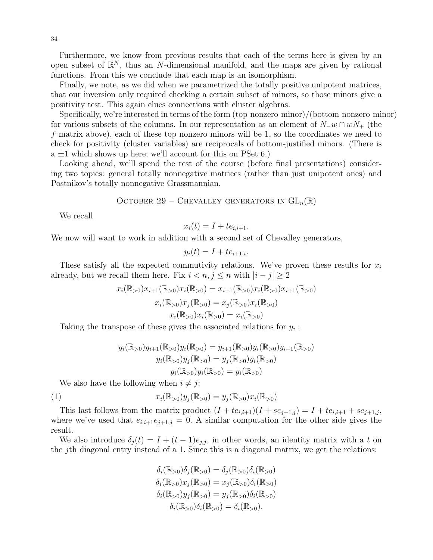34

Furthermore, we know from previous results that each of the terms here is given by an open subset of  $\mathbb{R}^N$ , thus an N-dimensional manifold, and the maps are given by rational functions. From this we conclude that each map is an isomorphism.

Finally, we note, as we did when we parametrized the totally positive unipotent matrices, that our inversion only required checking a certain subset of minors, so those minors give a positivity test. This again clues connections with cluster algebras.

Specifically, we're interested in terms of the form (top nonzero minor)/(bottom nonzero minor) for various subsets of the columns. In our representation as an element of  $N_{-}w \cap wN_{+}$  (the f matrix above), each of these top nonzero minors will be 1, so the coordinates we need to check for positivity (cluster variables) are reciprocals of bottom-justified minors. (There is  $a \pm 1$  which shows up here; we'll account for this on PSet 6.)

Looking ahead, we'll spend the rest of the course (before final presentations) considering two topics: general totally nonnegative matrices (rather than just unipotent ones) and Postnikov's totally nonnegative Grassmannian.

<span id="page-33-0"></span>OCTOBER 29 – CHEVALLEY GENERATORS IN 
$$
GL_n(\mathbb{R})
$$

We recall

$$
x_i(t) = I + te_{i,i+1}.
$$

We now will want to work in addition with a second set of Chevalley generators,

$$
y_i(t) = I + te_{i+1,i}.
$$

These satisfy all the expected commutivity relations. We've proven these results for  $x_i$ already, but we recall them here. Fix  $i < n, j \leq n$  with  $|i - j| \geq 2$ 

$$
x_i(\mathbb{R}_{>0})x_{i+1}(\mathbb{R}_{>0})x_i(\mathbb{R}_{>0}) = x_{i+1}(\mathbb{R}_{>0})x_i(\mathbb{R}_{>0})x_{i+1}(\mathbb{R}_{>0})
$$

$$
x_i(\mathbb{R}_{>0})x_j(\mathbb{R}_{>0}) = x_j(\mathbb{R}_{>0})x_i(\mathbb{R}_{>0})
$$

$$
x_i(\mathbb{R}_{>0})x_i(\mathbb{R}_{>0}) = x_i(\mathbb{R}_{>0})
$$

Taking the transpose of these gives the associated relations for  $y_i$ :

<span id="page-33-1"></span>
$$
y_i(\mathbb{R}_{>0})y_{i+1}(\mathbb{R}_{>0})y_i(\mathbb{R}_{>0}) = y_{i+1}(\mathbb{R}_{>0})y_i(\mathbb{R}_{>0})y_{i+1}(\mathbb{R}_{>0})
$$
  

$$
y_i(\mathbb{R}_{>0})y_j(\mathbb{R}_{>0}) = y_j(\mathbb{R}_{>0})y_i(\mathbb{R}_{>0})
$$
  

$$
y_i(\mathbb{R}_{>0})y_i(\mathbb{R}_{>0}) = y_i(\mathbb{R}_{>0})
$$

We also have the following when  $i \neq j$ :

(1) 
$$
x_i(\mathbb{R}_{>0})y_j(\mathbb{R}_{>0}) = y_j(\mathbb{R}_{>0})x_i(\mathbb{R}_{>0})
$$

This last follows from the matrix product  $(I + te_{i,i+1})(I + se_{j+1,j}) = I + te_{i,i+1} + se_{j+1,j}$ , where we've used that  $e_{i,i+1}e_{j+1,j} = 0$ . A similar computation for the other side gives the result.

We also introduce  $\delta_j(t) = I + (t-1)e_{j,j}$ , in other words, an identity matrix with a t on the jth diagonal entry instead of a 1. Since this is a diagonal matrix, we get the relations:

$$
\delta_i(\mathbb{R}_{>0})\delta_j(\mathbb{R}_{>0}) = \delta_j(\mathbb{R}_{>0})\delta_i(\mathbb{R}_{>0}) \n\delta_i(\mathbb{R}_{>0})x_j(\mathbb{R}_{>0}) = x_j(\mathbb{R}_{>0})\delta_i(\mathbb{R}_{>0}) \n\delta_i(\mathbb{R}_{>0})y_j(\mathbb{R}_{>0}) = y_j(\mathbb{R}_{>0})\delta_i(\mathbb{R}_{>0}) \n\delta_i(\mathbb{R}_{>0})\delta_i(\mathbb{R}_{>0}) = \delta_i(\mathbb{R}_{>0}).
$$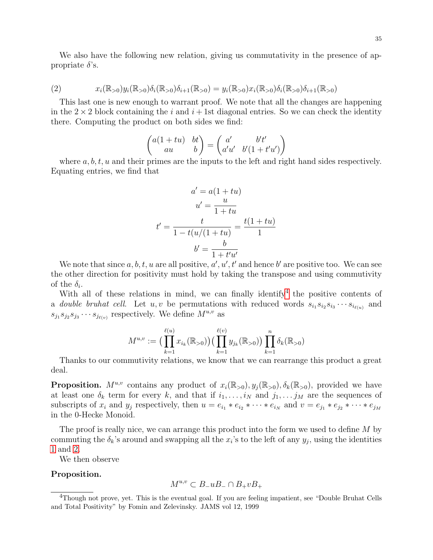We also have the following new relation, giving us commutativity in the presence of appropriate  $\delta$ 's.

<span id="page-34-1"></span>(2) 
$$
x_i(\mathbb{R}_{>0})y_i(\mathbb{R}_{>0})\delta_i(\mathbb{R}_{>0})\delta_{i+1}(\mathbb{R}_{>0}) = y_i(\mathbb{R}_{>0})x_i(\mathbb{R}_{>0})\delta_i(\mathbb{R}_{>0})\delta_{i+1}(\mathbb{R}_{>0})
$$

This last one is new enough to warrant proof. We note that all the changes are happening in the  $2 \times 2$  block containing the i and  $i + 1$ st diagonal entries. So we can check the identity there. Computing the product on both sides we find:

$$
\begin{pmatrix} a(1+tu) & bt \\ au & b \end{pmatrix} = \begin{pmatrix} a' & b't' \\ a'u' & b'(1+t'u') \end{pmatrix}
$$

where  $a, b, t, u$  and their primes are the inputs to the left and right hand sides respectively. Equating entries, we find that

$$
a' = a(1 + tu)
$$

$$
u' = \frac{u}{1 + tu}
$$

$$
t' = \frac{t}{1 - t(u/(1 + tu)} = \frac{t(1 + tu)}{1}
$$

$$
b' = \frac{b}{1 + t'u'}
$$

We note that since  $a, b, t, u$  are all positive,  $a', u', t'$  and hence b' are positive too. We can see the other direction for positivity must hold by taking the transpose and using commutivity of the  $\delta_i$ .

With all of these relations in mind, we can finally identify  $4$  the positive contents of a *double bruhat cell.* Let  $u, v$  be permutations with reduced words  $s_{i_1} s_{i_2} s_{i_3} \cdots s_{i_{\ell(u)}}$  and  $s_{j_1}s_{j_2}s_{j_3}\cdots s_{j_{\ell(v)}}$  respectively. We define  $M^{u,v}$  as

$$
M^{u,v} := \Big( \prod_{k=1}^{\ell(u)} x_{i_k}(\mathbb{R}_{>0}) \Big) \Big( \prod_{k=1}^{\ell(v)} y_{j_k}(\mathbb{R}_{>0}) \Big) \prod_{k=1}^n \delta_k(\mathbb{R}_{>0})
$$

Thanks to our commutivity relations, we know that we can rearrange this product a great deal.

**Proposition.**  $M^{u,v}$  contains any product of  $x_i(\mathbb{R}_{>0}), y_i(\mathbb{R}_{>0}), \delta_k(\mathbb{R}_{>0})$ , provided we have at least one  $\delta_k$  term for every k, and that if  $i_1, \ldots, i_N$  and  $j_1, \ldots, j_M$  are the sequences of subscripts of  $x_i$  and  $y_j$  respectively, then  $u = e_{i_1} * e_{i_2} * \cdots * e_{i_N}$  and  $v = e_{j_1} * e_{j_2} * \cdots * e_{j_M}$ in the 0-Hecke Monoid.

The proof is really nice, we can arrange this product into the form we used to define M by commuting the  $\delta_k$ 's around and swapping all the  $x_i$ 's to the left of any  $y_j$ , using the identities [1](#page-33-1) and [2.](#page-34-1)

We then observe

# Proposition.

$$
M^{u,v} \subset B_- u B_- \cap B_+ v B_+
$$

<span id="page-34-0"></span><sup>4</sup>Though not prove, yet. This is the eventual goal. If you are feeling impatient, see "Double Bruhat Cells and Total Positivity" by Fomin and Zelevinsky. JAMS vol 12, 1999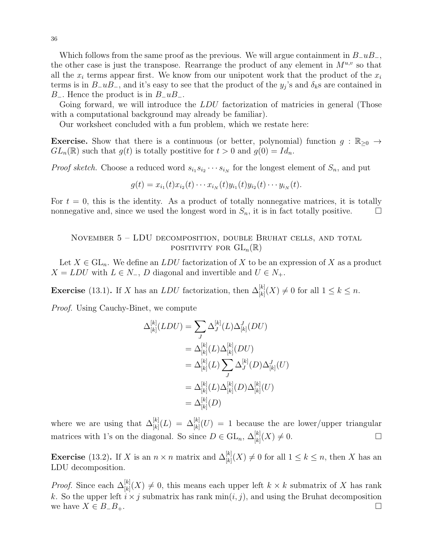Which follows from the same proof as the previous. We will argue containment in  $B_-\mu B_-\,$ , the other case is just the transpose. Rearrange the product of any element in  $M^{u,v}$  so that all the  $x_i$  terms appear first. We know from our unipotent work that the product of the  $x_i$ terms is in  $B_1 u B_2$ , and it's easy to see that the product of the  $y_j$ 's and  $\delta_k$ s are contained in B<sub>−</sub>. Hence the product is in  $B_$ uB<sub>−</sub>.

Going forward, we will introduce the LDU factorization of matricies in general (Those with a computational background may already be familiar).

Our worksheet concluded with a fun problem, which we restate here:

**Exercise.** Show that there is a continuous (or better, polynomial) function  $g : \mathbb{R}_{\geq 0} \to$  $GL_n(\mathbb{R})$  such that  $g(t)$  is totally postitive for  $t > 0$  and  $g(0) = Id_n$ .

*Proof sketch.* Choose a reduced word  $s_{i_1} s_{i_2} \cdots s_{i_N}$  for the longest element of  $S_n$ , and put

$$
g(t) = x_{i_1}(t)x_{i_2}(t)\cdots x_{i_N}(t)y_{i_1}(t)y_{i_2}(t)\cdots y_{i_N}(t).
$$

For  $t = 0$ , this is the identity. As a product of totally nonnegative matrices, it is totally nonnegative and, since we used the longest word in  $S_n$ , it is in fact totally positive.  $\Box$ 

# <span id="page-35-0"></span>November 5 – LDU decomposition, double Bruhat cells, and total POSITIVITY FOR  $GL_n(\mathbb{R})$

Let  $X \in GL_n$ . We define an LDU factorization of X to be an expression of X as a product  $X = LDU$  with  $L \in N_-, D$  diagonal and invertible and  $U \in N_+.$ 

**Exercise** (13.1). If X has an LDU factorization, then  $\Delta_{[k]}^{[k]}(X) \neq 0$  for all  $1 \leq k \leq n$ .

Proof. Using Cauchy-Binet, we compute

$$
\Delta_{[k]}^{[k]}(LDU) = \sum_{J} \Delta_{J}^{[k]}(L) \Delta_{[k]}^{J}(DU)
$$
  
\n
$$
= \Delta_{[k]}^{[k]}(L) \Delta_{[k]}^{[k]}(DU)
$$
  
\n
$$
= \Delta_{[k]}^{[k]}(L) \sum_{J} \Delta_{J}^{[k]}(D) \Delta_{[k]}^{J}(U)
$$
  
\n
$$
= \Delta_{[k]}^{[k]}(L) \Delta_{[k]}^{[k]}(D) \Delta_{[k]}^{[k]}(U)
$$
  
\n
$$
= \Delta_{[k]}^{[k]}(D)
$$

where we are using that  $\Delta_{[k]}^{[k]}(L) = \Delta_{[k]}^{[k]}(U) = 1$  because the are lower/upper triangular matrices with 1's on the diagonal. So since  $D \in GL_n$ ,  $\Delta_{[k]}^{[k]}(X) \neq 0$ .

**Exercise** (13.2). If X is an  $n \times n$  matrix and  $\Delta_{[k]}^{[k]}(X) \neq 0$  for all  $1 \leq k \leq n$ , then X has an LDU decomposition.

*Proof.* Since each  $\Delta_{[k]}^{[k]}(X) \neq 0$ , this means each upper left  $k \times k$  submatrix of X has rank k. So the upper left  $i \times j$  submatrix has rank min $(i, j)$ , and using the Bruhat decomposition we have  $X \in B_+B_+$ .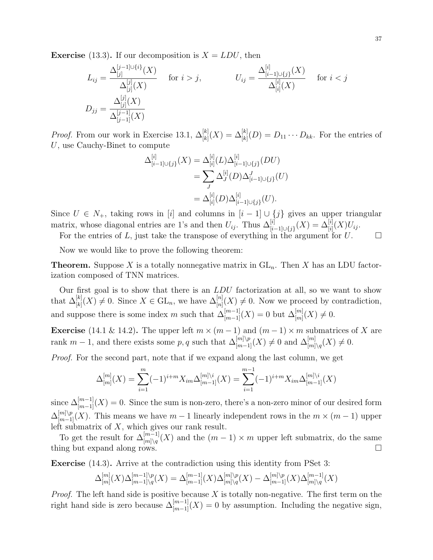**Exercise** (13.3). If our decomposition is  $X = LDU$ , then

$$
L_{ij} = \frac{\Delta_{[j]}^{[j-1]\cup\{i\}}(X)}{\Delta_{[j]}^{[j]}(X)}
$$
 for  $i > j$ , 
$$
U_{ij} = \frac{\Delta_{[i-1]\cup\{j\}}^{[i]}(X)}{\Delta_{[i]}^{[i]}(X)}
$$
 for  $i < j$   

$$
D_{jj} = \frac{\Delta_{[j-1]}^{[j]}(X)}{\Delta_{[j-1]}^{[j-1]}(X)}
$$

*Proof.* From our work in Exercise 13.1,  $\Delta_{[k]}^{[k]}(X) = \Delta_{[k]}^{[k]}(D) = D_{11} \cdots D_{kk}$ . For the entries of U, use Cauchy-Binet to compute

$$
\Delta_{[i-1]\cup\{j\}}^{[i]}(X) = \Delta_{[i]}^{[i]}(L)\Delta_{[i-1]\cup\{j\}}^{[i]}(DU)
$$
  
= 
$$
\sum_{J} \Delta_{J}^{[i]}(D)\Delta_{[i-1]\cup\{j\}}^{J}(U)
$$
  
= 
$$
\Delta_{[i]}^{[i]}(D)\Delta_{[i-1]\cup\{j\}}^{[i]}(U).
$$

Since  $U \in N_+$ , taking rows in [i] and columns in  $[i-1] \cup \{j\}$  gives an upper triangular matrix, whose diagonal entries are 1's and then  $U_{ij}$ . Thus  $\Delta_{[i-1] \cup \{j\}}^{[i]}(X) = \Delta_{[i]}^{[i]}(X)U_{ij}$ .

For the entries of L, just take the transpose of everything in the argument for  $U$ .

Now we would like to prove the following theorem:

**Theorem.** Suppose X is a totally nonnegative matrix in  $GL_n$ . Then X has an LDU factorization composed of TNN matrices.

Our first goal is to show that there is an LDU factorization at all, so we want to show that  $\Delta_{[k]}^{[k]}(X) \neq 0$ . Since  $X \in GL_n$ , we have  $\Delta_{[n]}^{[n]}(X) \neq 0$ . Now we proceed by contradiction, and suppose there is some index m such that  $\Delta_{[m-1]}^{[m-1]}(X) = 0$  but  $\Delta_{[m]}^{[m]}(X) \neq 0$ .

**Exercise** (14.1 & 14.2). The upper left  $m \times (m-1)$  and  $(m-1) \times m$  submatrices of X are rank  $m-1$ , and there exists some p, q such that  $\Delta_{[m-1]}^{[m]\setminus p}(X) \neq 0$  and  $\Delta_{[m]\setminus q}^{[m]}(X) \neq 0$ .

Proof. For the second part, note that if we expand along the last column, we get

$$
\Delta_{[m]}^{[m]}(X) = \sum_{i=1}^{m} (-1)^{i+m} X_{im} \Delta_{[m-1]}^{[m] \setminus i}(X) = \sum_{i=1}^{m-1} (-1)^{i+m} X_{im} \Delta_{[m-1]}^{[m] \setminus i}(X)
$$

since  $\Delta_{[m-1]}^{[m-1]}(X) = 0$ . Since the sum is non-zero, there's a non-zero minor of our desired form  $\Delta_{[m-1]}^{[m]\setminus p}(X)$ . This means we have  $m-1$  linearly independent rows in the  $m \times (m-1)$  upper left submatrix of  $X$ , which gives our rank result.

To get the result for  $\Delta_{[m]\setminus q}^{[m-1]}(X)$  and the  $(m-1)\times m$  upper left submatrix, do the same thing but expand along rows.

Exercise (14.3). Arrive at the contradiction using this identity from PSet 3:

$$
\Delta_{[m]}^{[m]}(X)\Delta_{[m-1]\setminus q}^{[m-1]\setminus p}(X) = \Delta_{[m-1]}^{[m-1]}(X)\Delta_{[m]\setminus q}^{[m]\setminus p}(X) - \Delta_{[m-1]}^{[m]\setminus p}(X)\Delta_{[m]\setminus q}^{[m-1]}(X)
$$

*Proof.* The left hand side is positive because  $X$  is totally non-negative. The first term on the right hand side is zero because  $\Delta_{[m-1]}^{[m-1]}(X) = 0$  by assumption. Including the negative sign,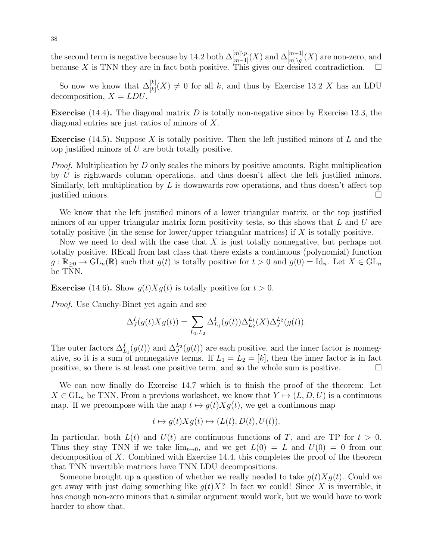the second term is negative because by 14.2 both  $\Delta_{[m-1]}^{[m]\setminus p}(X)$  and  $\Delta_{[m]\setminus q}^{[m-1]}(X)$  are non-zero, and because X is TNN they are in fact both positive. This gives our desired contradiction.  $\square$ 

So now we know that  $\Delta_{[k]}^{[k]}(X) \neq 0$  for all k, and thus by Exercise 13.2 X has an LDU decomposition,  $X = LDU$ .

**Exercise** (14.4). The diagonal matrix  $D$  is totally non-negative since by Exercise 13.3, the diagonal entries are just ratios of minors of X.

**Exercise** (14.5). Suppose X is totally positive. Then the left justified minors of L and the top justified minors of U are both totally positive.

Proof. Multiplication by D only scales the minors by positive amounts. Right multiplication by U is rightwards column operations, and thus doesn't affect the left justified minors. Similarly, left multiplication by  $L$  is downwards row operations, and thus doesn't affect top justified minors.

We know that the left justified minors of a lower triangular matrix, or the top justified minors of an upper triangular matrix form positivity tests, so this shows that  $L$  and  $U$  are totally positive (in the sense for lower/upper triangular matrices) if  $X$  is totally positive.

Now we need to deal with the case that  $X$  is just totally nonnegative, but perhaps not totally positive. REcall from last class that there exists a continuous (polynomial) function  $g: \mathbb{R}_{\geq 0} \to \mathrm{GL}_n(\mathbb{R})$  such that  $g(t)$  is totally positive for  $t > 0$  and  $g(0) = \mathrm{Id}_n$ . Let  $X \in \mathrm{GL}_n$ be TNN.

**Exercise** (14.6). Show  $g(t)Xg(t)$  is totally positive for  $t > 0$ .

Proof. Use Cauchy-Binet yet again and see

$$
\Delta_J^I(g(t)Xg(t)) = \sum_{L_1,L_2} \Delta_{L_1}^I(g(t)) \Delta_{L_2}^{L_1}(X) \Delta_J^{L_2}(g(t)).
$$

The outer factors  $\Delta_{L_1}^I(g(t))$  and  $\Delta_J^{L_2}(g(t))$  are each positive, and the inner factor is nonnegative, so it is a sum of nonnegative terms. If  $L_1 = L_2 = [k]$ , then the inner factor is in fact positive, so there is at least one positive term, and so the whole sum is positive.

We can now finally do Exercise 14.7 which is to finish the proof of the theorem: Let  $X \in GL_n$  be TNN. From a previous worksheet, we know that  $Y \mapsto (L, D, U)$  is a continuous map. If we precompose with the map  $t \mapsto g(t)Xg(t)$ , we get a continuous map

$$
t \mapsto g(t)Xg(t) \mapsto (L(t), D(t), U(t)).
$$

In particular, both  $L(t)$  and  $U(t)$  are continuous functions of T, and are TP for  $t > 0$ . Thus they stay TNN if we take  $\lim_{t\to 0}$ , and we get  $L(0) = L$  and  $U(0) = 0$  from our decomposition of X. Combined with Exercise 14.4, this completes the proof of the theorem that TNN invertible matrices have TNN LDU decompositions.

Someone brought up a question of whether we really needed to take  $g(t)Xg(t)$ . Could we get away with just doing something like  $q(t)X$ ? In fact we could! Since X is invertible, it has enough non-zero minors that a similar argument would work, but we would have to work harder to show that.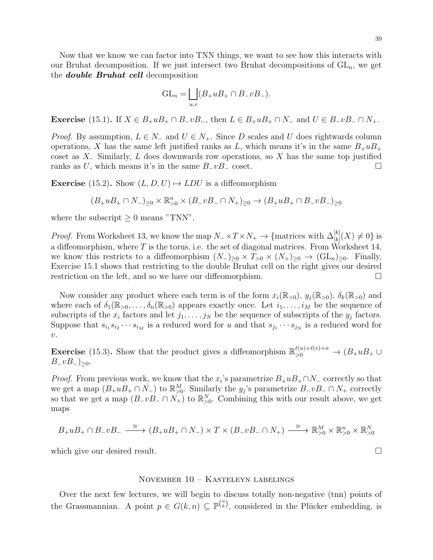Now that we know we can factor into TNN things, we want to see how this interacts with our Bruhat decomposition. If we just intersect two Bruhat decompositions of  $GL_n$ , we get the **double Bruhat cell** decomposition

$$
GL_n = \bigsqcup_{u,v} (B_+ u B_+ \cap B_- v B_-).
$$

**Exercise** (15.1). If  $X \in B_+ u B_+ \cap B_- v B_-$ , then  $L \in B_+ u B_+ \cap N_-$  and  $U \in B_- v B_- \cap N_+$ .

*Proof.* By assumption,  $L \in N_-$  and  $U \in N_+$ . Since D scales and U does rightwards column operations, X has the same left justified ranks as L, which means it's in the same  $B_+uB_+$ coset as  $X$ . Similarly,  $L$  does downwards row operations, so  $X$  has the same top justified ranks as U, which means it's in the same  $B_{\perp}vB_{\perp}$  coset.  $\square$ 

**Exercise** (15.2). Show  $(L, D, U) \rightarrow LDU$  is a diffeomorphism

$$
(B_+ u B_+ \cap N_-)_{\geq 0} \times \mathbb{R}_{>0}^n \times (B_- v B_- \cap N_+)_{\geq 0} \to (B_+ u B_+ \cap B_- v B_-)_{\geq 0}
$$

where the subscript  $\geq 0$  means "TNN".

*Proof.* From Worksheet 13, we know the map  $N = \times T \times N_+ \to \{\text{matrices with } \Delta_{[k]}^{[k]}(X) \neq 0\}$  is a diffeomorphism, where T is the torus, i.e. the set of diagonal matrices. From Worksheet 14, we know this restricts to a diffeomorphism  $(N_-)_{\geq 0} \times T_{\geq 0} \times (N_+)_{\geq 0} \to (\text{GL}_n)_{\geq 0}$ . Finally, Exercise 15.1 shows that restricting to the double Bruhat cell on the right gives our desired restriction on the left, and so we have our diffeomorphism.

Now consider any product where each term is of the form  $x_i(\mathbb{R}_{>0}), y_i(\mathbb{R}_{>0}), \delta_k(\mathbb{R}_{>0})$  and where each of  $\delta_1(\mathbb{R}_{>0}, \ldots, \delta_n(\mathbb{R}_{>0})$  appears exactly once. Let  $i_1, \ldots, i_M$  be the sequence of subscripts of the  $x_i$  factors and let  $j_1, \ldots, j_N$  be the sequence of subscripts of the  $y_j$  factors. Suppose that  $s_{i_1} s_{i_2} \cdots s_{i_M}$  is a reduced word for u and that  $s_{j_1} \cdots s_{j_N}$  is a reduced word for  $\overline{v}$ .

**Exercise** (15.3). Show that the product gives a diffeomorphism  $\mathbb{R}_{>0}^{\ell(u)+\ell(v)+n} \to (B_+uB_+ \cup$  $B_{-}vB_{-}\rangle_{\geq 0}.$ 

*Proof.* From previous work, we know that the  $x_i$ 's parametrize  $B_+ u B_+ \cap N_-$  correctly so that we get a map  $(B_+uB_+\cap N_-)$  to  $\mathbb{R}_{\geq 0}^M$ . Similarly the  $y_j$ 's parametrize  $B_-vB_-\cap N_+$  correctly so that we get a map  $(B_{-}vB_{-} \cap N_{+})$  to  $\mathbb{R}_{>0}^{N}$ . Combining this with our result above, we get maps

$$
B_+ u B_+ \cap B_- v B_- \xrightarrow{\cong} (B_+ u B_+ \cap N_-) \times T \times (B_- v B_- \cap N_+) \xrightarrow{\cong} \mathbb{R}_{>0}^M \times \mathbb{R}_{>0}^n \times \mathbb{R}_{>0}^N
$$

which give our desired result.

#### <span id="page-38-0"></span>November 10 – Kasteleyn labelings

Over the next few lectures, we will begin to discuss totally non-negative (tnn) points of the Grassmannian. A point  $p \in G(k, n) \subseteq \mathbb{P}^{n \choose k}$ , considered in the Plücker embedding, is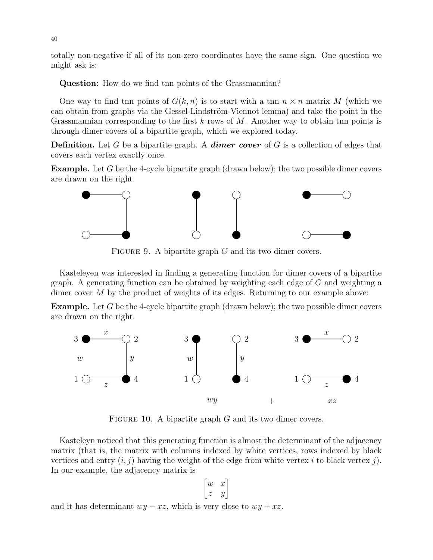totally non-negative if all of its non-zero coordinates have the same sign. One question we might ask is:

Question: How do we find the points of the Grassmannian?

One way to find the points of  $G(k, n)$  is to start with a the  $n \times n$  matrix M (which we can obtain from graphs via the Gessel-Lindström-Viennot lemma) and take the point in the Grassmannian corresponding to the first k rows of M. Another way to obtain the points is through dimer covers of a bipartite graph, which we explored today.

**Definition.** Let G be a bipartite graph. A **dimer cover** of G is a collection of edges that covers each vertex exactly once.

**Example.** Let  $G$  be the 4-cycle bipartite graph (drawn below); the two possible dimer covers are drawn on the right.



FIGURE 9. A bipartite graph  $G$  and its two dimer covers.

Kasteleyen was interested in finding a generating function for dimer covers of a bipartite graph. A generating function can be obtained by weighting each edge of  $G$  and weighting a dimer cover M by the product of weights of its edges. Returning to our example above:

Example. Let G be the 4-cycle bipartite graph (drawn below); the two possible dimer covers are drawn on the right.



FIGURE 10. A bipartite graph  $G$  and its two dimer covers.

Kasteleyn noticed that this generating function is almost the determinant of the adjacency matrix (that is, the matrix with columns indexed by white vertices, rows indexed by black vertices and entry  $(i, j)$  having the weight of the edge from white vertex i to black vertex j). In our example, the adjacency matrix is

$$
\begin{bmatrix} w & x \\ z & y \end{bmatrix}
$$

and it has determinant  $wy - xz$ , which is very close to  $wy + xz$ .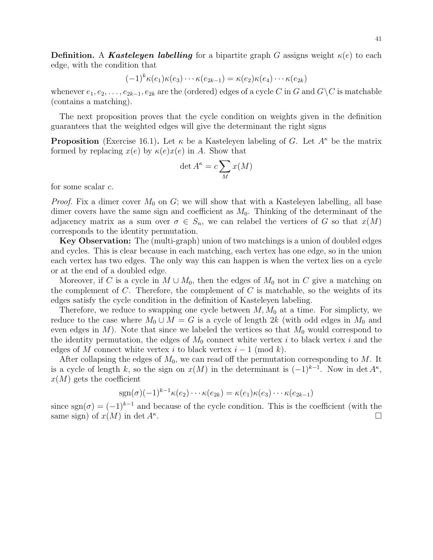**Definition.** A **Kasteleyen labelling** for a bipartite graph G assigns weight  $\kappa(e)$  to each edge, with the condition that

$$
(-1)^k \kappa(e_1) \kappa(e_3) \cdots \kappa(e_{2k-1}) = \kappa(e_2) \kappa(e_4) \cdots \kappa(e_{2k})
$$

whenever  $e_1, e_2, \ldots, e_{2k-1}, e_{2k}$  are the (ordered) edges of a cycle C in G and  $G\setminus C$  is matchable (contains a matching).

The next proposition proves that the cycle condition on weights given in the definition guarantees that the weighted edges will give the determinant the right signs

**Proposition** (Exercise 16.1). Let  $\kappa$  be a Kasteleyen labeling of G. Let  $A^{\kappa}$  be the matrix formed by replacing  $x(e)$  by  $\kappa(e)x(e)$  in A. Show that

$$
\det A^{\kappa} = c \sum_{M} x(M)
$$

for some scalar c.

*Proof.* Fix a dimer cover  $M_0$  on G; we will show that with a Kasteleyen labelling, all base dimer covers have the same sign and coefficient as  $M_0$ . Thinking of the determinant of the adjacency matrix as a sum over  $\sigma \in S_n$ , we can relabel the vertices of G so that  $x(M)$ corresponds to the identity permutation.

Key Observation: The (multi-graph) union of two matchings is a union of doubled edges and cycles. This is clear because in each matching, each vertex has one edge, so in the union each vertex has two edges. The only way this can happen is when the vertex lies on a cycle or at the end of a doubled edge.

Moreover, if C is a cycle in  $M \cup M_0$ , then the edges of  $M_0$  not in C give a matching on the complement of C. Therefore, the complement of C is matchable, so the weights of its edges satisfy the cycle condition in the definition of Kasteleyen labeling.

Therefore, we reduce to swapping one cycle between  $M, M_0$  at a time. For simplicty, we reduce to the case where  $M_0 \cup M = G$  is a cycle of length 2k (with odd edges in  $M_0$  and even edges in  $M$ ). Note that since we labeled the vertices so that  $M_0$  would correspond to the identity permutation, the edges of  $M_0$  connect white vertex i to black vertex i and the edges of M connect white vertex i to black vertex  $i-1 \pmod{k}$ .

After collapsing the edges of  $M_0$ , we can read off the permutation corresponding to M. It is a cycle of length k, so the sign on  $x(M)$  in the determinant is  $(-1)^{k-1}$ . Now in det  $A^k$ ,  $x(M)$  gets the coefficient

$$
sgn(\sigma)(-1)^{k-1}\kappa(e_2)\cdots\kappa(e_{2k})=\kappa(e_1)\kappa(e_3)\cdots\kappa(e_{2k-1})
$$

since sgn( $\sigma$ ) =  $(-1)^{k-1}$  and because of the cycle condition. This is the coefficient (with the same sign) of  $x(M)$  in det  $A^k$ . .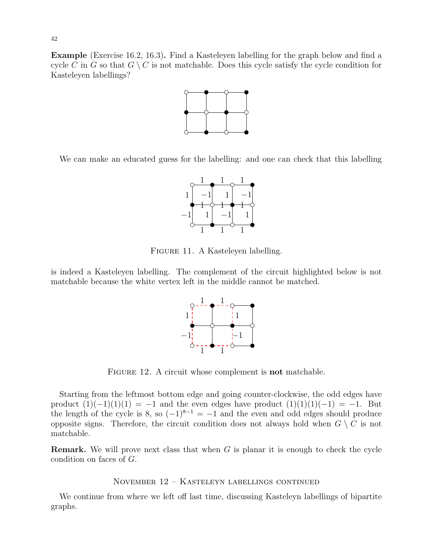Example (Exercise 16.2, 16.3). Find a Kasteleyen labelling for the graph below and find a cycle C in G so that  $G \setminus C$  is not matchable. Does this cycle satisfy the cycle condition for Kasteleyen labellings?



We can make an educated guess for the labelling: and one can check that this labelling



Figure 11. A Kasteleyen labelling.

is indeed a Kasteleyen labelling. The complement of the circuit highlighted below is not matchable because the white vertex left in the middle cannot be matched.



FIGURE 12. A circuit whose complement is **not** matchable.

Starting from the leftmost bottom edge and going counter-clockwise, the odd edges have product  $(1)(-1)(1)(1) = -1$  and the even edges have product  $(1)(1)(1)(-1) = -1$ . But the length of the cycle is 8, so  $(-1)^{8-1} = -1$  and the even and odd edges should produce opposite signs. Therefore, the circuit condition does not always hold when  $G \setminus C$  is not matchable.

**Remark.** We will prove next class that when  $G$  is planar it is enough to check the cycle condition on faces of G.

# <span id="page-41-0"></span>November 12 – Kasteleyn labellings continued

We continue from where we left off last time, discussing Kasteleyn labellings of bipartite graphs.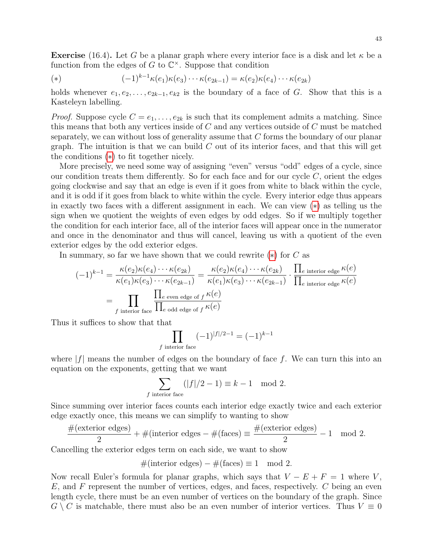**Exercise** (16.4). Let G be a planar graph where every interior face is a disk and let  $\kappa$  be a function from the edges of  $G$  to  $\mathbb{C}^{\times}$ . Suppose that condition

<span id="page-42-0"></span>(\*) 
$$
(-1)^{k-1}\kappa(e_1)\kappa(e_3)\cdots\kappa(e_{2k-1}) = \kappa(e_2)\kappa(e_4)\cdots\kappa(e_{2k})
$$

holds whenever  $e_1, e_2, \ldots, e_{2k-1}, e_{k2}$  is the boundary of a face of G. Show that this is a Kasteleyn labelling.

*Proof.* Suppose cycle  $C = e_1, \ldots, e_{2k}$  is such that its complement admits a matching. Since this means that both any vertices inside of C and any vertices outside of C must be matched separately, we can without loss of generality assume that C forms the boundary of our planar graph. The intuition is that we can build  $C$  out of its interior faces, and that this will get the conditions ([∗](#page-42-0)) to fit together nicely.

More precisely, we need some way of assigning "even" versus "odd" edges of a cycle, since our condition treats them differently. So for each face and for our cycle  $C$ , orient the edges going clockwise and say that an edge is even if it goes from white to black within the cycle, and it is odd if it goes from black to white within the cycle. Every interior edge thus appears in exactly two faces with a different assignment in each. We can view ([∗](#page-42-0)) as telling us the sign when we quotient the weights of even edges by odd edges. So if we multiply together the condition for each interior face, all of the interior faces will appear once in the numerator and once in the denominator and thus will cancel, leaving us with a quotient of the even exterior edges by the odd exterior edges.

In summary, so far we have shown that we could rewrite  $(*)$  for C as

$$
(-1)^{k-1} = \frac{\kappa(e_2)\kappa(e_4)\cdots\kappa(e_{2k})}{\kappa(e_1)\kappa(e_3)\cdots\kappa(e_{2k-1})} = \frac{\kappa(e_2)\kappa(e_4)\cdots\kappa(e_{2k})}{\kappa(e_1)\kappa(e_3)\cdots\kappa(e_{2k-1})} \cdot \frac{\prod_{e \text{ interior edge}} \kappa(e)}{\prod_{e \text{ interior face}} \kappa(e)}
$$

$$
= \prod_{f \text{ interior face}} \frac{\prod_{e \text{ even edge of } f} \kappa(e)}{\prod_{e \text{ odd edge of } f} \kappa(e)}
$$

Thus it suffices to show that that

$$
\prod_{f \text{ interior face}} (-1)^{|f|/2-1} = (-1)^{k-1}
$$

where  $|f|$  means the number of edges on the boundary of face f. We can turn this into an equation on the exponents, getting that we want

$$
\sum_{f \text{ interior face}} (|f|/2 - 1) \equiv k - 1 \mod 2.
$$

Since summing over interior faces counts each interior edge exactly twice and each exterior edge exactly once, this means we can simplify to wanting to show

$$
\frac{\#(\text{exterior edges})}{2} + \#(\text{interior edges} - \#(\text{faces}) \equiv \frac{\#(\text{exterior edges})}{2} - 1 \mod 2.
$$

Cancelling the exterior edges term on each side, we want to show

$$
#(interior edges) - #(faces) \equiv 1 \mod 2.
$$

Now recall Euler's formula for planar graphs, which says that  $V - E + F = 1$  where V,  $E$ , and  $F$  represent the number of vertices, edges, and faces, respectively.  $C$  being an even length cycle, there must be an even number of vertices on the boundary of the graph. Since  $G \setminus C$  is matchable, there must also be an even number of interior vertices. Thus  $V \equiv 0$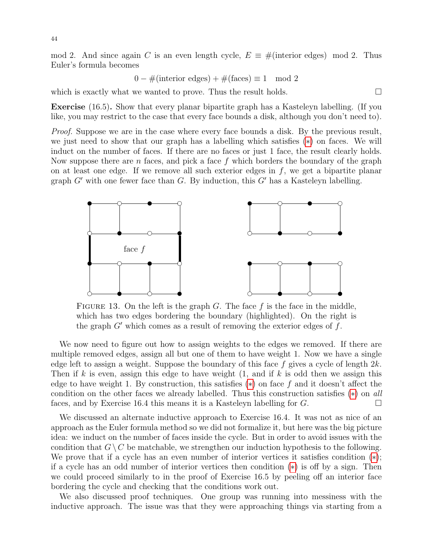mod 2. And since again C is an even length cycle,  $E = #$ (interior edges) mod 2. Thus Euler's formula becomes

 $0 - \#$ (interior edges) +  $\#$ (faces)  $\equiv 1 \mod 2$ 

which is exactly what we wanted to prove. Thus the result holds.  $\Box$ 

Exercise (16.5). Show that every planar bipartite graph has a Kasteleyn labelling. (If you like, you may restrict to the case that every face bounds a disk, although you don't need to).

Proof. Suppose we are in the case where every face bounds a disk. By the previous result, we just need to show that our graph has a labelling which satisfies ([∗](#page-42-0)) on faces. We will induct on the number of faces. If there are no faces or just 1 face, the result clearly holds. Now suppose there are n faces, and pick a face f which borders the boundary of the graph on at least one edge. If we remove all such exterior edges in  $f$ , we get a bipartite planar graph  $G'$  with one fewer face than  $G$ . By induction, this  $G'$  has a Kasteleyn labelling.



FIGURE 13. On the left is the graph  $G$ . The face  $f$  is the face in the middle, which has two edges bordering the boundary (highlighted). On the right is the graph  $G'$  which comes as a result of removing the exterior edges of  $f$ .

We now need to figure out how to assign weights to the edges we removed. If there are multiple removed edges, assign all but one of them to have weight 1. Now we have a single edge left to assign a weight. Suppose the boundary of this face f gives a cycle of length  $2k$ . Then if k is even, assign this edge to have weight  $(1, \text{ and if } k \text{ is odd then we assign this})$ edge to have weight 1. By construction, this satisfies  $(*)$  on face f and it doesn't affect the condition on the other faces we already labelled. Thus this construction satisfies ([∗](#page-42-0)) on all faces, and by Exercise 16.4 this means it is a Kasteleyn labelling for  $G$ .

We discussed an alternate inductive approach to Exercise 16.4. It was not as nice of an approach as the Euler formula method so we did not formalize it, but here was the big picture idea: we induct on the number of faces inside the cycle. But in order to avoid issues with the condition that  $G \setminus C$  be matchable, we strengthen our induction hypothesis to the following. We prove that if a cycle has an even number of interior vertices it satisfies condition  $(*);$ if a cycle has an odd number of interior vertices then condition ([∗](#page-42-0)) is off by a sign. Then we could proceed similarly to in the proof of Exercise 16.5 by peeling off an interior face bordering the cycle and checking that the conditions work out.

We also discussed proof techniques. One group was running into messiness with the inductive approach. The issue was that they were approaching things via starting from a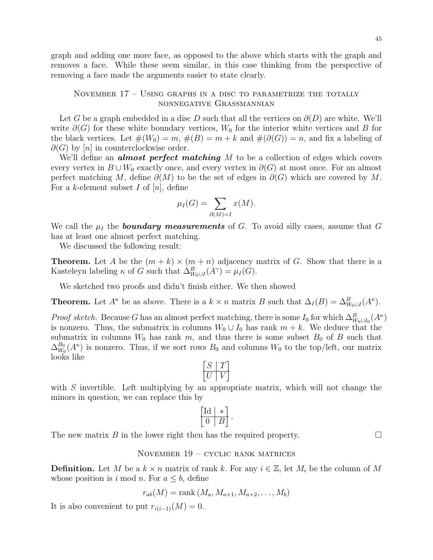graph and adding one more face, as opposed to the above which starts with the graph and removes a face. While these seem similar, in this case thinking from the perspective of removing a face made the arguments easier to state clearly.

# <span id="page-44-0"></span>November 17 – Using graphs in a disc to parametrize the totally nonnegative Grassmannian

Let G be a graph embedded in a disc D such that all the vertices on  $\partial(D)$  are white. We'll write  $\partial(G)$  for these white boundary vertices,  $W_0$  for the interior white vertices and B for the black vertices. Let  $\#(W_0) = m$ ,  $\#(B) = m + k$  and  $\#(\partial(G)) = n$ , and fix a labeling of  $\partial(G)$  by  $[n]$  in counterclockwise order.

We'll define an **almost perfect matching**  $M$  to be a collection of edges which covers every vertex in  $B \cup W_0$  exactly once, and every vertex in  $\partial(G)$  at most once. For an almost perfect matching M, define  $\partial(M)$  to be the set of edges in  $\partial(G)$  which are covered by M. For a k-element subset I of  $[n]$ , define

$$
\mu_I(G) = \sum_{\partial(M)=I} x(M).
$$

We call the  $\mu_I$  the **boundary measurements** of G. To avoid silly cases, assume that G has at least one almost perfect matching.

We discussed the following result:

**Theorem.** Let A be the  $(m + k) \times (m + n)$  adjacency matrix of G. Show that there is a Kasteleyn labeling  $\kappa$  of G such that  $\Delta_{W_0 \cup I}^B(A^\gamma) = \mu_I(G)$ .

We sketched two proofs and didn't finish either. We then showed

**Theorem.** Let  $A^{\kappa}$  be as above. There is a  $k \times n$  matrix B such that  $\Delta_I(B) = \Delta_{W_0 \cup I}^B(A^{\kappa})$ .

*Proof sketch.* Because G has an almost perfect matching, there is some  $I_0$  for which  $\Delta_{W_0 \cup I_0}^B(A^{\kappa})$ is nonzero. Thus, the submatrix in columns  $W_0 \cup I_0$  has rank  $m + k$ . We deduce that the submatrix in columns  $W_0$  has rank m, and thus there is some subset  $B_0$  of B such that  $\Delta_{W_c}^{B_0}$  $\frac{B_0}{W_0}(A^{\kappa})$  is nonzero. Thus, if we sort rows  $B_0$  and columns  $W_0$  to the top/left, our matrix looks like

$$
\begin{bmatrix} S & T \\ \hline U & V \end{bmatrix}
$$

with  $S$  invertible. Left multiplying by an appropriate matrix, which will not change the minors in question, we can replace this by

$$
\left[\begin{array}{c|c}\n\text{Id} & * \\
\hline\n0 & B\n\end{array}\right].
$$

The new matrix B in the lower right then has the required property.  $\Box$ 

### <span id="page-44-1"></span>November 19 – cyclic rank matrices

**Definition.** Let M be a  $k \times n$  matrix of rank k. For any  $i \in \mathbb{Z}$ , let  $M_i$  be the column of M whose position is i mod n. For  $a \leq b$ , define

$$
r_{ab}(M) = \text{rank}\left(M_a, M_{a+1}, M_{a+2}, \dots, M_b\right)
$$

It is also convenient to put  $r_{i(i-1)}(M) = 0$ .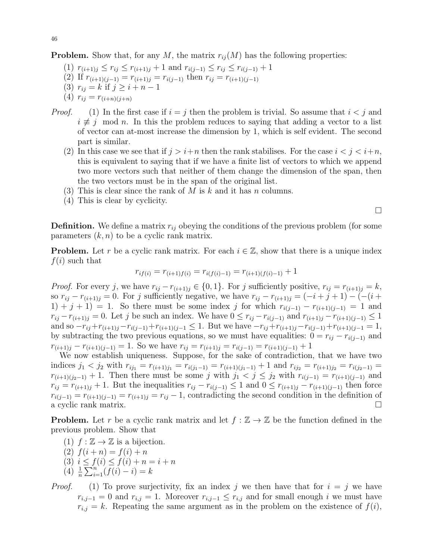**Problem.** Show that, for any M, the matrix  $r_{ij}(M)$  has the following properties:

- (1)  $r_{(i+1)j} \leq r_{ij} \leq r_{(i+1)j} + 1$  and  $r_{i(j-1)} \leq r_{ij} \leq r_{i(j-1)} + 1$
- (2) If  $r_{(i+1)(j-1)} = r_{(i+1)j} = r_{i(j-1)}$  then  $r_{ij} = r_{(i+1)(j-1)}$
- (3)  $r_{ij} = k$  if  $j \geq i + n 1$
- (4)  $r_{ij} = r_{(i+n)(j+n)}$
- *Proof.* (1) In the first case if  $i = j$  then the problem is trivial. So assume that  $i < j$  and  $i \not\equiv j \mod n$ . In this the problem reduces to saying that adding a vector to a list of vector can at-most increase the dimension by 1, which is self evident. The second part is similar.
	- (2) In this case we see that if  $j > i+n$  then the rank stabilises. For the case  $i < j < i+n$ , this is equivalent to saying that if we have a finite list of vectors to which we append two more vectors such that neither of them change the dimension of the span, then the two vectors must be in the span of the original list.
	- (3) This is clear since the rank of M is k and it has n columns.
	- (4) This is clear by cyclicity.

 $\Box$ 

**Definition.** We define a matrix  $r_{ij}$  obeying the conditions of the previous problem (for some parameters  $(k, n)$  to be a cyclic rank matrix.

**Problem.** Let r be a cyclic rank matrix. For each  $i \in \mathbb{Z}$ , show that there is a unique index  $f(i)$  such that

$$
r_{if(i)} = r_{(i+1)f(i)} = r_{i(f(i)-1)} = r_{(i+1)(f(i)-1)} + 1
$$

*Proof.* For every j, we have  $r_{ij} - r_{(i+1)j} \in \{0,1\}$ . For j sufficiently positive,  $r_{ij} = r_{(i+1)j} = k$ , so  $r_{ij} - r_{(i+1)j} = 0$ . For j sufficiently negative, we have  $r_{ij} - r_{(i+1)j} = (-i + j + 1) - (-i + j)$ 1) + j + 1) = 1. So there must be some index j for which  $r_{i(j-1)} - r_{(i+1)(j-1)} = 1$  and  $r_{ij} - r_{(i+1)j} = 0$ . Let j be such an index. We have  $0 \le r_{ij} - r_{i(j-1)}$  and  $r_{(i+1)j} - r_{(i+1)(j-1)} \le 1$ and so  $-r_{ij}+r_{(i+1)j}-r_{i(j-1)}+r_{(i+1)(j-1)} \leq 1$ . But we have  $-r_{ij}+r_{(i+1)j}-r_{i(j-1)}+r_{(i+1)(j-1)} = 1$ , by subtracting the two previous equations, so we must have equalities:  $0 = r_{ij} - r_{i(j-1)}$  and  $r_{(i+1)j} - r_{(i+1)(j-1)} = 1$ . So we have  $r_{ij} = r_{(i+1)j} = r_{i(j-1)} = r_{(i+1)(j-1)} + 1$ 

We now establish uniqueness. Suppose, for the sake of contradiction, that we have two indices  $j_1 < j_2$  with  $r_{ij_1} = r_{(i+1)j_1} = r_{i(j_1-1)} = r_{(i+1)(j_1-1)} + 1$  and  $r_{ij_2} = r_{(i+1)j_2} = r_{i(j_2-1)} =$  $r_{(i+1)(j_2-1)}+1$ . Then there must be some j with  $j_1 < j \leq j_2$  with  $r_{i(j-1)} = r_{(i+1)(j-1)}$  and  $r_{ij} = r_{(i+1)j} + 1$ . But the inequalities  $r_{ij} - r_{i(j-1)} \leq 1$  and  $0 \leq r_{(i+1)j} - r_{(i+1)(j-1)}$  then force  $r_{i(j-1)} = r_{(i+1)(j-1)} = r_{(i+1)j} = r_{ij} - 1$ , contradicting the second condition in the definition of a cyclic rank matrix.

**Problem.** Let r be a cyclic rank matrix and let  $f : \mathbb{Z} \to \mathbb{Z}$  be the function defined in the previous problem. Show that

- (1)  $f : \mathbb{Z} \to \mathbb{Z}$  is a bijection.
- (2)  $f(i+n) = f(i) + n$
- (3)  $i \leq f(i) \leq f(i) + n = i + n$
- $(4)$   $\frac{1}{n} \sum_{i=1}^{n} (f(i) i) = k$

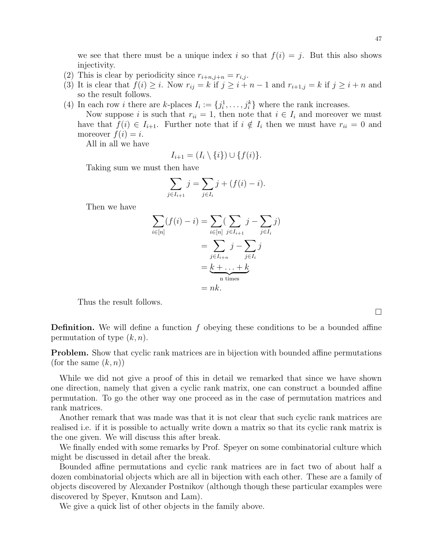we see that there must be a unique index i so that  $f(i) = j$ . But this also shows injectivity.

- (2) This is clear by periodicity since  $r_{i+n,j+n} = r_{i,j}$ .
- (3) It is clear that  $f(i) \geq i$ . Now  $r_{ij} = k$  if  $j \geq i + n 1$  and  $r_{i+1,j} = k$  if  $j \geq i + n$  and so the result follows.
- (4) In each row *i* there are *k*-places  $I_i := \{j_i^1, \ldots, j_i^k\}$  where the rank increases.

Now suppose i is such that  $r_{ii} = 1$ , then note that  $i \in I_i$  and moreover we must have that  $f(i) \in I_{i+1}$ . Further note that if  $i \notin I_i$  then we must have  $r_{ii} = 0$  and moreover  $f(i) = i$ .

All in all we have

$$
I_{i+1} = (I_i \setminus \{i\}) \cup \{f(i)\}.
$$

Taking sum we must then have

$$
\sum_{j \in I_{i+1}} j = \sum_{j \in I_i} j + (f(i) - i).
$$

Then we have

$$
\sum_{i \in [n]} (f(i) - i) = \sum_{i \in [n]} (\sum_{j \in I_{i+1}} j - \sum_{j \in I_i} j)
$$

$$
= \sum_{j \in I_{i+n}} j - \sum_{j \in I_i} j
$$

$$
= \underbrace{k + \ldots + k}_{n \text{ times}}
$$

$$
= nk.
$$

Thus the result follows.

**Definition.** We will define a function  $f$  obeying these conditions to be a bounded affine permutation of type  $(k, n)$ .

**Problem.** Show that cyclic rank matrices are in bijection with bounded affine permutations (for the same  $(k, n)$ )

While we did not give a proof of this in detail we remarked that since we have shown one direction, namely that given a cyclic rank matrix, one can construct a bounded affine permutation. To go the other way one proceed as in the case of permutation matrices and rank matrices.

Another remark that was made was that it is not clear that such cyclic rank matrices are realised i.e. if it is possible to actually write down a matrix so that its cyclic rank matrix is the one given. We will discuss this after break.

We finally ended with some remarks by Prof. Speyer on some combinatorial culture which might be discussed in detail after the break.

Bounded affine permutations and cyclic rank matrices are in fact two of about half a dozen combinatorial objects which are all in bijection with each other. These are a family of objects discovered by Alexander Postnikov (although though these particular examples were discovered by Speyer, Knutson and Lam).

We give a quick list of other objects in the family above.

 $\Box$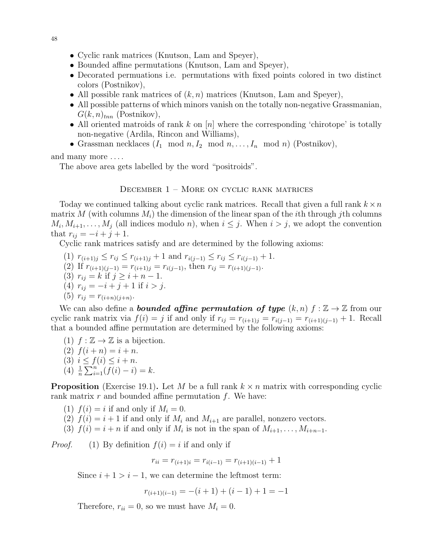- Cyclic rank matrices (Knutson, Lam and Speyer),
- Bounded affine permutations (Knutson, Lam and Speyer),
- Decorated permuations i.e. permutations with fixed points colored in two distinct colors (Postnikov),
- All possible rank matrices of  $(k, n)$  matrices (Knutson, Lam and Speyer),
- All possible patterns of which minors vanish on the totally non-negative Grassmanian,  $G(k, n)_{tnn}$  (Postnikov),
- All oriented matroids of rank  $k$  on  $[n]$  where the corresponding 'chirotope' is totally non-negative (Ardila, Rincon and Williams),
- Grassman necklaces  $(I_1 \mod n, I_2 \mod n, \ldots, I_n \mod n)$  (Postnikov),

and many more . . . .

The above area gets labelled by the word "positroids".

## <span id="page-47-0"></span>December 1 – More on cyclic rank matrices

Today we continued talking about cyclic rank matrices. Recall that given a full rank  $k \times n$ matrix M (with columns  $M_i$ ) the dimension of the linear span of the *i*th through *j*th columns  $M_i, M_{i+1}, \ldots, M_j$  (all indices modulo *n*), when  $i \leq j$ . When  $i > j$ , we adopt the convention that  $r_{ij} = -i + j + 1$ .

Cyclic rank matrices satisfy and are determined by the following axioms:

- (1)  $r_{(i+1)j} \leq r_{ij} \leq r_{(i+1)j} + 1$  and  $r_{i(j-1)} \leq r_{ij} \leq r_{i(j-1)} + 1$ .
- (2) If  $r_{(i+1)(j-1)} = r_{(i+1)j} = r_{i(j-1)}$ , then  $r_{ij} = r_{(i+1)(j-1)}$ .
- (3)  $r_{ij} = k$  if  $j \geq i + n 1$ .
- (4)  $r_{ij} = -i + j + 1$  if  $i > j$ .

(5) 
$$
r_{ij} = r_{(i+n)(j+n)}
$$
.

We can also define a **bounded affine permutation of type**  $(k, n)$   $f : \mathbb{Z} \to \mathbb{Z}$  from our cyclic rank matrix via  $f(i) = j$  if and only if  $r_{ij} = r_{(i+1)j} = r_{i(j-1)} = r_{(i+1)(j-1)} + 1$ . Recall that a bounded affine permutation are determined by the following axioms:

- (1)  $f : \mathbb{Z} \to \mathbb{Z}$  is a bijection.
- (2)  $f(i+n) = i+n$ .
- (3)  $i \le f(i) \le i + n$ .
- $(4)$   $\frac{1}{n} \sum_{i=1}^{n} (f(i) i) = k.$

**Proposition** (Exercise 19.1). Let M be a full rank  $k \times n$  matrix with corresponding cyclic rank matrix  $r$  and bounded affine permutation  $f$ . We have:

- (1)  $f(i) = i$  if and only if  $M_i = 0$ .
- (2)  $f(i) = i + 1$  if and only if  $M_i$  and  $M_{i+1}$  are parallel, nonzero vectors.
- (3)  $f(i) = i + n$  if and only if  $M_i$  is not in the span of  $M_{i+1}, \ldots, M_{i+n-1}$ .

*Proof.* (1) By definition  $f(i) = i$  if and only if

$$
r_{ii} = r_{(i+1)i} = r_{i(i-1)} = r_{(i+1)(i-1)} + 1
$$

Since  $i + 1 > i - 1$ , we can determine the leftmost term:

$$
r_{(i+1)(i-1)} = -(i+1) + (i-1) + 1 = -1
$$

Therefore,  $r_{ii} = 0$ , so we must have  $M_i = 0$ .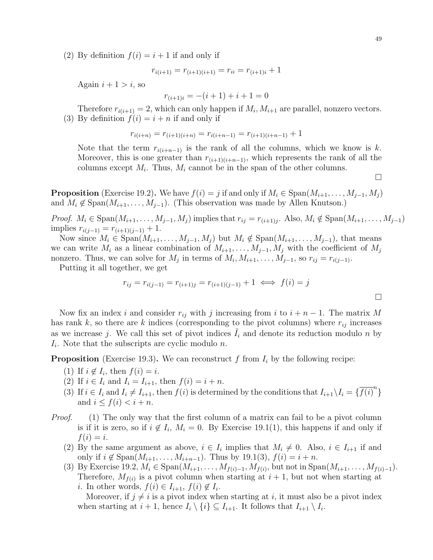(2) By definition  $f(i) = i + 1$  if and only if

$$
r_{i(i+1)} = r_{(i+1)(i+1)} = r_{ii} = r_{(i+1)i} + 1
$$

Again  $i + 1 > i$ , so

$$
r_{(i+1)i} = -(i+1) + i + 1 = 0
$$

Therefore  $r_{i(i+1)} = 2$ , which can only happen if  $M_i, M_{i+1}$  are parallel, nonzero vectors. (3) By definition  $f(i) = i + n$  if and only if

$$
r_{i(i+n)} = r_{(i+1)(i+n)} = r_{i(i+n-1)} = r_{(i+1)(i+n-1)} + 1
$$

Note that the term  $r_{i(i+n-1)}$  is the rank of all the columns, which we know is k. Moreover, this is one greater than  $r_{(i+1)(i+n-1)}$ , which represents the rank of all the columns except  $M_i$ . Thus,  $M_i$  cannot be in the span of the other columns.

 $\Box$ 

 $\Box$ 

**Proposition** (Exercise 19.2). We have  $f(i) = j$  if and only if  $M_i \in \text{Span}(M_{i+1}, \ldots, M_{j-1}, M_j)$ and  $M_i \notin \text{Span}(M_{i+1}, \ldots, M_{j-1})$ . (This observation was made by Allen Knutson.)

*Proof.*  $M_i \in \text{Span}(M_{i+1}, \ldots, M_{j-1}, M_j)$  implies that  $r_{ij} = r_{(i+1)j}$ . Also,  $M_i \notin \text{Span}(M_{i+1}, \ldots, M_{j-1})$ implies  $r_{i(j-1)} = r_{(i+1)(j-1)} + 1$ .

Now since  $M_i \in \text{Span}(M_{i+1}, \ldots, M_{j-1}, M_j)$  but  $M_i \notin \text{Span}(M_{i+1}, \ldots, M_{j-1}),$  that means we can write  $M_i$  as a linear combination of  $M_{i+1}, \ldots, M_{i-1}, M_i$  with the coefficient of  $M_i$ nonzero. Thus, we can solve for  $M_j$  in terms of  $M_i, M_{i+1}, \ldots, M_{j-1}$ , so  $r_{ij} = r_{i(j-1)}$ .

Putting it all together, we get

$$
r_{ij} = r_{i(j-1)} = r_{(i+1)j} = r_{(i+1)(j-1)} + 1 \iff f(i) = j
$$

Now fix an index i and consider  $r_{ij}$  with j increasing from i to  $i + n - 1$ . The matrix M has rank k, so there are k indices (corresponding to the pivot columns) where  $r_{ij}$  increases as we increase j. We call this set of pivot indices  $I_i$  and denote its reduction modulo n by  $I_i$ . Note that the subscripts are cyclic modulo n.

**Proposition** (Exercise 19.3). We can reconstruct f from  $I_i$  by the following recipe:

- (1) If  $i \notin I_i$ , then  $f(i) = i$ .
- (2) If  $i \in I_i$  and  $I_i = I_{i+1}$ , then  $f(i) = i + n$ .
- (3) If  $i \in I_i$  and  $I_i \neq I_{i+1}$ , then  $f(i)$  is determined by the conditions that  $I_{i+1} \setminus I_i = {\overline{f(i)}}^n$ and  $i \leq f(i) \leq i + n$ .
- *Proof.* (1) The only way that the first column of a matrix can fail to be a pivot column is if it is zero, so if  $i \notin I_i$ ,  $M_i = 0$ . By Exercise 19.1(1), this happens if and only if  $f(i) = i.$ 
	- (2) By the same argument as above,  $i \in I_i$  implies that  $M_i \neq 0$ . Also,  $i \in I_{i+1}$  if and only if  $i \notin \text{Span}(M_{i+1}, \ldots, M_{i+n-1})$ . Thus by 19.1(3),  $f(i) = i + n$ .
	- (3) By Exercise 19.2,  $M_i \in \text{Span}(M_{i+1}, \ldots, M_{f(i)-1}, M_{f(i)}, \text{but not in } \text{Span}(M_{i+1}, \ldots, M_{f(i)-1}).$ Therefore,  $M_{f(i)}$  is a pivot column when starting at  $i + 1$ , but not when starting at *i*. In other words,  $f(i) \in I_{i+1}$ ,  $f(i) \notin I_i$ .

Moreover, if  $j \neq i$  is a pivot index when starting at i, it must also be a pivot index when starting at  $i + 1$ , hence  $I_i \setminus \{i\} \subseteq I_{i+1}$ . It follows that  $I_{i+1} \setminus I_i$ .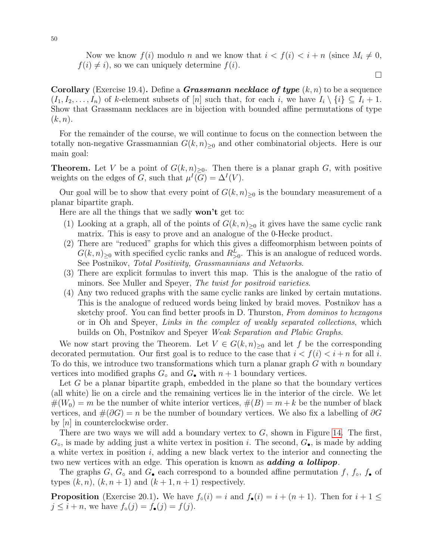Now we know  $f(i)$  modulo n and we know that  $i < f(i) < i + n$  (since  $M_i \neq 0$ ,  $f(i) \neq i$ , so we can uniquely determine  $f(i)$ .

 $\Box$ 

**Corollary** (Exercise 19.4). Define a *Grassmann necklace of type*  $(k, n)$  to be a sequence  $(I_1, I_2, \ldots, I_n)$  of k-element subsets of [n] such that, for each i, we have  $I_i \setminus \{i\} \subseteq I_i + 1$ . Show that Grassmann necklaces are in bijection with bounded affine permutations of type  $(k, n).$ 

For the remainder of the course, we will continue to focus on the connection between the totally non-negative Grassmannian  $G(k, n)_{\geq 0}$  and other combinatorial objects. Here is our main goal:

**Theorem.** Let V be a point of  $G(k,n)_{\geq 0}$ . Then there is a planar graph G, with positive weights on the edges of G, such that  $\mu^{I}(G) = \Delta^{I}(V)$ .

Our goal will be to show that every point of  $G(k, n)_{\geq 0}$  is the boundary measurement of a planar bipartite graph.

Here are all the things that we sadly **won't** get to:

- (1) Looking at a graph, all of the points of  $G(k, n)_{\geq 0}$  it gives have the same cyclic rank matrix. This is easy to prove and an analogue of the 0-Hecke product.
- (2) There are "reduced" graphs for which this gives a diffeomorphism between points of  $G(k,n)_{\geq 0}$  with specified cyclic ranks and  $R_{>0}^L$ . This is an analogue of reduced words. See Postnikov, Total Positivity, Grassmannians and Networks.
- (3) There are explicit formulas to invert this map. This is the analogue of the ratio of minors. See Muller and Speyer, *The twist for positroid varieties*.
- (4) Any two reduced graphs with the same cyclic ranks are linked by certain mutations. This is the analogue of reduced words being linked by braid moves. Postnikov has a sketchy proof. You can find better proofs in D. Thurston, From dominos to hexagons or in Oh and Speyer, Links in the complex of weakly separated collections, which builds on Oh, Postnikov and Speyer Weak Separation and Plabic Graphs.

We now start proving the Theorem. Let  $V \in G(k,n)_{\geq 0}$  and let f be the corresponding decorated permutation. Our first goal is to reduce to the case that  $i < f(i) < i+n$  for all i. To do this, we introduce two transformations which turn a planar graph  $G$  with n boundary vertices into modified graphs  $G_{\bullet}$  and  $G_{\bullet}$  with  $n+1$  boundary vertices.

Let G be a planar bipartite graph, embedded in the plane so that the boundary vertices (all white) lie on a circle and the remaining vertices lie in the interior of the circle. We let  $\#(W_0) = m$  be the number of white interior vertices,  $\#(B) = m + k$  be the number of black vertices, and  $\#(\partial G) = n$  be the number of boundary vertices. We also fix a labelling of  $\partial G$ by  $[n]$  in counterclockwise order.

There are two ways we will add a boundary vertex to  $G$ , shown in Figure [14.](#page-50-1) The first,  $G_{\circ}$ , is made by adding just a white vertex in position *i*. The second,  $G_{\bullet}$ , is made by adding a white vertex in position i, adding a new black vertex to the interior and connecting the two new vertices with an edge. This operation is known as **adding a lollipop**.

The graphs G,  $G_{\circ}$  and  $G_{\bullet}$  each correspond to a bounded affine permutation f,  $f_{\circ}$ ,  $f_{\bullet}$  of types  $(k, n)$ ,  $(k, n+1)$  and  $(k+1, n+1)$  respectively.

**Proposition** (Exercise 20.1). We have  $f_{\circ}(i) = i$  and  $f_{\bullet}(i) = i + (n + 1)$ . Then for  $i + 1 \leq$  $j \leq i + n$ , we have  $f_{\circ}(j) = f_{\bullet}(j) = f(j)$ .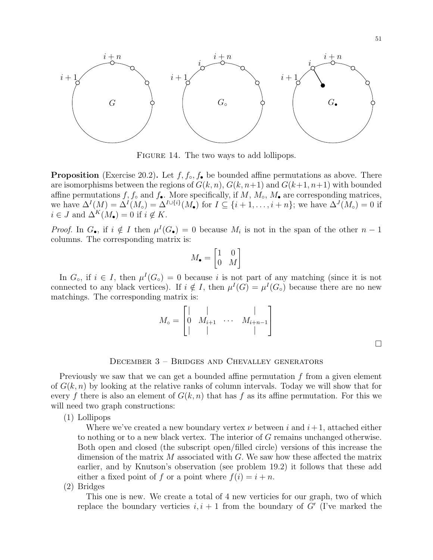

<span id="page-50-1"></span>FIGURE 14. The two ways to add lollipops.

**Proposition** (Exercise 20.2). Let  $f, f_0, f_0$  be bounded affine permutations as above. There are isomorphisms between the regions of  $G(k, n)$ ,  $G(k, n+1)$  and  $G(k+1, n+1)$  with bounded affine permutations  $f, f_\circ$  and  $f_\bullet$ . More specifically, if  $M, M_\circ, M_\bullet$  are corresponding matrices, we have  $\Delta^I(M) = \Delta^I(M_o) = \Delta^{I \cup \{i\}}(M_\bullet)$  for  $I \subseteq \{i+1,\ldots,i+n\}$ ; we have  $\Delta^J(M_o) = 0$  if  $i \in J$  and  $\Delta^K(M_{\bullet}) = 0$  if  $i \notin K$ .

*Proof.* In  $G_{\bullet}$ , if  $i \notin I$  then  $\mu^{I}(G_{\bullet}) = 0$  because  $M_i$  is not in the span of the other  $n-1$ columns. The corresponding matrix is:

$$
M_{\bullet} = \begin{bmatrix} 1 & 0 \\ 0 & M \end{bmatrix}
$$

In  $G_{\circ}$ , if  $i \in I$ , then  $\mu^{I}(G_{\circ}) = 0$  because i is not part of any matching (since it is not connected to any black vertices). If  $i \notin I$ , then  $\mu^{I}(G) = \mu^{I}(G_{o})$  because there are no new matchings. The corresponding matrix is:

$$
M_{\circ} = \begin{bmatrix} | & | & | \\ 0 & M_{i+1} & \cdots & M_{i+n-1} \\ | & | & | & | \end{bmatrix}
$$

 $\Box$ 

# <span id="page-50-0"></span>December 3 – Bridges and Chevalley generators

Previously we saw that we can get a bounded affine permutation  $f$  from a given element of  $G(k, n)$  by looking at the relative ranks of column intervals. Today we will show that for every f there is also an element of  $G(k, n)$  that has f as its affine permutation. For this we will need two graph constructions:

(1) Lollipops

Where we've created a new boundary vertex  $\nu$  between i and  $i+1$ , attached either to nothing or to a new black vertex. The interior of G remains unchanged otherwise. Both open and closed (the subscript open/filled circle) versions of this increase the dimension of the matrix  $M$  associated with  $G$ . We saw how these affected the matrix earlier, and by Knutson's observation (see problem 19.2) it follows that these add either a fixed point of f or a point where  $f(i) = i + n$ .

(2) Bridges

This one is new. We create a total of 4 new verticies for our graph, two of which replace the boundary verticies  $i, i + 1$  from the boundary of G' (I've marked the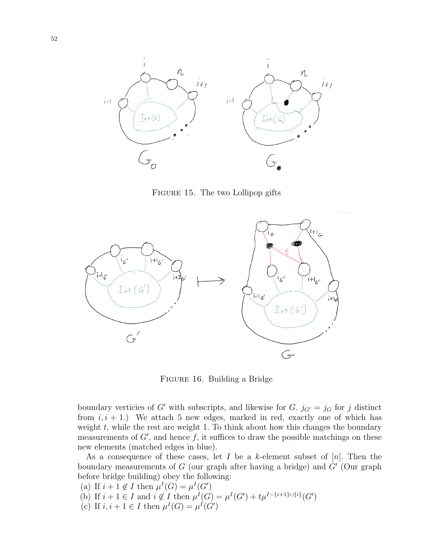

FIGURE 15. The two Lollipop gifts



Figure 16. Building a Bridge

boundary verticies of G' with subscripts, and likewise for G.  $j_{G'} = j_G$  for j distinct from  $i, i + 1$ .) We attach 5 new edges, marked in red, exactly one of which has weight  $t$ , while the rest are weight 1. To think about how this changes the boundary measurements of  $G'$ , and hence  $f$ , it suffices to draw the possible matchings on these new elements (matched edges in blue).

As a consequence of these cases, let I be a k-element subset of  $[n]$ . Then the boundary measurements of  $G$  (our graph after having a bridge) and  $G'$  (Our graph before bridge building) obey the following:

- (a) If  $i + 1 \notin I$  then  $\mu^{I}(G) = \mu^{I}(G')$
- (b) If  $i + 1 \in I$  and  $i \notin I$  then  $\mu^{I}(G) = \mu^{I}(G') + t\mu^{I \{i+1\} \cup \{i\}}(G')$
- (c) If  $i, i+1 \in I$  then  $\mu^I(G) = \mu^I(G')$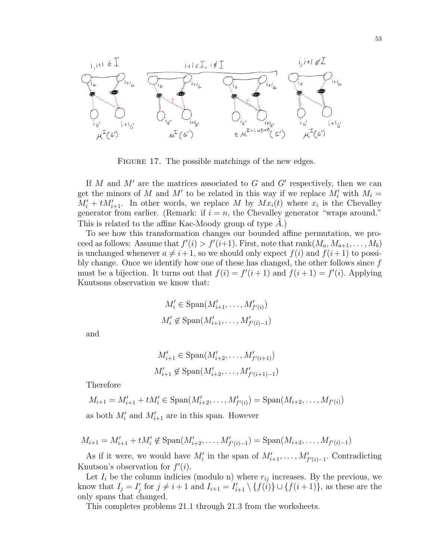

FIGURE 17. The possible matchings of the new edges.

If  $M$  and  $M'$  are the matrices associated to  $G$  and  $G'$  respectively, then we can get the minors of M and M' to be related in this way if we replace  $M_i'$  with  $M_i =$  $M'_i + tM'_{i+1}$ . In other words, we replace M by  $Mx_i(t)$  where  $x_i$  is the Chevalley generator from earlier. (Remark: if  $i = n$ , the Chevalley generator "wraps around." This is related to the affine Kac-Moody group of type  $A$ .)

To see how this transformation changes our bounded affine permutation, we proceed as follows: Assume that  $f'(i) > f'(i+1)$ . First, note that  $rank(M_a, M_{a+1}, \ldots, M_b)$ is unchanged whenever  $a \neq i+1$ , so we should only expect  $f(i)$  and  $f(i+1)$  to possibly change. Once we identify how one of these has changed, the other follows since  $f$ must be a bijection. It turns out that  $f(i) = f'(i+1)$  and  $f(i+1) = f'(i)$ . Applying Knutsons observation we know that:

$$
M'_{i} \in \text{Span}(M'_{i+1}, \dots, M'_{f'(i)})
$$
  

$$
M'_{i} \notin \text{Span}(M'_{i+1}, \dots, M'_{f'(i)-1})
$$

and

$$
M'_{i+1} \in \text{Span}(M'_{i+2}, \dots, M'_{f'(i+1)})
$$
  

$$
M'_{i+1} \notin \text{Span}(M'_{i+2}, \dots, M'_{f'(i+1)-1})
$$

Therefore

 $M_{i+1} = M'_{i+1} + tM'_{i} \in \text{Span}(M'_{i+2}, \ldots, M'_{f'(i)}) = \text{Span}(M_{i+2}, \ldots, M_{f'(i)})$ 

as both  $M'_i$  and  $M'_{i+1}$  are in this span. However

$$
M_{i+1} = M'_{i+1} + tM'_{i} \notin \text{Span}(M'_{i+2}, \dots, M'_{f'(i)-1}) = \text{Span}(M_{i+2}, \dots, M_{f'(i)-1})
$$

As if it were, we would have  $M'_i$  in the span of  $M'_{i+1}, \ldots, M'_{f'(i)-1}$ . Contradicting Knutson's observation for  $f'(i)$ .

Let  $I_i$  be the column indicies (modulo n) where  $r_{ij}$  increases. By the previous, we know that  $I_j = I'_j$  for  $j \neq i+1$  and  $I_{i+1} = I'_{i+1} \setminus \{f(i)\} \cup \{f(i+1)\}\)$ , as these are the only spans that changed.

This completes problems 21.1 through 21.3 from the worksheets.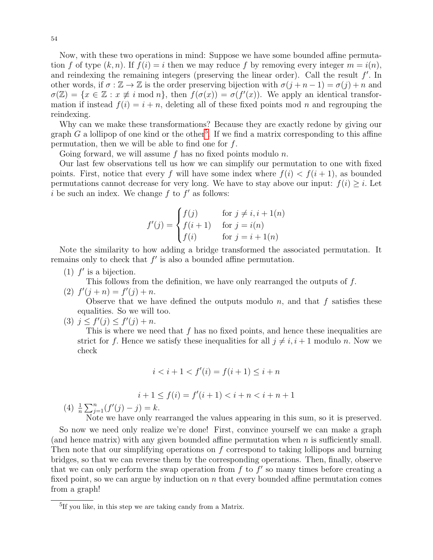Now, with these two operations in mind: Suppose we have some bounded affine permutation f of type  $(k, n)$ . If  $f(i) = i$  then we may reduce f by removing every integer  $m = i(n)$ , and reindexing the remaining integers (preserving the linear order). Call the result  $f'$ . In other words, if  $\sigma : \mathbb{Z} \to \mathbb{Z}$  is the order preserving bijection with  $\sigma(j+n-1) = \sigma(j)+n$  and  $\sigma(\mathbb{Z}) = \{x \in \mathbb{Z} : x \neq i \text{ mod } n\},\$  then  $f(\sigma(x)) = \sigma(f'(x))$ . We apply an identical transformation if instead  $f(i) = i + n$ , deleting all of these fixed points mod n and regrouping the reindexing.

Why can we make these transformations? Because they are exactly redone by giving our graph  $G$  a lollipop of one kind or the other<sup>[5](#page-53-0)</sup>. If we find a matrix corresponding to this affine permutation, then we will be able to find one for  $f$ .

Going forward, we will assume  $f$  has no fixed points modulo  $n$ .

Our last few observations tell us how we can simplify our permutation to one with fixed points. First, notice that every f will have some index where  $f(i) < f(i+1)$ , as bounded permutations cannot decrease for very long. We have to stay above our input:  $f(i) \geq i$ . Let i be such an index. We change  $f$  to  $f'$  as follows:

$$
f'(j) = \begin{cases} f(j) & \text{for } j \neq i, i+1(n) \\ f(i+1) & \text{for } j = i(n) \\ f(i) & \text{for } j = i+1(n) \end{cases}
$$

Note the similarity to how adding a bridge transformed the associated permutation. It remains only to check that  $f'$  is also a bounded affine permutation.

(1)  $f'$  is a bijection.

This follows from the definition, we have only rearranged the outputs of f.

(2) 
$$
f'(j+n) = f'(j) + n
$$
.

Observe that we have defined the outputs modulo  $n$ , and that  $f$  satisfies these equalities. So we will too.

(3)  $j \leq f'(j) \leq f'(j) + n$ .

This is where we need that  $f$  has no fixed points, and hence these inequalities are strict for f. Hence we satisfy these inequalities for all  $j \neq i, i + 1$  modulo n. Now we check

$$
i < i + 1 < f'(i) = f(i + 1) \le i + n
$$

$$
i+1 \leq f(i) = f'(i+1) < i+n < i+n+1
$$

(4)  $\frac{1}{n} \sum_{j=1}^{n} (f'(j) - j) = k.$ 

Note we have only rearranged the values appearing in this sum, so it is preserved.

So now we need only realize we're done! First, convince yourself we can make a graph (and hence matrix) with any given bounded affine permutation when  $n$  is sufficiently small. Then note that our simplifying operations on  $f$  correspond to taking lollipops and burning bridges, so that we can reverse them by the corresponding operations. Then, finally, observe that we can only perform the swap operation from  $f$  to  $f'$  so many times before creating a fixed point, so we can argue by induction on  $n$  that every bounded affine permutation comes from a graph!

<span id="page-53-0"></span><sup>&</sup>lt;sup>5</sup>If you like, in this step we are taking candy from a Matrix.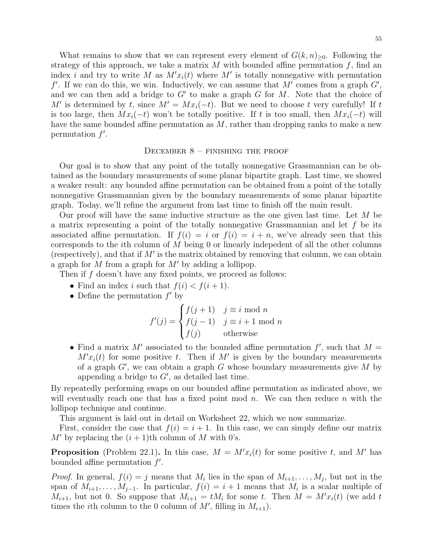What remains to show that we can represent every element of  $G(k, n)_{\geq 0}$ . Following the strategy of this approach, we take a matrix  $M$  with bounded affine permutation  $f$ , find an index i and try to write M as  $M'x_i(t)$  where M' is totally nonnegative with permutation  $f'$ . If we can do this, we win. Inductively, we can assume that M' comes from a graph  $G'$ , and we can then add a bridge to  $G'$  to make a graph  $G$  for  $M$ . Note that the choice of M' is determined by t, since  $M' = Mx_i(-t)$ . But we need to choose t very carefully! If t is too large, then  $Mx_i(-t)$  won't be totally positive. If t is too small, then  $Mx_i(-t)$  will have the same bounded affine permutation as  $M$ , rather than dropping ranks to make a new permutation  $f'$ .

### <span id="page-54-0"></span>DECEMBER  $8$  – FINISHING THE PROOF

Our goal is to show that any point of the totally nonnegative Grassmannian can be obtained as the boundary measurements of some planar bipartite graph. Last time, we showed a weaker result: any bounded affine permutation can be obtained from a point of the totally nonnegative Grassmannian given by the boundary measurements of some planar bipartite graph. Today, we'll refine the argument from last time to finish off the main result.

Our proof will have the same inductive structure as the one given last time. Let  $M$  be a matrix representing a point of the totally nonnegative Grassmannian and let  $f$  be its associated affine permutation. If  $f(i) = i$  or  $f(i) = i + n$ , we've already seen that this corresponds to the *i*th column of  $M$  being 0 or linearly indepedent of all the other columns (respectively), and that if  $M'$  is the matrix obtained by removing that column, we can obtain a graph for  $M$  from a graph for  $M'$  by adding a lollipop.

Then if f doesn't have any fixed points, we proceed as follows:

- Find an index i such that  $f(i) < f(i+1)$ .
- Define the permutation  $f'$  by

$$
f'(j) = \begin{cases} f(j+1) & j \equiv i \text{ mod } n \\ f(j-1) & j \equiv i+1 \text{ mod } n \\ f(j) & \text{otherwise} \end{cases}
$$

• Find a matrix M' associated to the bounded affine permutation  $f'$ , such that  $M =$  $M'x_i(t)$  for some positive t. Then if M' is given by the boundary measurements of a graph  $G'$ , we can obtain a graph  $G$  whose boundary measurements give  $M$  by appending a bridge to  $G'$ , as detailed last time.

By repeatedly performing swaps on our bounded affine permutation as indicated above, we will eventually reach one that has a fixed point mod  $n$ . We can then reduce  $n$  with the lollipop technique and continue.

This argument is laid out in detail on Worksheet 22, which we now summarize.

First, consider the case that  $f(i) = i + 1$ . In this case, we can simply define our matrix  $M'$  by replacing the  $(i + 1)$ th column of M with 0's.

**Proposition** (Problem 22.1). In this case,  $M = M'x_i(t)$  for some positive t, and M' has bounded affine permutation  $f'$ .

*Proof.* In general,  $f(i) = j$  means that  $M_i$  lies in the span of  $M_{i+1}, \ldots, M_j$ , but not in the span of  $M_{i+1}, \ldots, M_{j-1}$ . In particular,  $f(i) = i+1$  means that  $M_i$  is a scalar multiple of  $M_{i+1}$ , but not 0. So suppose that  $M_{i+1} = tM_i$  for some t. Then  $M = M'x_i(t)$  (we add t times the *i*th column to the 0 column of  $M'$ , filling in  $M_{i+1}$ ).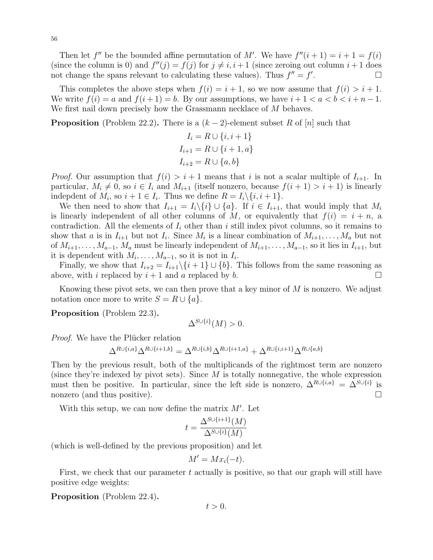Then let  $f''$  be the bounded affine permutation of M'. We have  $f''(i + 1) = i + 1 = f(i)$ (since the column is 0) and  $f''(j) = f(j)$  for  $j \neq i, i + 1$  (since zeroing out column  $i + 1$  does not change the spans relevant to calculating these values). Thus  $f'' = f'$ .

This completes the above steps when  $f(i) = i + 1$ , so we now assume that  $f(i) > i + 1$ . We write  $f(i) = a$  and  $f(i+1) = b$ . By our assumptions, we have  $i+1 < a < b < i+n-1$ . We first nail down precisely how the Grassmann necklace of M behaves.

**Proposition** (Problem 22.2). There is a  $(k-2)$ -element subset R of [n] such that

$$
I_i = R \cup \{i, i+1\}
$$
  

$$
I_{i+1} = R \cup \{i+1, a\}
$$
  

$$
I_{i+2} = R \cup \{a, b\}
$$

*Proof.* Our assumption that  $f(i) > i + 1$  means that i is not a scalar multiple of  $I_{i+1}$ . In particular,  $M_i \neq 0$ , so  $i \in I_i$  and  $M_{i+1}$  (itself nonzero, because  $f(i + 1) > i + 1$ ) is linearly indepdent of  $M_i$ , so  $i + 1 \in I_i$ . Thus we define  $R = I_i \setminus \{i, i + 1\}$ .

We then need to show that  $I_{i+1} = I_i \setminus \{i\} \cup \{a\}$ . If  $i \in I_{i+1}$ , that would imply that  $M_i$ is linearly independent of all other columns of M, or equivalently that  $f(i) = i + n$ , a contradiction. All the elements of  $I_i$  other than i still index pivot columns, so it remains to show that a is in  $I_{i+1}$  but not  $I_i$ . Since  $M_i$  is a linear combination of  $M_{i+1}, \ldots, M_a$  but not of  $M_{i+1}, \ldots, M_{a-1}, M_a$  must be linearly independent of  $M_{i+1}, \ldots, M_{a-1}$ , so it lies in  $I_{i+1}$ , but it is dependent with  $M_i, \ldots, M_{a-1}$ , so it is not in  $I_i$ .

Finally, we show that  $I_{i+2} = I_{i+1} \setminus \{i+1\} \cup \{b\}$ . This follows from the same reasoning as above, with i replaced by  $i + 1$  and a replaced by b.

Knowing these pivot sets, we can then prove that a key minor of  $M$  is nonzero. We adjust notation once more to write  $S = R \cup \{a\}.$ 

Proposition (Problem 22.3).

$$
\Delta^{S\cup\{i\}}(M)>0.
$$

*Proof.* We have the Plücker relation

$$
\Delta^{R \cup \{i,a\}} \Delta^{R \cup \{i+1,b\}} = \Delta^{R \cup \{i,b\}} \Delta^{R \cup \{i+1,a\}} + \Delta^{R \cup \{i,i+1\}} \Delta^{R \cup \{a,b\}}
$$

Then by the previous result, both of the multiplicands of the rightmost term are nonzero (since they're indexed by pivot sets). Since  $M$  is totally nonnegative, the whole expression must then be positive. In particular, since the left side is nonzero,  $\Delta^{R\cup\{i,a\}} = \Delta^{S\cup\{i\}}$  is nonzero (and thus positive).

With this setup, we can now define the matrix  $M'$ . Let

$$
t = \frac{\Delta^{S \cup \{i+1\}}(M)}{\Delta^{S \cup \{i\}}(M)}
$$

(which is well-defined by the previous proposition) and let

$$
M' = Mx_i(-t).
$$

First, we check that our parameter t actually is positive, so that our graph will still have positive edge weights:

Proposition (Problem 22.4).

 $t > 0$ .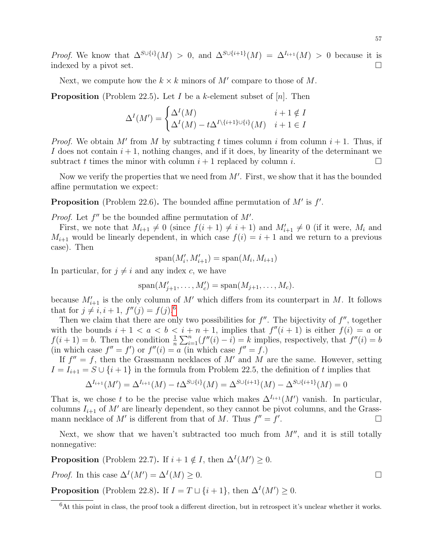*Proof.* We know that  $\Delta^{S\cup \{i\}}(M) > 0$ , and  $\Delta^{S\cup \{i+1\}}(M) = \Delta^{I_{i+1}}(M) > 0$  because it is indexed by a pivot set.

Next, we compute how the  $k \times k$  minors of M' compare to those of M.

**Proposition** (Problem 22.5). Let I be a k-element subset of  $[n]$ . Then

$$
\Delta^{I}(M') = \begin{cases} \Delta^{I}(M) & i+1 \notin I \\ \Delta^{I}(M) - t\Delta^{I\setminus\{i+1\}\cup\{i\}}(M) & i+1 \in I \end{cases}
$$

*Proof.* We obtain M' from M by subtracting t times column i from column  $i + 1$ . Thus, if I does not contain  $i + 1$ , nothing changes, and if it does, by linearity of the determinant we subtract t times the minor with column  $i + 1$  replaced by column i.

Now we verify the properties that we need from  $M'$ . First, we show that it has the bounded affine permutation we expect:

**Proposition** (Problem 22.6). The bounded affine permutation of  $M'$  is  $f'$ .

*Proof.* Let  $f''$  be the bounded affine permutation of  $M'$ .

First, we note that  $M_{i+1} \neq 0$  (since  $f(i + 1) \neq i + 1$ ) and  $M'_{i+1} \neq 0$  (if it were,  $M_i$  and  $M_{i+1}$  would be linearly dependent, in which case  $f(i) = i + 1$  and we return to a previous case). Then

$$
\mathrm{span}(M'_i, M'_{i+1}) = \mathrm{span}(M_i, M_{i+1})
$$

In particular, for  $j \neq i$  and any index c, we have

$$
\mathrm{span}(M'_{j+1},\ldots,M'_c)=\mathrm{span}(M_{j+1},\ldots,M_c).
$$

because  $M'_{i+1}$  is the only column of M' which differs from its counterpart in M. It follows that for  $j \neq i, i + 1, f''(j) = f(j).^6$  $j \neq i, i + 1, f''(j) = f(j).^6$ 

Then we claim that there are only two possibilities for  $f''$ . The bijectivity of  $f''$ , together with the bounds  $i + 1 < a < b < i + n + 1$ , implies that  $f''(i + 1)$  is either  $f(i) = a$  or  $f(i+1) = b$ . Then the condition  $\frac{1}{n} \sum_{i=1}^{n} (f''(i) - i) = k$  implies, respectively, that  $f''(i) = b$ (in which case  $f'' = f'$ ) or  $f''(i) = a$  (in which case  $f'' = f$ .)

If  $f'' = f$ , then the Grassmann necklaces of M' and M are the same. However, setting  $I = I_{i+1} = S \cup \{i+1\}$  in the formula from Problem 22.5, the definition of t implies that

$$
\Delta^{I_{i+1}}(M') = \Delta^{I_{i+1}}(M) - t\Delta^{S \cup \{i\}}(M) = \Delta^{S \cup \{i+1\}}(M) - \Delta^{S \cup \{i+1\}}(M) = 0
$$

That is, we chose t to be the precise value which makes  $\Delta^{I_{i+1}}(M')$  vanish. In particular, columns  $I_{i+1}$  of M' are linearly dependent, so they cannot be pivot columns, and the Grassmann necklace of M' is different from that of M. Thus  $f'' = f'$ .

Next, we show that we haven't subtracted too much from  $M''$ , and it is still totally nonnegative:

**Proposition** (Problem 22.7). If  $i + 1 \notin I$ , then  $\Delta^{I}(M') \geq 0$ .

*Proof.* In this case  $\Delta^{I}(M') = \Delta^{I}(M) \geq 0$ .

**Proposition** (Problem 22.8). If  $I = T \sqcup \{i+1\}$ , then  $\Delta^{I}(M') \geq 0$ .

<span id="page-56-0"></span> $6$ At this point in class, the proof took a different direction, but in retrospect it's unclear whether it works.